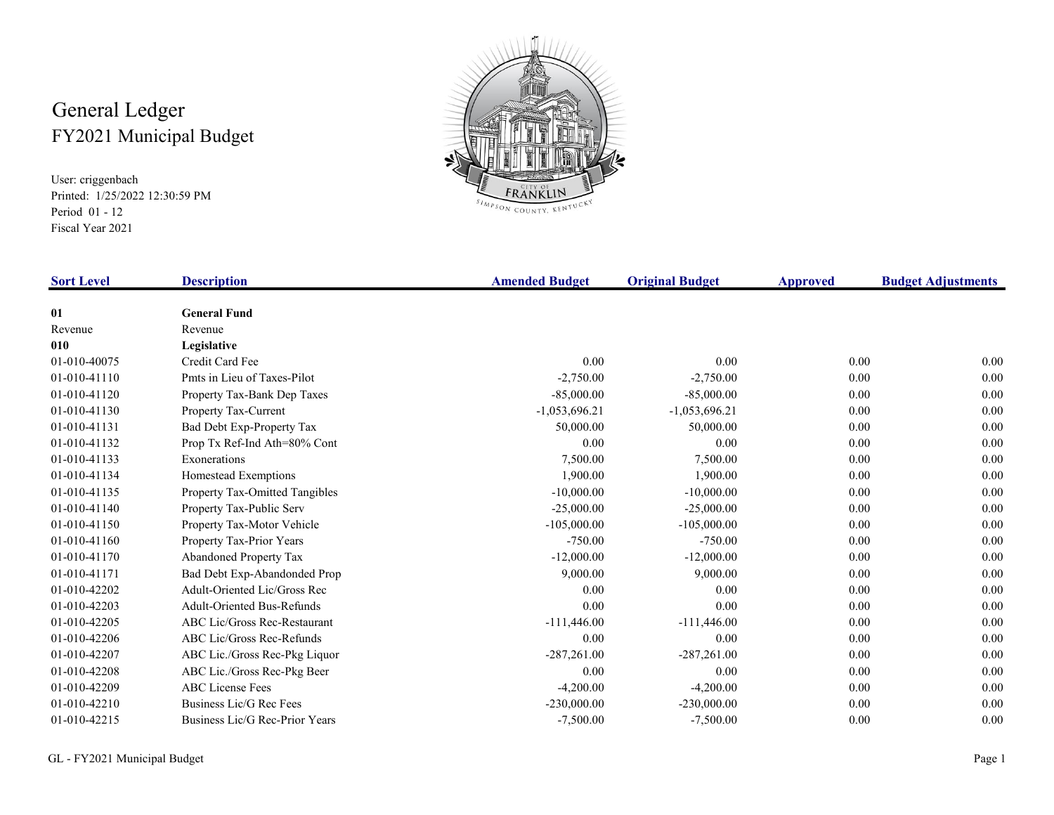## General Ledger FY2021 Municipal Budget

User: criggenbach Printed: 1/25/2022 12:30:59 PMPeriod 01 - 12Fiscal Year 2021



SIMPSON COUNTY, KENTUCKY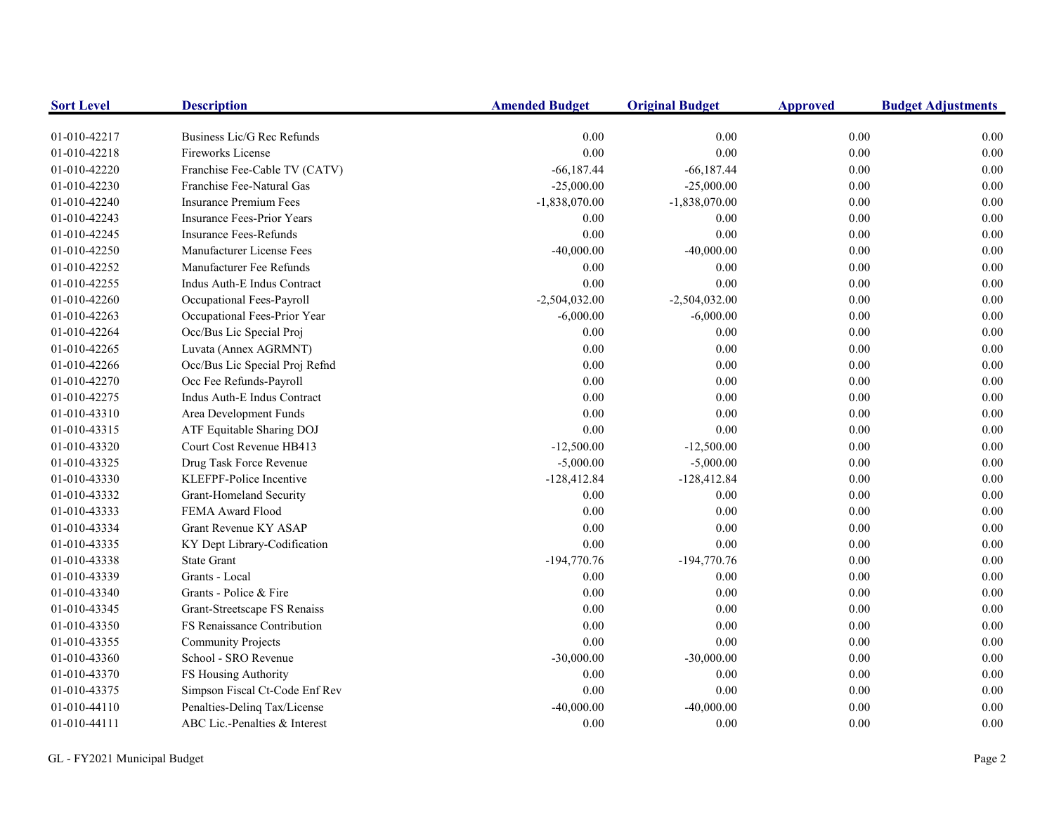| <b>Sort Level</b> | <b>Description</b>                | <b>Amended Budget</b> | <b>Original Budget</b> | <b>Approved</b> | <b>Budget Adjustments</b> |
|-------------------|-----------------------------------|-----------------------|------------------------|-----------------|---------------------------|
| 01-010-42217      | Business Lic/G Rec Refunds        | 0.00                  | 0.00                   | 0.00            | 0.00                      |
| 01-010-42218      | <b>Fireworks License</b>          | 0.00                  | 0.00                   | 0.00            | 0.00                      |
| 01-010-42220      | Franchise Fee-Cable TV (CATV)     | $-66,187.44$          | $-66,187.44$           | 0.00            | 0.00                      |
| 01-010-42230      | Franchise Fee-Natural Gas         | $-25,000.00$          | $-25,000.00$           | $0.00\,$        | 0.00                      |
| 01-010-42240      | <b>Insurance Premium Fees</b>     | $-1,838,070.00$       | $-1,838,070.00$        | $0.00\,$        | 0.00                      |
| 01-010-42243      | <b>Insurance Fees-Prior Years</b> | 0.00                  | 0.00                   | 0.00            | 0.00                      |
| 01-010-42245      | <b>Insurance Fees-Refunds</b>     | 0.00                  | 0.00                   | 0.00            | 0.00                      |
| 01-010-42250      | Manufacturer License Fees         | $-40,000.00$          | $-40,000.00$           | 0.00            | 0.00                      |
| 01-010-42252      | Manufacturer Fee Refunds          | 0.00                  | 0.00                   | 0.00            | 0.00                      |
| 01-010-42255      | Indus Auth-E Indus Contract       | 0.00                  | 0.00                   | 0.00            | 0.00                      |
| 01-010-42260      | Occupational Fees-Payroll         | $-2,504,032.00$       | $-2,504,032.00$        | 0.00            | 0.00                      |
| 01-010-42263      | Occupational Fees-Prior Year      | $-6,000.00$           | $-6,000.00$            | 0.00            | 0.00                      |
| 01-010-42264      | Occ/Bus Lic Special Proj          | 0.00                  | 0.00                   | 0.00            | 0.00                      |
| 01-010-42265      | Luvata (Annex AGRMNT)             | 0.00                  | 0.00                   | $0.00\,$        | 0.00                      |
| 01-010-42266      | Occ/Bus Lic Special Proj Refnd    | 0.00                  | 0.00                   | 0.00            | 0.00                      |
| 01-010-42270      | Occ Fee Refunds-Payroll           | 0.00                  | 0.00                   | $0.00\,$        | 0.00                      |
| 01-010-42275      | Indus Auth-E Indus Contract       | 0.00                  | 0.00                   | $0.00\,$        | 0.00                      |
| 01-010-43310      | Area Development Funds            | 0.00                  | 0.00                   | 0.00            | 0.00                      |
| 01-010-43315      | ATF Equitable Sharing DOJ         | 0.00                  | 0.00                   | $0.00\,$        | 0.00                      |
| 01-010-43320      | Court Cost Revenue HB413          | $-12,500.00$          | $-12,500.00$           | 0.00            | 0.00                      |
| 01-010-43325      | Drug Task Force Revenue           | $-5,000.00$           | $-5,000.00$            | 0.00            | 0.00                      |
| 01-010-43330      | KLEFPF-Police Incentive           | $-128,412.84$         | $-128,412.84$          | 0.00            | 0.00                      |
| 01-010-43332      | Grant-Homeland Security           | 0.00                  | 0.00                   | 0.00            | 0.00                      |
| 01-010-43333      | FEMA Award Flood                  | 0.00                  | $0.00\,$               | 0.00            | 0.00                      |
| 01-010-43334      | Grant Revenue KY ASAP             | 0.00                  | 0.00                   | 0.00            | 0.00                      |
| 01-010-43335      | KY Dept Library-Codification      | 0.00                  | 0.00                   | 0.00            | 0.00                      |
| 01-010-43338      | <b>State Grant</b>                | $-194,770.76$         | $-194,770.76$          | 0.00            | 0.00                      |
| 01-010-43339      | Grants - Local                    | 0.00                  | 0.00                   | 0.00            | 0.00                      |
| 01-010-43340      | Grants - Police & Fire            | 0.00                  | 0.00                   | 0.00            | 0.00                      |
| 01-010-43345      | Grant-Streetscape FS Renaiss      | 0.00                  | 0.00                   | 0.00            | 0.00                      |
| 01-010-43350      | FS Renaissance Contribution       | 0.00                  | 0.00                   | 0.00            | 0.00                      |
| 01-010-43355      | <b>Community Projects</b>         | 0.00                  | 0.00                   | 0.00            | 0.00                      |
| 01-010-43360      | School - SRO Revenue              | $-30,000.00$          | $-30,000.00$           | 0.00            | 0.00                      |
| 01-010-43370      | FS Housing Authority              | 0.00                  | 0.00                   | 0.00            | 0.00                      |
| 01-010-43375      | Simpson Fiscal Ct-Code Enf Rev    | 0.00                  | 0.00                   | 0.00            | 0.00                      |
| 01-010-44110      | Penalties-Delinq Tax/License      | $-40,000.00$          | $-40,000.00$           | 0.00            | 0.00                      |
| 01-010-44111      | ABC Lic.-Penalties & Interest     | 0.00                  | 0.00                   | 0.00            | 0.00                      |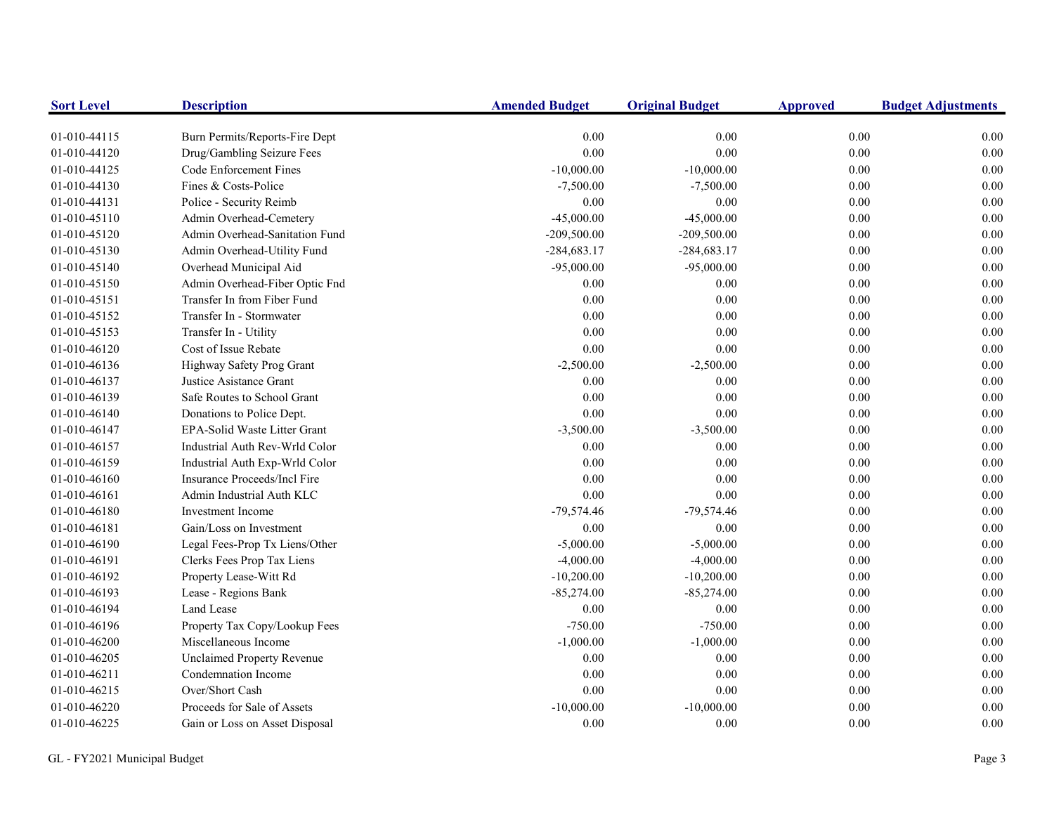| <b>Sort Level</b> | <b>Description</b>                | <b>Amended Budget</b> | <b>Original Budget</b> | <b>Approved</b> | <b>Budget Adjustments</b> |
|-------------------|-----------------------------------|-----------------------|------------------------|-----------------|---------------------------|
| 01-010-44115      | Burn Permits/Reports-Fire Dept    | 0.00                  | 0.00                   | $0.00\,$        | 0.00                      |
| 01-010-44120      | Drug/Gambling Seizure Fees        | $0.00\,$              | 0.00                   | $0.00\,$        | 0.00                      |
| 01-010-44125      | Code Enforcement Fines            | $-10,000.00$          | $-10,000.00$           | $0.00\,$        | 0.00                      |
| 01-010-44130      | Fines & Costs-Police              | $-7,500.00$           | $-7,500.00$            | 0.00            | $0.00\,$                  |
| 01-010-44131      | Police - Security Reimb           | 0.00                  | 0.00                   | 0.00            | 0.00                      |
| 01-010-45110      | Admin Overhead-Cemetery           | $-45,000.00$          | $-45,000.00$           | $0.00\,$        | 0.00                      |
| 01-010-45120      | Admin Overhead-Sanitation Fund    | $-209,500.00$         | $-209,500.00$          | $0.00\,$        | 0.00                      |
| 01-010-45130      | Admin Overhead-Utility Fund       | $-284,683.17$         | $-284,683.17$          | $0.00\,$        | $0.00\,$                  |
| 01-010-45140      | Overhead Municipal Aid            | $-95,000.00$          | $-95,000.00$           | $0.00\,$        | 0.00                      |
| 01-010-45150      | Admin Overhead-Fiber Optic Fnd    | $0.00\,$              | 0.00                   | $0.00\,$        | 0.00                      |
| 01-010-45151      | Transfer In from Fiber Fund       | 0.00                  | 0.00                   | 0.00            | 0.00                      |
| 01-010-45152      | Transfer In - Stormwater          | 0.00                  | 0.00                   | $0.00\,$        | 0.00                      |
| 01-010-45153      | Transfer In - Utility             | 0.00                  | 0.00                   | 0.00            | 0.00                      |
| 01-010-46120      | Cost of Issue Rebate              | $0.00\,$              | 0.00                   | 0.00            | 0.00                      |
| 01-010-46136      | Highway Safety Prog Grant         | $-2,500.00$           | $-2,500.00$            | 0.00            | 0.00                      |
| 01-010-46137      | Justice Asistance Grant           | 0.00                  | 0.00                   | 0.00            | 0.00                      |
| 01-010-46139      | Safe Routes to School Grant       | 0.00                  | 0.00                   | 0.00            | $0.00\,$                  |
| 01-010-46140      | Donations to Police Dept.         | 0.00                  | 0.00                   | $0.00\,$        | 0.00                      |
| 01-010-46147      | EPA-Solid Waste Litter Grant      | $-3,500.00$           | $-3,500.00$            | $0.00\,$        | 0.00                      |
| 01-010-46157      | Industrial Auth Rev-Wrld Color    | $0.00\,$              | 0.00                   | $0.00\,$        | 0.00                      |
| 01-010-46159      | Industrial Auth Exp-Wrld Color    | 0.00                  | 0.00                   | $0.00\,$        | 0.00                      |
| 01-010-46160      | Insurance Proceeds/Incl Fire      | 0.00                  | 0.00                   | $0.00\,$        | 0.00                      |
| 01-010-46161      | Admin Industrial Auth KLC         | $0.00\,$              | 0.00                   | $0.00\,$        | 0.00                      |
| 01-010-46180      | <b>Investment Income</b>          | $-79,574.46$          | $-79,574.46$           | $0.00\,$        | 0.00                      |
| 01-010-46181      | Gain/Loss on Investment           | 0.00                  | 0.00                   | $0.00\,$        | 0.00                      |
| 01-010-46190      | Legal Fees-Prop Tx Liens/Other    | $-5,000.00$           | $-5,000.00$            | $0.00\,$        | 0.00                      |
| 01-010-46191      | Clerks Fees Prop Tax Liens        | $-4,000.00$           | $-4,000.00$            | 0.00            | 0.00                      |
| 01-010-46192      | Property Lease-Witt Rd            | $-10,200.00$          | $-10,200.00$           | 0.00            | 0.00                      |
| 01-010-46193      | Lease - Regions Bank              | $-85,274.00$          | $-85,274.00$           | 0.00            | $0.00\,$                  |
| 01-010-46194      | Land Lease                        | 0.00                  | 0.00                   | 0.00            | 0.00                      |
| 01-010-46196      | Property Tax Copy/Lookup Fees     | $-750.00$             | $-750.00$              | $0.00\,$        | 0.00                      |
| 01-010-46200      | Miscellaneous Income              | $-1,000.00$           | $-1,000.00$            | $0.00\,$        | 0.00                      |
| 01-010-46205      | <b>Unclaimed Property Revenue</b> | 0.00                  | 0.00                   | 0.00            | 0.00                      |
| 01-010-46211      | Condemnation Income               | 0.00                  | 0.00                   | 0.00            | 0.00                      |
| 01-010-46215      | Over/Short Cash                   | $0.00\,$              | 0.00                   | $0.00\,$        | 0.00                      |
| 01-010-46220      | Proceeds for Sale of Assets       | $-10,000.00$          | $-10,000.00$           | $0.00\,$        | 0.00                      |
| 01-010-46225      | Gain or Loss on Asset Disposal    | 0.00                  | 0.00                   | 0.00            | 0.00                      |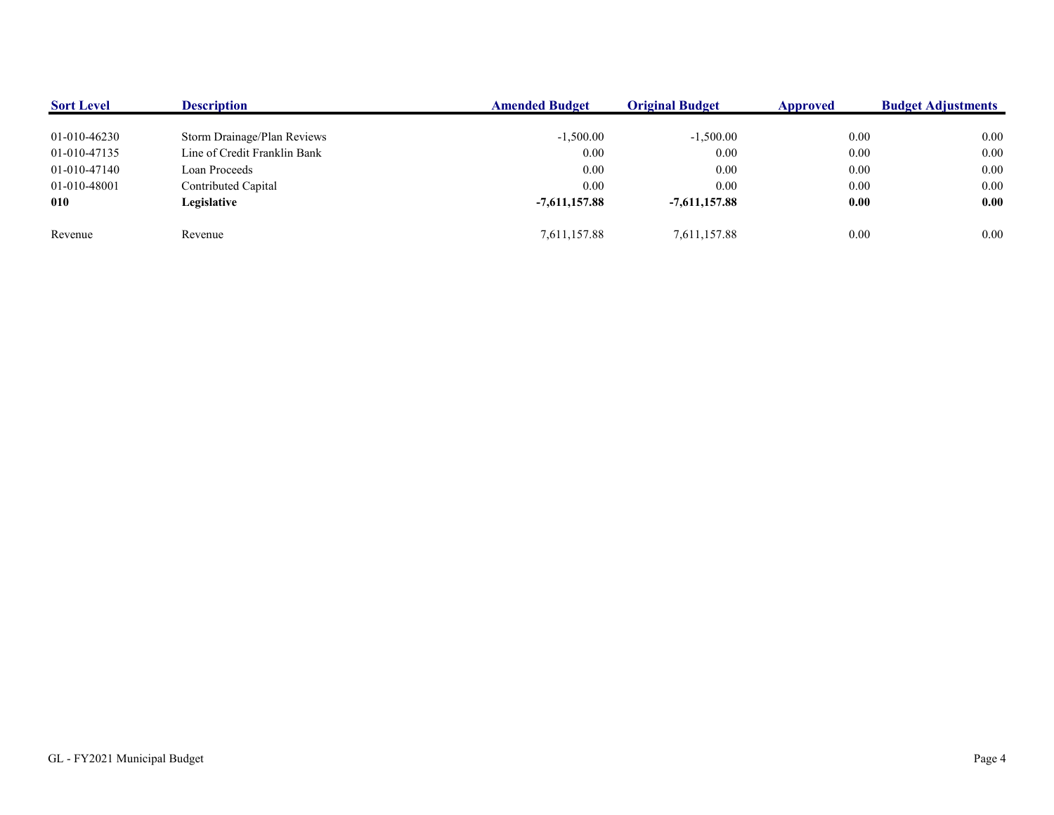| <b>Sort Level</b> | <b>Description</b>           | <b>Amended Budget</b> | <b>Original Budget</b> | <b>Approved</b> | <b>Budget Adjustments</b> |
|-------------------|------------------------------|-----------------------|------------------------|-----------------|---------------------------|
|                   |                              |                       |                        |                 |                           |
| 01-010-46230      | Storm Drainage/Plan Reviews  | $-1,500.00$           | $-1,500.00$            | 0.00            | 0.00                      |
| 01-010-47135      | Line of Credit Franklin Bank | 0.00                  | 0.00                   | 0.00            | 0.00                      |
| 01-010-47140      | Loan Proceeds                | 0.00                  | 0.00                   | 0.00            | 0.00                      |
| 01-010-48001      | Contributed Capital          | 0.00                  | 0.00                   | $0.00\,$        | 0.00                      |
| 010               | Legislative                  | $-7,611,157.88$       | $-7.611.157.88$        | 0.00            | 0.00                      |
|                   |                              |                       |                        |                 |                           |
| Revenue           | Revenue                      | 7,611,157.88          | 7,611,157.88           | 0.00            | 0.00                      |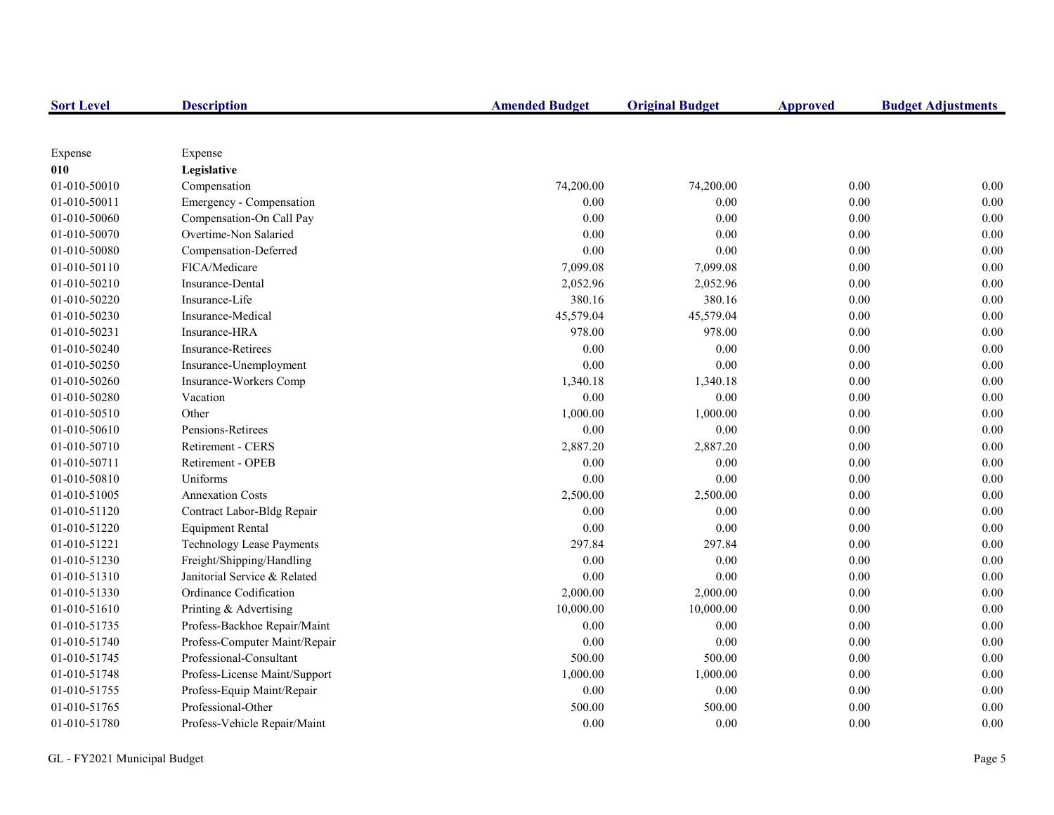| <b>Sort Level</b> | <b>Description</b>            | <b>Amended Budget</b> | <b>Original Budget</b> | <b>Approved</b> | <b>Budget Adjustments</b> |
|-------------------|-------------------------------|-----------------------|------------------------|-----------------|---------------------------|
|                   |                               |                       |                        |                 |                           |
| Expense           | Expense                       |                       |                        |                 |                           |
| 010               | Legislative                   |                       |                        |                 |                           |
| 01-010-50010      | Compensation                  | 74,200.00             | 74,200.00              | 0.00            | 0.00                      |
| 01-010-50011      | Emergency - Compensation      | 0.00                  | 0.00                   | 0.00            | 0.00                      |
| 01-010-50060      | Compensation-On Call Pay      | 0.00                  | 0.00                   | 0.00            | 0.00                      |
| 01-010-50070      | Overtime-Non Salaried         | 0.00                  | 0.00                   | 0.00            | 0.00                      |
| 01-010-50080      | Compensation-Deferred         | 0.00                  | 0.00                   | 0.00            | 0.00                      |
| 01-010-50110      | FICA/Medicare                 | 7,099.08              | 7,099.08               | 0.00            | 0.00                      |
| 01-010-50210      | Insurance-Dental              | 2,052.96              | 2,052.96               | 0.00            | 0.00                      |
| 01-010-50220      | Insurance-Life                | 380.16                | 380.16                 | 0.00            | 0.00                      |
| 01-010-50230      | Insurance-Medical             | 45,579.04             | 45,579.04              | 0.00            | 0.00                      |
| 01-010-50231      | Insurance-HRA                 | 978.00                | 978.00                 | 0.00            | 0.00                      |
| 01-010-50240      | Insurance-Retirees            | $0.00\,$              | 0.00                   | $0.00\,$        | 0.00                      |
| 01-010-50250      | Insurance-Unemployment        | 0.00                  | 0.00                   | 0.00            | 0.00                      |
| 01-010-50260      | Insurance-Workers Comp        | 1,340.18              | 1,340.18               | $0.00\,$        | 0.00                      |
| 01-010-50280      | Vacation                      | 0.00                  | 0.00                   | 0.00            | 0.00                      |
| 01-010-50510      | Other                         | 1,000.00              | 1,000.00               | 0.00            | 0.00                      |
| 01-010-50610      | Pensions-Retirees             | 0.00                  | 0.00                   | 0.00            | 0.00                      |
| 01-010-50710      | Retirement - CERS             | 2,887.20              | 2,887.20               | 0.00            | 0.00                      |
| 01-010-50711      | Retirement - OPEB             | 0.00                  | 0.00                   | 0.00            | 0.00                      |
| 01-010-50810      | Uniforms                      | 0.00                  | 0.00                   | 0.00            | 0.00                      |
| 01-010-51005      | <b>Annexation Costs</b>       | 2,500.00              | 2,500.00               | 0.00            | 0.00                      |
| 01-010-51120      | Contract Labor-Bldg Repair    | 0.00                  | 0.00                   | $0.00\,$        | 0.00                      |
| 01-010-51220      | <b>Equipment Rental</b>       | $0.00\,$              | 0.00                   | $0.00\,$        | 0.00                      |
| 01-010-51221      | Technology Lease Payments     | 297.84                | 297.84                 | 0.00            | 0.00                      |
| 01-010-51230      | Freight/Shipping/Handling     | 0.00                  | 0.00                   | 0.00            | 0.00                      |
| 01-010-51310      | Janitorial Service & Related  | 0.00                  | 0.00                   | 0.00            | 0.00                      |
| 01-010-51330      | Ordinance Codification        | 2,000.00              | 2,000.00               | 0.00            | 0.00                      |
| 01-010-51610      | Printing & Advertising        | 10,000.00             | 10,000.00              | 0.00            | 0.00                      |
| 01-010-51735      | Profess-Backhoe Repair/Maint  | 0.00                  | 0.00                   | 0.00            | 0.00                      |
| 01-010-51740      | Profess-Computer Maint/Repair | 0.00                  | 0.00                   | 0.00            | 0.00                      |
| 01-010-51745      | Professional-Consultant       | 500.00                | 500.00                 | 0.00            | 0.00                      |
| 01-010-51748      | Profess-License Maint/Support | 1,000.00              | 1,000.00               | 0.00            | 0.00                      |
| 01-010-51755      | Profess-Equip Maint/Repair    | $0.00\,$              | 0.00                   | $0.00\,$        | 0.00                      |
| 01-010-51765      | Professional-Other            | 500.00                | 500.00                 | 0.00            | 0.00                      |
| 01-010-51780      | Profess-Vehicle Repair/Maint  | 0.00                  | 0.00                   | 0.00            | 0.00                      |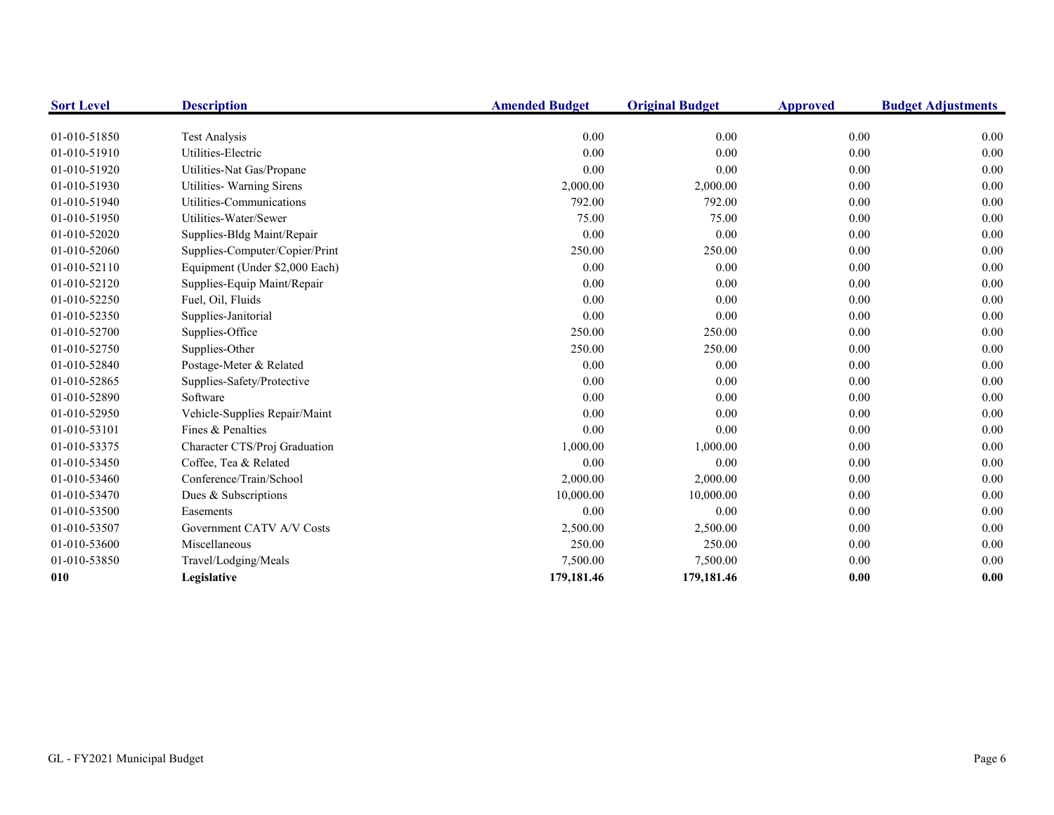| <b>Sort Level</b> | <b>Description</b>             | <b>Amended Budget</b> | <b>Original Budget</b> | <b>Approved</b> | <b>Budget Adjustments</b> |
|-------------------|--------------------------------|-----------------------|------------------------|-----------------|---------------------------|
| 01-010-51850      | <b>Test Analysis</b>           | 0.00                  | 0.00                   | 0.00            | 0.00                      |
| 01-010-51910      | Utilities-Electric             | 0.00                  | 0.00                   | 0.00            | 0.00                      |
| 01-010-51920      | Utilities-Nat Gas/Propane      | 0.00                  | 0.00                   | 0.00            | 0.00                      |
| 01-010-51930      | Utilities- Warning Sirens      | 2,000.00              | 2,000.00               | 0.00            | 0.00                      |
| 01-010-51940      | Utilities-Communications       | 792.00                | 792.00                 | 0.00            | 0.00                      |
| 01-010-51950      | Utilities-Water/Sewer          | 75.00                 | 75.00                  | 0.00            | 0.00                      |
| 01-010-52020      |                                | 0.00                  | 0.00                   | 0.00            | 0.00                      |
|                   | Supplies-Bldg Maint/Repair     |                       |                        |                 | 0.00                      |
| 01-010-52060      | Supplies-Computer/Copier/Print | 250.00                | 250.00                 | 0.00            |                           |
| 01-010-52110      | Equipment (Under \$2,000 Each) | 0.00                  | 0.00                   | 0.00            | 0.00                      |
| 01-010-52120      | Supplies-Equip Maint/Repair    | 0.00                  | 0.00                   | 0.00            | 0.00                      |
| 01-010-52250      | Fuel, Oil, Fluids              | 0.00                  | 0.00                   | 0.00            | 0.00                      |
| 01-010-52350      | Supplies-Janitorial            | 0.00                  | 0.00                   | 0.00            | 0.00                      |
| 01-010-52700      | Supplies-Office                | 250.00                | 250.00                 | 0.00            | 0.00                      |
| 01-010-52750      | Supplies-Other                 | 250.00                | 250.00                 | 0.00            | 0.00                      |
| 01-010-52840      | Postage-Meter & Related        | 0.00                  | 0.00                   | 0.00            | 0.00                      |
| 01-010-52865      | Supplies-Safety/Protective     | 0.00                  | 0.00                   | 0.00            | 0.00                      |
| 01-010-52890      | Software                       | 0.00                  | 0.00                   | 0.00            | 0.00                      |
| 01-010-52950      | Vehicle-Supplies Repair/Maint  | 0.00                  | 0.00                   | 0.00            | 0.00                      |
| 01-010-53101      | Fines & Penalties              | 0.00                  | 0.00                   | 0.00            | 0.00                      |
| 01-010-53375      | Character CTS/Proj Graduation  | 1,000.00              | 1,000.00               | 0.00            | 0.00                      |
| 01-010-53450      | Coffee, Tea & Related          | 0.00                  | 0.00                   | 0.00            | 0.00                      |
| 01-010-53460      | Conference/Train/School        | 2,000.00              | 2,000.00               | 0.00            | 0.00                      |
| 01-010-53470      | Dues & Subscriptions           | 10,000.00             | 10,000.00              | 0.00            | 0.00                      |
| 01-010-53500      | Easements                      | 0.00                  | 0.00                   | 0.00            | 0.00                      |
| 01-010-53507      | Government CATV A/V Costs      | 2,500.00              | 2,500.00               | 0.00            | 0.00                      |
| 01-010-53600      | Miscellaneous                  | 250.00                | 250.00                 | 0.00            | 0.00                      |
| 01-010-53850      | Travel/Lodging/Meals           | 7,500.00              | 7,500.00               | 0.00            | 0.00                      |
| 010               | Legislative                    | 179,181.46            | 179,181.46             | 0.00            | 0.00                      |
|                   |                                |                       |                        |                 |                           |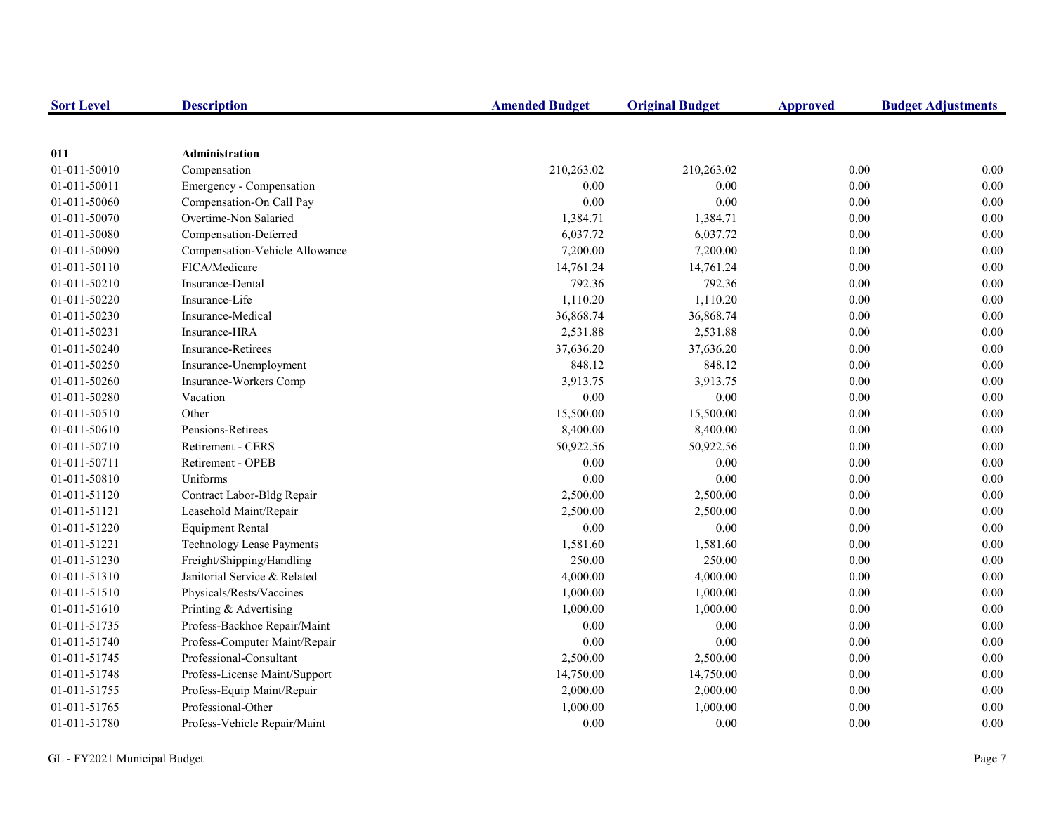| <b>Sort Level</b> | <b>Description</b>               | <b>Amended Budget</b> | <b>Original Budget</b> | <b>Approved</b> | <b>Budget Adjustments</b> |
|-------------------|----------------------------------|-----------------------|------------------------|-----------------|---------------------------|
|                   |                                  |                       |                        |                 |                           |
| 011               | <b>Administration</b>            |                       |                        |                 |                           |
| 01-011-50010      | Compensation                     | 210,263.02            | 210,263.02             | 0.00            | 0.00                      |
| 01-011-50011      | Emergency - Compensation         | 0.00                  | 0.00                   | 0.00            | 0.00                      |
| 01-011-50060      | Compensation-On Call Pay         | 0.00                  | 0.00                   | 0.00            | 0.00                      |
| 01-011-50070      | Overtime-Non Salaried            | 1,384.71              | 1,384.71               | 0.00            | 0.00                      |
| 01-011-50080      | Compensation-Deferred            | 6,037.72              | 6,037.72               | $0.00\,$        | 0.00                      |
| 01-011-50090      | Compensation-Vehicle Allowance   | 7,200.00              | 7,200.00               | 0.00            | 0.00                      |
| 01-011-50110      | FICA/Medicare                    | 14,761.24             | 14,761.24              | 0.00            | 0.00                      |
| 01-011-50210      | Insurance-Dental                 | 792.36                | 792.36                 | 0.00            | 0.00                      |
| 01-011-50220      | Insurance-Life                   | 1,110.20              | 1,110.20               | 0.00            | 0.00                      |
| 01-011-50230      | Insurance-Medical                | 36,868.74             | 36,868.74              | 0.00            | 0.00                      |
| 01-011-50231      | Insurance-HRA                    | 2,531.88              | 2,531.88               | 0.00            | 0.00                      |
| 01-011-50240      | Insurance-Retirees               | 37,636.20             | 37,636.20              | 0.00            | 0.00                      |
| 01-011-50250      | Insurance-Unemployment           | 848.12                | 848.12                 | $0.00\,$        | 0.00                      |
| 01-011-50260      | Insurance-Workers Comp           | 3,913.75              | 3,913.75               | $0.00\,$        | 0.00                      |
| 01-011-50280      | Vacation                         | 0.00                  | 0.00                   | 0.00            | 0.00                      |
| 01-011-50510      | Other                            | 15,500.00             | 15,500.00              | 0.00            | 0.00                      |
| 01-011-50610      | Pensions-Retirees                | 8,400.00              | 8,400.00               | 0.00            | 0.00                      |
| 01-011-50710      | Retirement - CERS                | 50,922.56             | 50,922.56              | 0.00            | 0.00                      |
| 01-011-50711      | Retirement - OPEB                | 0.00                  | 0.00                   | 0.00            | 0.00                      |
| 01-011-50810      | Uniforms                         | 0.00                  | 0.00                   | 0.00            | 0.00                      |
| 01-011-51120      | Contract Labor-Bldg Repair       | 2,500.00              | 2,500.00               | 0.00            | 0.00                      |
| 01-011-51121      | Leasehold Maint/Repair           | 2,500.00              | 2,500.00               | 0.00            | 0.00                      |
| 01-011-51220      | <b>Equipment Rental</b>          | 0.00                  | 0.00                   | 0.00            | 0.00                      |
| 01-011-51221      | <b>Technology Lease Payments</b> | 1,581.60              | 1,581.60               | 0.00            | 0.00                      |
| 01-011-51230      | Freight/Shipping/Handling        | 250.00                | 250.00                 | 0.00            | 0.00                      |
| 01-011-51310      | Janitorial Service & Related     | 4,000.00              | 4,000.00               | 0.00            | 0.00                      |
| 01-011-51510      | Physicals/Rests/Vaccines         | 1,000.00              | 1,000.00               | 0.00            | 0.00                      |
| 01-011-51610      | Printing & Advertising           | 1,000.00              | 1,000.00               | 0.00            | 0.00                      |
| 01-011-51735      | Profess-Backhoe Repair/Maint     | 0.00                  | 0.00                   | 0.00            | 0.00                      |
| 01-011-51740      | Profess-Computer Maint/Repair    | 0.00                  | 0.00                   | 0.00            | 0.00                      |
| 01-011-51745      | Professional-Consultant          | 2,500.00              | 2,500.00               | 0.00            | 0.00                      |
| 01-011-51748      | Profess-License Maint/Support    | 14,750.00             | 14,750.00              | $0.00\,$        | 0.00                      |
| 01-011-51755      | Profess-Equip Maint/Repair       | 2,000.00              | 2,000.00               | 0.00            | 0.00                      |
| 01-011-51765      | Professional-Other               | 1,000.00              | 1,000.00               | 0.00            | 0.00                      |
| 01-011-51780      | Profess-Vehicle Repair/Maint     | 0.00                  | 0.00                   | 0.00            | 0.00                      |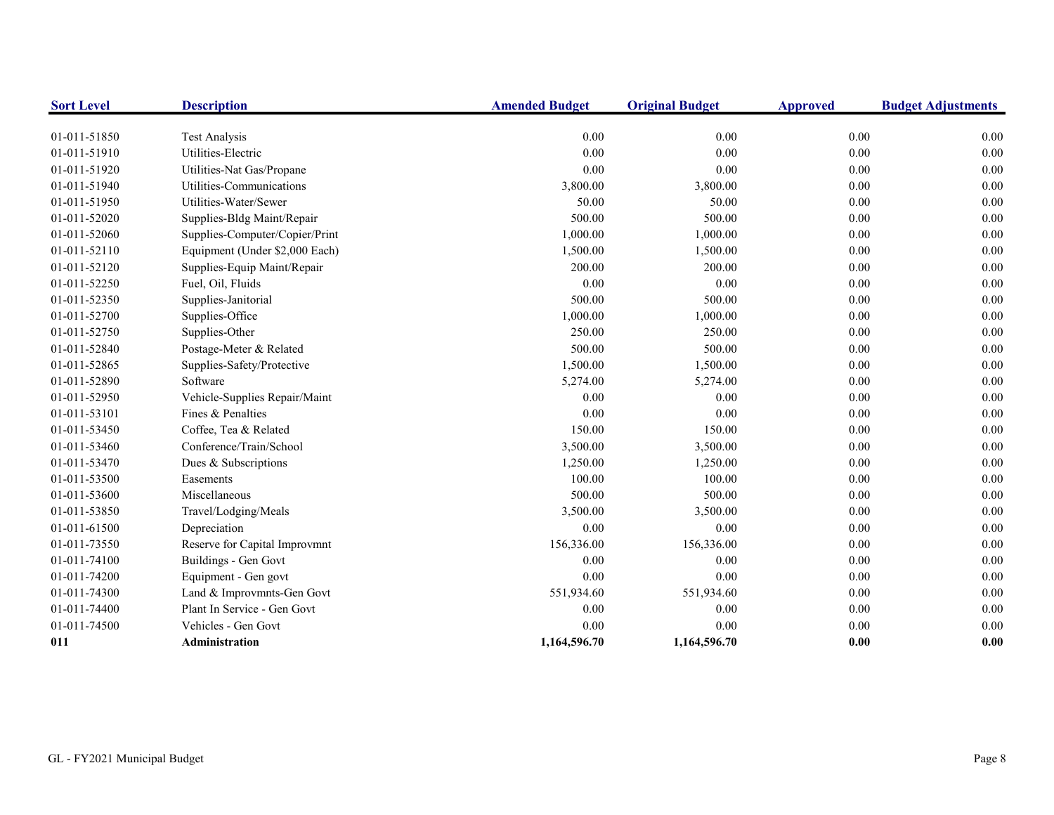| <b>Sort Level</b> | <b>Description</b>             | <b>Amended Budget</b> | <b>Original Budget</b> | <b>Approved</b> | <b>Budget Adjustments</b> |
|-------------------|--------------------------------|-----------------------|------------------------|-----------------|---------------------------|
|                   |                                |                       |                        |                 |                           |
| 01-011-51850      | <b>Test Analysis</b>           | 0.00                  | 0.00                   | 0.00            | 0.00                      |
| 01-011-51910      | Utilities-Electric             | 0.00                  | 0.00                   | 0.00            | 0.00                      |
| 01-011-51920      | Utilities-Nat Gas/Propane      | 0.00                  | 0.00                   | 0.00            | 0.00                      |
| 01-011-51940      | Utilities-Communications       | 3,800.00              | 3,800.00               | 0.00            | 0.00                      |
| 01-011-51950      | Utilities-Water/Sewer          | 50.00                 | 50.00                  | 0.00            | 0.00                      |
| 01-011-52020      | Supplies-Bldg Maint/Repair     | 500.00                | 500.00                 | 0.00            | 0.00                      |
| 01-011-52060      | Supplies-Computer/Copier/Print | 1,000.00              | 1,000.00               | $0.00\,$        | 0.00                      |
| 01-011-52110      | Equipment (Under \$2,000 Each) | 1,500.00              | 1,500.00               | 0.00            | 0.00                      |
| 01-011-52120      | Supplies-Equip Maint/Repair    | 200.00                | 200.00                 | 0.00            | 0.00                      |
| 01-011-52250      | Fuel, Oil, Fluids              | 0.00                  | 0.00                   | 0.00            | 0.00                      |
| 01-011-52350      | Supplies-Janitorial            | 500.00                | 500.00                 | 0.00            | 0.00                      |
| 01-011-52700      | Supplies-Office                | 1,000.00              | 1,000.00               | 0.00            | 0.00                      |
| 01-011-52750      | Supplies-Other                 | 250.00                | 250.00                 | 0.00            | 0.00                      |
| 01-011-52840      | Postage-Meter & Related        | 500.00                | 500.00                 | 0.00            | 0.00                      |
| 01-011-52865      | Supplies-Safety/Protective     | 1,500.00              | 1,500.00               | 0.00            | 0.00                      |
| 01-011-52890      | Software                       | 5,274.00              | 5,274.00               | 0.00            | 0.00                      |
| 01-011-52950      | Vehicle-Supplies Repair/Maint  | 0.00                  | 0.00                   | 0.00            | 0.00                      |
| 01-011-53101      | Fines & Penalties              | 0.00                  | 0.00                   | $0.00\,$        | 0.00                      |
| 01-011-53450      | Coffee, Tea & Related          | 150.00                | 150.00                 | 0.00            | 0.00                      |
| 01-011-53460      | Conference/Train/School        | 3,500.00              | 3,500.00               | 0.00            | 0.00                      |
| 01-011-53470      | Dues & Subscriptions           | 1,250.00              | 1,250.00               | 0.00            | 0.00                      |
| 01-011-53500      | Easements                      | 100.00                | 100.00                 | $0.00\,$        | 0.00                      |
| 01-011-53600      | Miscellaneous                  | 500.00                | 500.00                 | 0.00            | 0.00                      |
| 01-011-53850      | Travel/Lodging/Meals           | 3,500.00              | 3,500.00               | 0.00            | 0.00                      |
| 01-011-61500      | Depreciation                   | 0.00                  | 0.00                   | 0.00            | 0.00                      |
| 01-011-73550      | Reserve for Capital Improvmnt  | 156,336.00            | 156,336.00             | 0.00            | 0.00                      |
| 01-011-74100      | Buildings - Gen Govt           | 0.00                  | 0.00                   | 0.00            | 0.00                      |
| 01-011-74200      | Equipment - Gen govt           | 0.00                  | 0.00                   | 0.00            | 0.00                      |
| 01-011-74300      | Land & Improvmnts-Gen Govt     | 551,934.60            | 551,934.60             | 0.00            | 0.00                      |
| 01-011-74400      | Plant In Service - Gen Govt    | 0.00                  | 0.00                   | 0.00            | 0.00                      |
| 01-011-74500      | Vehicles - Gen Govt            | 0.00                  | 0.00                   | 0.00            | 0.00                      |
| 011               | Administration                 | 1,164,596.70          | 1,164,596.70           | 0.00            | 0.00                      |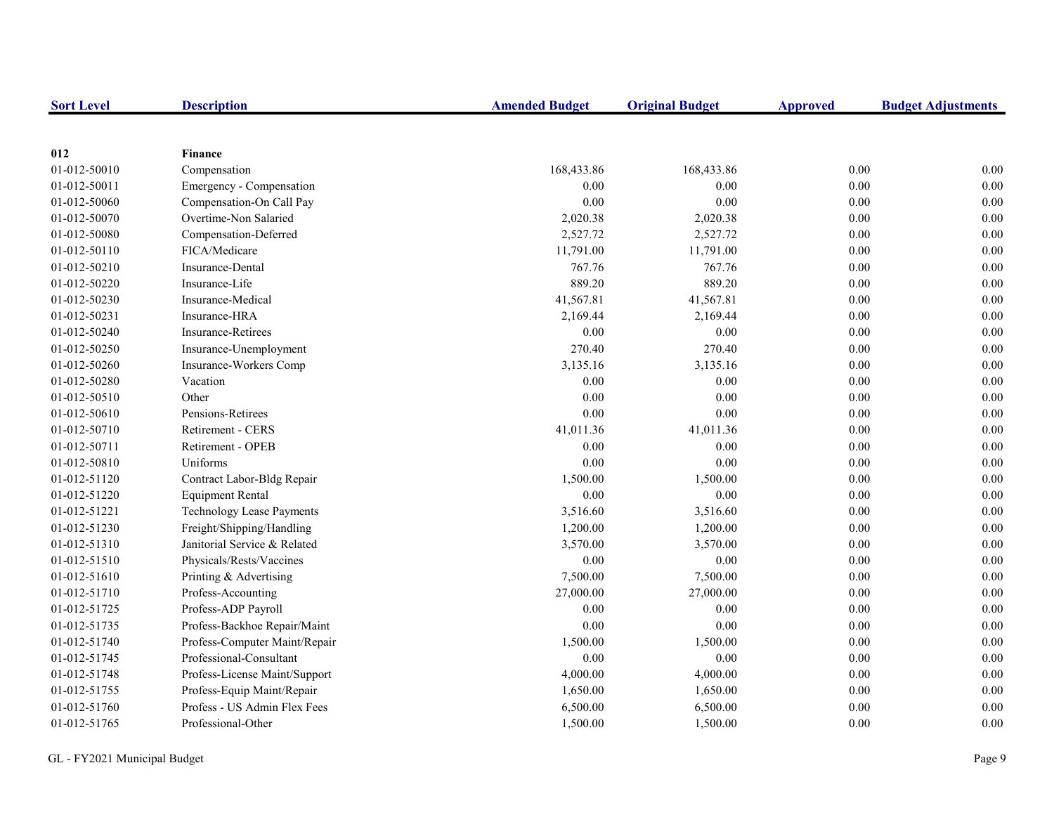| <b>Sort Level</b> | <b>Description</b>               | <b>Amended Budget</b> | <b>Original Budget</b> | <b>Approved</b> | <b>Budget Adjustments</b> |
|-------------------|----------------------------------|-----------------------|------------------------|-----------------|---------------------------|
|                   |                                  |                       |                        |                 |                           |
| 012               | <b>Finance</b>                   |                       |                        |                 |                           |
| 01-012-50010      | Compensation                     | 168,433.86            | 168,433.86             | 0.00            | 0.00                      |
| 01-012-50011      | Emergency - Compensation         | $0.00\,$              | 0.00                   | 0.00            | 0.00                      |
| 01-012-50060      | Compensation-On Call Pay         | 0.00                  | 0.00                   | 0.00            | $0.00\,$                  |
| 01-012-50070      | Overtime-Non Salaried            | 2,020.38              | 2,020.38               | 0.00            | 0.00                      |
| 01-012-50080      | Compensation-Deferred            | 2,527.72              | 2,527.72               | 0.00            | 0.00                      |
| 01-012-50110      | FICA/Medicare                    | 11,791.00             | 11,791.00              | 0.00            | 0.00                      |
| 01-012-50210      | <b>Insurance-Dental</b>          | 767.76                | 767.76                 | 0.00            | 0.00                      |
| 01-012-50220      | Insurance-Life                   | 889.20                | 889.20                 | 0.00            | 0.00                      |
| 01-012-50230      | Insurance-Medical                | 41,567.81             | 41,567.81              | 0.00            | 0.00                      |
| 01-012-50231      | Insurance-HRA                    | 2,169.44              | 2,169.44               | 0.00            | 0.00                      |
| 01-012-50240      | Insurance-Retirees               | 0.00                  | 0.00                   | 0.00            | 0.00                      |
| 01-012-50250      | Insurance-Unemployment           | 270.40                | 270.40                 | 0.00            | 0.00                      |
| 01-012-50260      | Insurance-Workers Comp           | 3,135.16              | 3,135.16               | 0.00            | 0.00                      |
| 01-012-50280      | Vacation                         | $0.00\,$              | 0.00                   | 0.00            | 0.00                      |
| 01-012-50510      | Other                            | 0.00                  | 0.00                   | 0.00            | 0.00                      |
| 01-012-50610      | Pensions-Retirees                | 0.00                  | 0.00                   | 0.00            | 0.00                      |
| 01-012-50710      | <b>Retirement - CERS</b>         | 41,011.36             | 41,011.36              | 0.00            | 0.00                      |
| 01-012-50711      | Retirement - OPEB                | 0.00                  | 0.00                   | 0.00            | 0.00                      |
| 01-012-50810      | Uniforms                         | 0.00                  | 0.00                   | 0.00            | 0.00                      |
| 01-012-51120      | Contract Labor-Bldg Repair       | 1,500.00              | 1,500.00               | 0.00            | 0.00                      |
| 01-012-51220      | <b>Equipment Rental</b>          | 0.00                  | 0.00                   | $0.00\,$        | 0.00                      |
| 01-012-51221      | <b>Technology Lease Payments</b> | 3,516.60              | 3,516.60               | 0.00            | 0.00                      |
| 01-012-51230      | Freight/Shipping/Handling        | 1,200.00              | 1,200.00               | 0.00            | 0.00                      |
| 01-012-51310      | Janitorial Service & Related     | 3,570.00              | 3,570.00               | 0.00            | 0.00                      |
| 01-012-51510      | Physicals/Rests/Vaccines         | 0.00                  | 0.00                   | 0.00            | 0.00                      |
| 01-012-51610      | Printing & Advertising           | 7,500.00              | 7,500.00               | $0.00\,$        | 0.00                      |
| 01-012-51710      | Profess-Accounting               | 27,000.00             | 27,000.00              | 0.00            | 0.00                      |
| 01-012-51725      | Profess-ADP Payroll              | 0.00                  | 0.00                   | 0.00            | 0.00                      |
| 01-012-51735      | Profess-Backhoe Repair/Maint     | 0.00                  | 0.00                   | 0.00            | 0.00                      |
| 01-012-51740      | Profess-Computer Maint/Repair    | 1,500.00              | 1,500.00               | 0.00            | 0.00                      |
| 01-012-51745      | Professional-Consultant          | 0.00                  | 0.00                   | 0.00            | 0.00                      |
| 01-012-51748      | Profess-License Maint/Support    | 4,000.00              | 4,000.00               | 0.00            | 0.00                      |
| 01-012-51755      | Profess-Equip Maint/Repair       | 1,650.00              | 1,650.00               | 0.00            | 0.00                      |
| 01-012-51760      | Profess - US Admin Flex Fees     | 6,500.00              | 6,500.00               | 0.00            | 0.00                      |
| 01-012-51765      | Professional-Other               | 1,500.00              | 1,500.00               | 0.00            | 0.00                      |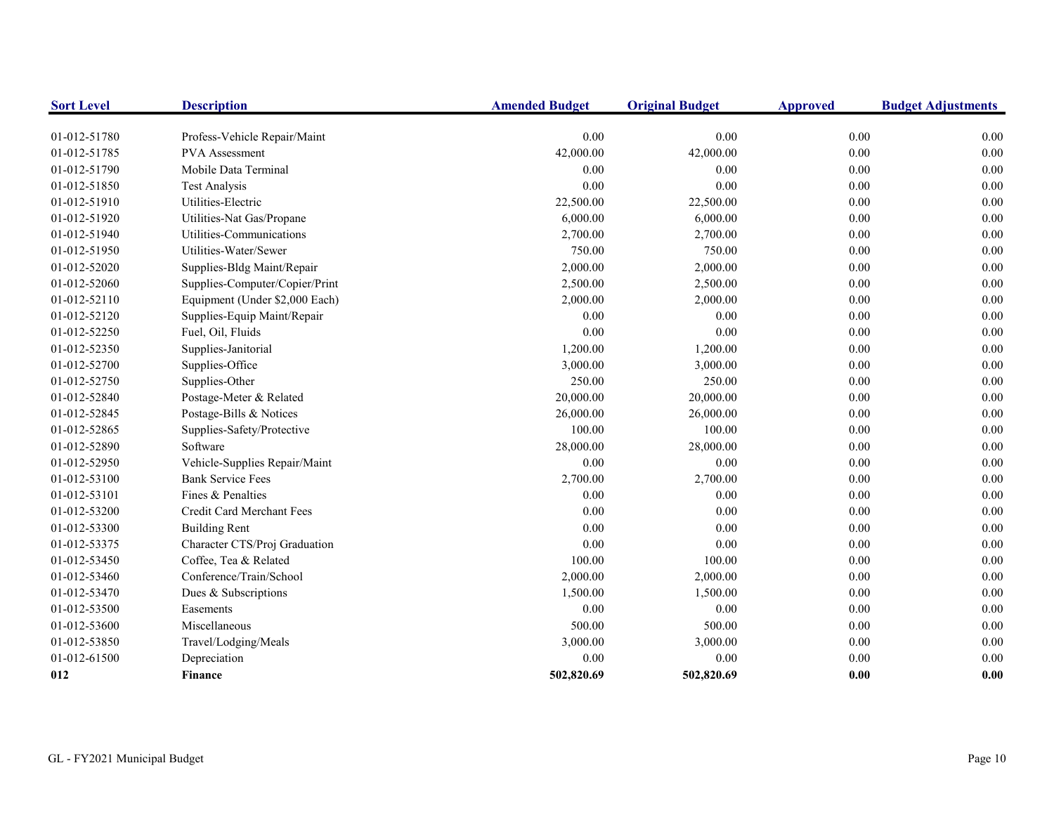| <b>Sort Level</b> | <b>Description</b>             | <b>Amended Budget</b> | <b>Original Budget</b> | <b>Approved</b> | <b>Budget Adjustments</b> |
|-------------------|--------------------------------|-----------------------|------------------------|-----------------|---------------------------|
| 01-012-51780      | Profess-Vehicle Repair/Maint   | 0.00                  | 0.00                   | 0.00            | 0.00                      |
| 01-012-51785      | <b>PVA</b> Assessment          | 42,000.00             | 42,000.00              | 0.00            | $0.00\,$                  |
| 01-012-51790      | Mobile Data Terminal           | 0.00                  | 0.00                   | $0.00\,$        | 0.00                      |
| 01-012-51850      | <b>Test Analysis</b>           | 0.00                  | 0.00                   | 0.00            | 0.00                      |
| 01-012-51910      | Utilities-Electric             | 22,500.00             | 22,500.00              | $0.00\,$        | 0.00                      |
| 01-012-51920      | Utilities-Nat Gas/Propane      | 6,000.00              | 6,000.00               | $0.00\,$        | 0.00                      |
| 01-012-51940      | Utilities-Communications       | 2,700.00              | 2,700.00               | $0.00\,$        | 0.00                      |
| 01-012-51950      | Utilities-Water/Sewer          | 750.00                | 750.00                 | 0.00            | 0.00                      |
| 01-012-52020      | Supplies-Bldg Maint/Repair     | 2,000.00              | 2,000.00               | $0.00\,$        | 0.00                      |
| 01-012-52060      | Supplies-Computer/Copier/Print | 2,500.00              | 2,500.00               | 0.00            | 0.00                      |
| 01-012-52110      | Equipment (Under \$2,000 Each) | 2,000.00              | 2,000.00               | 0.00            | 0.00                      |
| 01-012-52120      | Supplies-Equip Maint/Repair    | 0.00                  | 0.00                   | 0.00            | 0.00                      |
| 01-012-52250      | Fuel, Oil, Fluids              | 0.00                  | 0.00                   | 0.00            | 0.00                      |
| 01-012-52350      | Supplies-Janitorial            | 1,200.00              | 1,200.00               | 0.00            | 0.00                      |
| 01-012-52700      | Supplies-Office                | 3,000.00              | 3,000.00               | 0.00            | 0.00                      |
| 01-012-52750      | Supplies-Other                 | 250.00                | 250.00                 | 0.00            | 0.00                      |
| 01-012-52840      | Postage-Meter & Related        | 20,000.00             | 20,000.00              | $0.00\,$        | 0.00                      |
| 01-012-52845      | Postage-Bills & Notices        | 26,000.00             | 26,000.00              | 0.00            | 0.00                      |
| 01-012-52865      | Supplies-Safety/Protective     | 100.00                | 100.00                 | $0.00\,$        | 0.00                      |
| 01-012-52890      | Software                       | 28,000.00             | 28,000.00              | $0.00\,$        | 0.00                      |
| 01-012-52950      | Vehicle-Supplies Repair/Maint  | 0.00                  | 0.00                   | 0.00            | 0.00                      |
| 01-012-53100      | <b>Bank Service Fees</b>       | 2,700.00              | 2,700.00               | 0.00            | 0.00                      |
| 01-012-53101      | Fines & Penalties              | 0.00                  | 0.00                   | 0.00            | 0.00                      |
| 01-012-53200      | Credit Card Merchant Fees      | 0.00                  | 0.00                   | 0.00            | 0.00                      |
| 01-012-53300      | <b>Building Rent</b>           | 0.00                  | 0.00                   | 0.00            | 0.00                      |
| 01-012-53375      | Character CTS/Proj Graduation  | 0.00                  | $0.00\,$               | $0.00\,$        | 0.00                      |
| 01-012-53450      | Coffee, Tea & Related          | 100.00                | 100.00                 | 0.00            | 0.00                      |
| 01-012-53460      | Conference/Train/School        | 2,000.00              | 2,000.00               | 0.00            | 0.00                      |
| 01-012-53470      | Dues & Subscriptions           | 1,500.00              | 1,500.00               | 0.00            | 0.00                      |
| 01-012-53500      | Easements                      | 0.00                  | 0.00                   | 0.00            | 0.00                      |
| 01-012-53600      | Miscellaneous                  | 500.00                | 500.00                 | $0.00\,$        | 0.00                      |
| 01-012-53850      | Travel/Lodging/Meals           | 3,000.00              | 3,000.00               | 0.00            | 0.00                      |
| 01-012-61500      | Depreciation                   | 0.00                  | 0.00                   | $0.00\,$        | 0.00                      |
| 012               | <b>Finance</b>                 | 502,820.69            | 502,820.69             | 0.00            | $0.00\,$                  |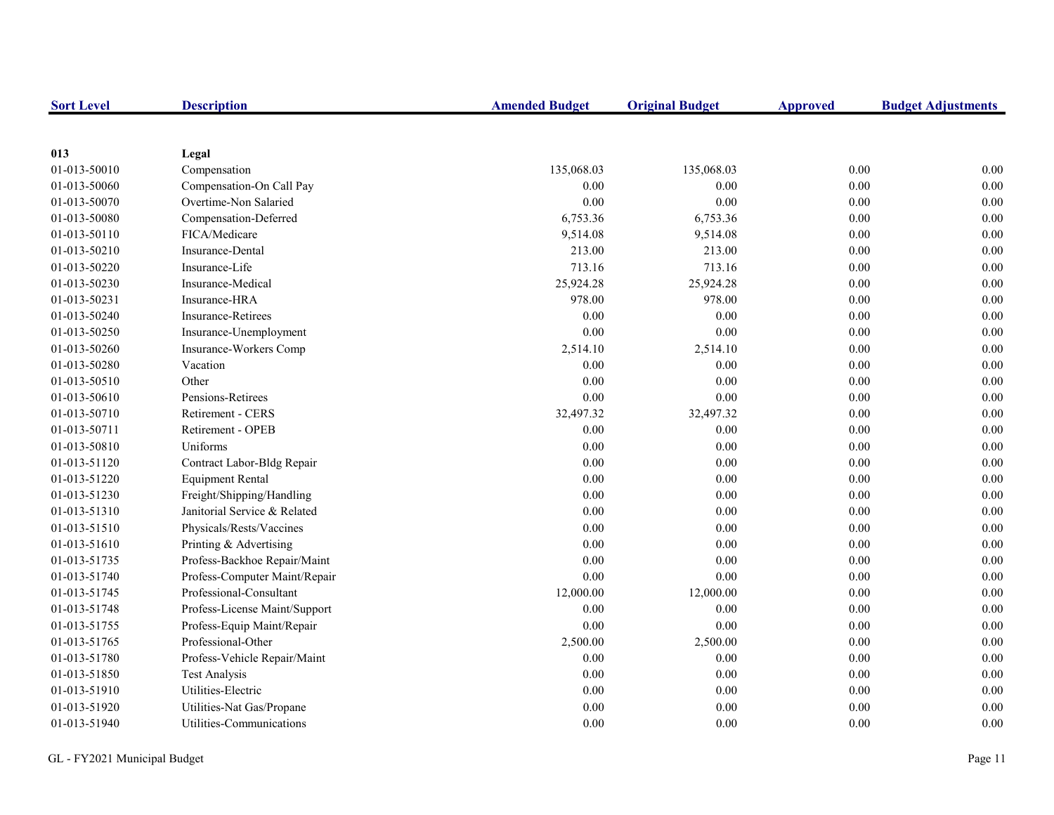| <b>Sort Level</b> | <b>Description</b>            | <b>Amended Budget</b> | <b>Original Budget</b> | <b>Approved</b> | <b>Budget Adjustments</b> |
|-------------------|-------------------------------|-----------------------|------------------------|-----------------|---------------------------|
|                   |                               |                       |                        |                 |                           |
| 013               | Legal                         |                       |                        |                 |                           |
| 01-013-50010      | Compensation                  | 135,068.03            | 135,068.03             | 0.00            | 0.00                      |
| 01-013-50060      | Compensation-On Call Pay      | 0.00                  | 0.00                   | 0.00            | $0.00\,$                  |
| 01-013-50070      | Overtime-Non Salaried         | 0.00                  | 0.00                   | 0.00            | 0.00                      |
| 01-013-50080      | Compensation-Deferred         | 6,753.36              | 6,753.36               | 0.00            | 0.00                      |
| 01-013-50110      | FICA/Medicare                 | 9,514.08              | 9,514.08               | 0.00            | 0.00                      |
| 01-013-50210      | <b>Insurance-Dental</b>       | 213.00                | 213.00                 | 0.00            | 0.00                      |
| 01-013-50220      | Insurance-Life                | 713.16                | 713.16                 | 0.00            | 0.00                      |
| 01-013-50230      | Insurance-Medical             | 25,924.28             | 25,924.28              | 0.00            | 0.00                      |
| 01-013-50231      | Insurance-HRA                 | 978.00                | 978.00                 | 0.00            | 0.00                      |
| 01-013-50240      | <b>Insurance-Retirees</b>     | $0.00\,$              | 0.00                   | 0.00            | 0.00                      |
| 01-013-50250      | Insurance-Unemployment        | $0.00\,$              | 0.00                   | 0.00            | 0.00                      |
| 01-013-50260      | Insurance-Workers Comp        | 2,514.10              | 2,514.10               | 0.00            | 0.00                      |
| 01-013-50280      | Vacation                      | 0.00                  | 0.00                   | 0.00            | 0.00                      |
| 01-013-50510      | Other                         | 0.00                  | 0.00                   | 0.00            | 0.00                      |
| 01-013-50610      | Pensions-Retirees             | 0.00                  | 0.00                   | 0.00            | 0.00                      |
| 01-013-50710      | <b>Retirement - CERS</b>      | 32,497.32             | 32,497.32              | 0.00            | 0.00                      |
| 01-013-50711      | Retirement - OPEB             | 0.00                  | 0.00                   | 0.00            | 0.00                      |
| 01-013-50810      | Uniforms                      | 0.00                  | 0.00                   | 0.00            | 0.00                      |
| 01-013-51120      | Contract Labor-Bldg Repair    | 0.00                  | 0.00                   | 0.00            | 0.00                      |
| 01-013-51220      | <b>Equipment Rental</b>       | 0.00                  | 0.00                   | 0.00            | 0.00                      |
| 01-013-51230      | Freight/Shipping/Handling     | 0.00                  | 0.00                   | 0.00            | 0.00                      |
| 01-013-51310      | Janitorial Service & Related  | 0.00                  | 0.00                   | 0.00            | 0.00                      |
| 01-013-51510      | Physicals/Rests/Vaccines      | 0.00                  | 0.00                   | 0.00            | 0.00                      |
| 01-013-51610      | Printing & Advertising        | 0.00                  | 0.00                   | 0.00            | 0.00                      |
| 01-013-51735      | Profess-Backhoe Repair/Maint  | 0.00                  | 0.00                   | $0.00\,$        | 0.00                      |
| 01-013-51740      | Profess-Computer Maint/Repair | 0.00                  | 0.00                   | 0.00            | 0.00                      |
| 01-013-51745      | Professional-Consultant       | 12,000.00             | 12,000.00              | $0.00\,$        | 0.00                      |
| 01-013-51748      | Profess-License Maint/Support | $0.00\,$              | 0.00                   | 0.00            | 0.00                      |
| 01-013-51755      | Profess-Equip Maint/Repair    | 0.00                  | 0.00                   | 0.00            | 0.00                      |
| 01-013-51765      | Professional-Other            | 2,500.00              | 2,500.00               | 0.00            | 0.00                      |
| 01-013-51780      | Profess-Vehicle Repair/Maint  | 0.00                  | 0.00                   | 0.00            | 0.00                      |
| 01-013-51850      | <b>Test Analysis</b>          | 0.00                  | 0.00                   | 0.00            | 0.00                      |
| 01-013-51910      | Utilities-Electric            | 0.00                  | 0.00                   | 0.00            | 0.00                      |
| 01-013-51920      | Utilities-Nat Gas/Propane     | 0.00                  | 0.00                   | 0.00            | 0.00                      |
| 01-013-51940      | Utilities-Communications      | 0.00                  | 0.00                   | 0.00            | 0.00                      |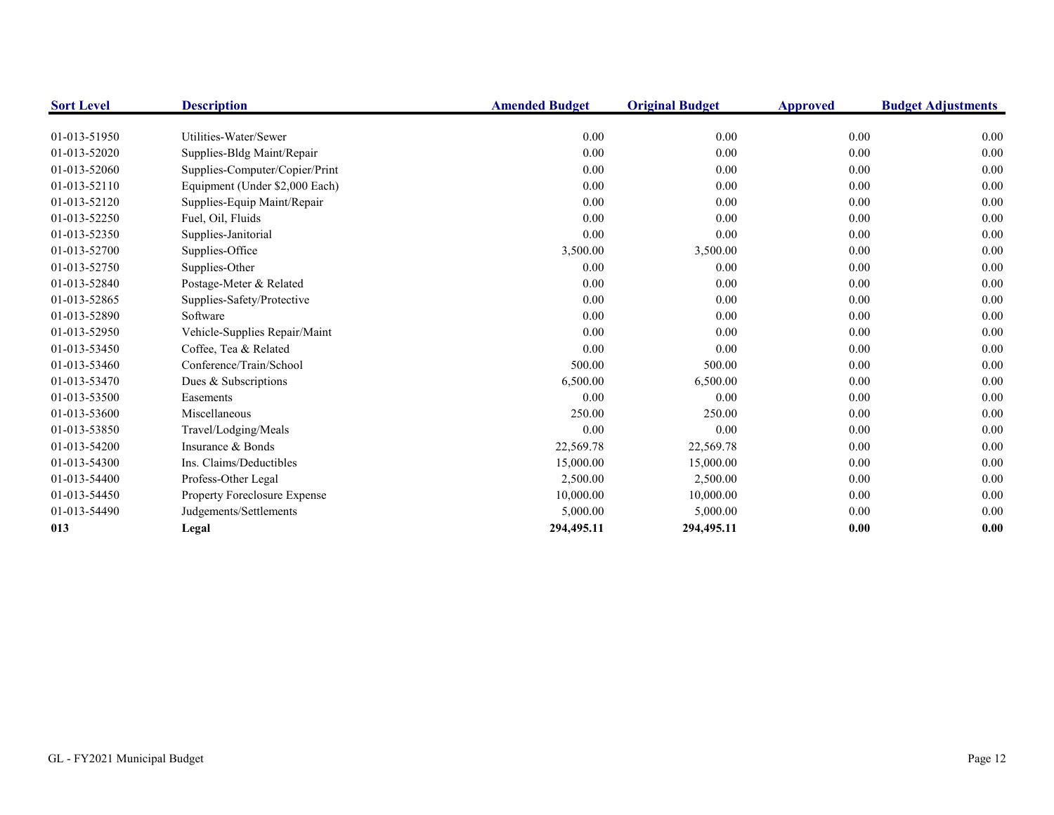| <b>Sort Level</b> | <b>Description</b>             | <b>Amended Budget</b> | <b>Original Budget</b> | <b>Approved</b> | <b>Budget Adjustments</b> |
|-------------------|--------------------------------|-----------------------|------------------------|-----------------|---------------------------|
| 01-013-51950      | Utilities-Water/Sewer          | 0.00                  | 0.00                   | 0.00            | 0.00                      |
| 01-013-52020      | Supplies-Bldg Maint/Repair     | 0.00                  | 0.00                   | 0.00            | 0.00                      |
| 01-013-52060      | Supplies-Computer/Copier/Print | 0.00                  | 0.00                   | 0.00            | 0.00                      |
| 01-013-52110      | Equipment (Under \$2,000 Each) | 0.00                  | 0.00                   | 0.00            | $0.00\,$                  |
| 01-013-52120      | Supplies-Equip Maint/Repair    | 0.00                  | 0.00                   | 0.00            | 0.00                      |
| 01-013-52250      | Fuel, Oil, Fluids              | 0.00                  | 0.00                   | 0.00            | 0.00                      |
| 01-013-52350      | Supplies-Janitorial            | 0.00                  | 0.00                   | 0.00            | 0.00                      |
| 01-013-52700      | Supplies-Office                | 3,500.00              | 3,500.00               | 0.00            | $0.00\,$                  |
| 01-013-52750      | Supplies-Other                 | 0.00                  | 0.00                   | 0.00            | 0.00                      |
| 01-013-52840      | Postage-Meter & Related        | 0.00                  | 0.00                   | 0.00            | 0.00                      |
| 01-013-52865      | Supplies-Safety/Protective     | 0.00                  | 0.00                   | 0.00            | 0.00                      |
| 01-013-52890      | Software                       | 0.00                  | 0.00                   | 0.00            | 0.00                      |
| 01-013-52950      | Vehicle-Supplies Repair/Maint  | 0.00                  | 0.00                   | 0.00            | 0.00                      |
| 01-013-53450      | Coffee, Tea & Related          | 0.00                  | 0.00                   | 0.00            | 0.00                      |
| 01-013-53460      | Conference/Train/School        | 500.00                | 500.00                 | 0.00            | 0.00                      |
| 01-013-53470      | Dues & Subscriptions           | 6,500.00              | 6,500.00               | 0.00            | 0.00                      |
| 01-013-53500      | Easements                      | 0.00                  | 0.00                   | 0.00            | 0.00                      |
| 01-013-53600      | Miscellaneous                  | 250.00                | 250.00                 | 0.00            | 0.00                      |
| 01-013-53850      | Travel/Lodging/Meals           | 0.00                  | 0.00                   | 0.00            | 0.00                      |
| 01-013-54200      | Insurance & Bonds              | 22,569.78             | 22,569.78              | 0.00            | 0.00                      |
| 01-013-54300      | Ins. Claims/Deductibles        | 15,000.00             | 15,000.00              | 0.00            | 0.00                      |
| 01-013-54400      | Profess-Other Legal            | 2,500.00              | 2,500.00               | 0.00            | 0.00                      |
| 01-013-54450      | Property Foreclosure Expense   | 10,000.00             | 10,000.00              | 0.00            | 0.00                      |
| 01-013-54490      | Judgements/Settlements         | 5,000.00              | 5,000.00               | 0.00            | 0.00                      |
| 013               | Legal                          | 294,495.11            | 294,495.11             | 0.00            | 0.00                      |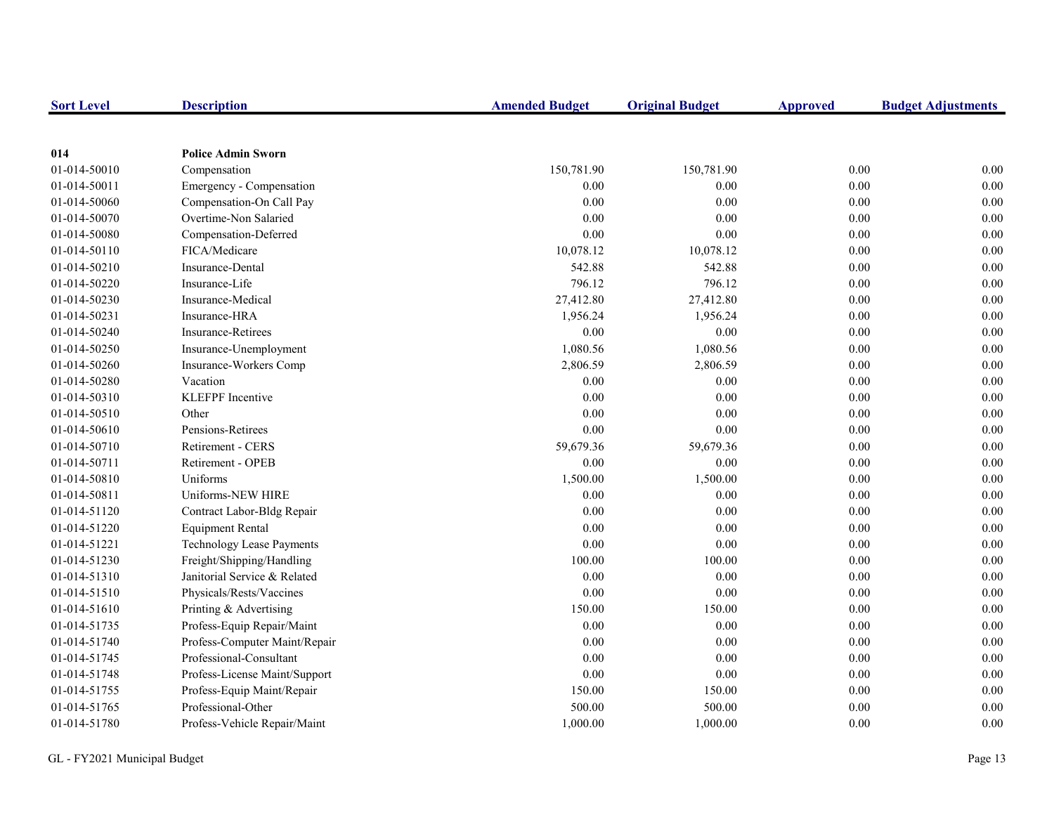| <b>Sort Level</b> | <b>Description</b>               | <b>Amended Budget</b> | <b>Original Budget</b> | <b>Approved</b> | <b>Budget Adjustments</b> |
|-------------------|----------------------------------|-----------------------|------------------------|-----------------|---------------------------|
|                   |                                  |                       |                        |                 |                           |
| 014               | <b>Police Admin Sworn</b>        |                       |                        |                 |                           |
| 01-014-50010      | Compensation                     | 150,781.90            | 150,781.90             | 0.00            | 0.00                      |
| 01-014-50011      | Emergency - Compensation         | 0.00                  | 0.00                   | 0.00            | 0.00                      |
| 01-014-50060      | Compensation-On Call Pay         | 0.00                  | 0.00                   | 0.00            | 0.00                      |
| 01-014-50070      | Overtime-Non Salaried            | 0.00                  | 0.00                   | 0.00            | 0.00                      |
| 01-014-50080      | Compensation-Deferred            | 0.00                  | 0.00                   | 0.00            | 0.00                      |
| 01-014-50110      | FICA/Medicare                    | 10,078.12             | 10,078.12              | 0.00            | 0.00                      |
| 01-014-50210      | Insurance-Dental                 | 542.88                | 542.88                 | 0.00            | 0.00                      |
| 01-014-50220      | Insurance-Life                   | 796.12                | 796.12                 | 0.00            | 0.00                      |
| 01-014-50230      | Insurance-Medical                | 27,412.80             | 27,412.80              | 0.00            | 0.00                      |
| 01-014-50231      | Insurance-HRA                    | 1,956.24              | 1,956.24               | 0.00            | 0.00                      |
| 01-014-50240      | <b>Insurance-Retirees</b>        | $0.00\,$              | 0.00                   | 0.00            | 0.00                      |
| 01-014-50250      | Insurance-Unemployment           | 1,080.56              | 1,080.56               | 0.00            | 0.00                      |
| 01-014-50260      | Insurance-Workers Comp           | 2,806.59              | 2,806.59               | 0.00            | 0.00                      |
| 01-014-50280      | Vacation                         | 0.00                  | 0.00                   | 0.00            | 0.00                      |
| 01-014-50310      | <b>KLEFPF</b> Incentive          | 0.00                  | 0.00                   | 0.00            | 0.00                      |
| 01-014-50510      | Other                            | 0.00                  | 0.00                   | 0.00            | 0.00                      |
| 01-014-50610      | Pensions-Retirees                | 0.00                  | 0.00                   | 0.00            | 0.00                      |
| 01-014-50710      | Retirement - CERS                | 59,679.36             | 59,679.36              | $0.00\,$        | 0.00                      |
| 01-014-50711      | Retirement - OPEB                | 0.00                  | 0.00                   | 0.00            | 0.00                      |
| 01-014-50810      | Uniforms                         | 1,500.00              | 1,500.00               | 0.00            | 0.00                      |
| 01-014-50811      | Uniforms-NEW HIRE                | 0.00                  | 0.00                   | 0.00            | 0.00                      |
| 01-014-51120      | Contract Labor-Bldg Repair       | 0.00                  | 0.00                   | 0.00            | 0.00                      |
| 01-014-51220      | <b>Equipment Rental</b>          | 0.00                  | 0.00                   | 0.00            | 0.00                      |
| 01-014-51221      | <b>Technology Lease Payments</b> | $0.00\,$              | 0.00                   | 0.00            | 0.00                      |
| 01-014-51230      | Freight/Shipping/Handling        | 100.00                | 100.00                 | 0.00            | 0.00                      |
| 01-014-51310      | Janitorial Service & Related     | 0.00                  | 0.00                   | 0.00            | 0.00                      |
| 01-014-51510      | Physicals/Rests/Vaccines         | 0.00                  | 0.00                   | 0.00            | 0.00                      |
| 01-014-51610      | Printing & Advertising           | 150.00                | 150.00                 | 0.00            | 0.00                      |
| 01-014-51735      | Profess-Equip Repair/Maint       | 0.00                  | 0.00                   | 0.00            | 0.00                      |
| 01-014-51740      | Profess-Computer Maint/Repair    | $0.00\,$              | 0.00                   | 0.00            | 0.00                      |
| 01-014-51745      | Professional-Consultant          | $0.00\,$              | 0.00                   | 0.00            | 0.00                      |
| 01-014-51748      | Profess-License Maint/Support    | 0.00                  | 0.00                   | 0.00            | 0.00                      |
| 01-014-51755      | Profess-Equip Maint/Repair       | 150.00                | 150.00                 | $0.00\,$        | 0.00                      |
| 01-014-51765      | Professional-Other               | 500.00                | 500.00                 | 0.00            | 0.00                      |
| 01-014-51780      | Profess-Vehicle Repair/Maint     | 1,000.00              | 1,000.00               | 0.00            | 0.00                      |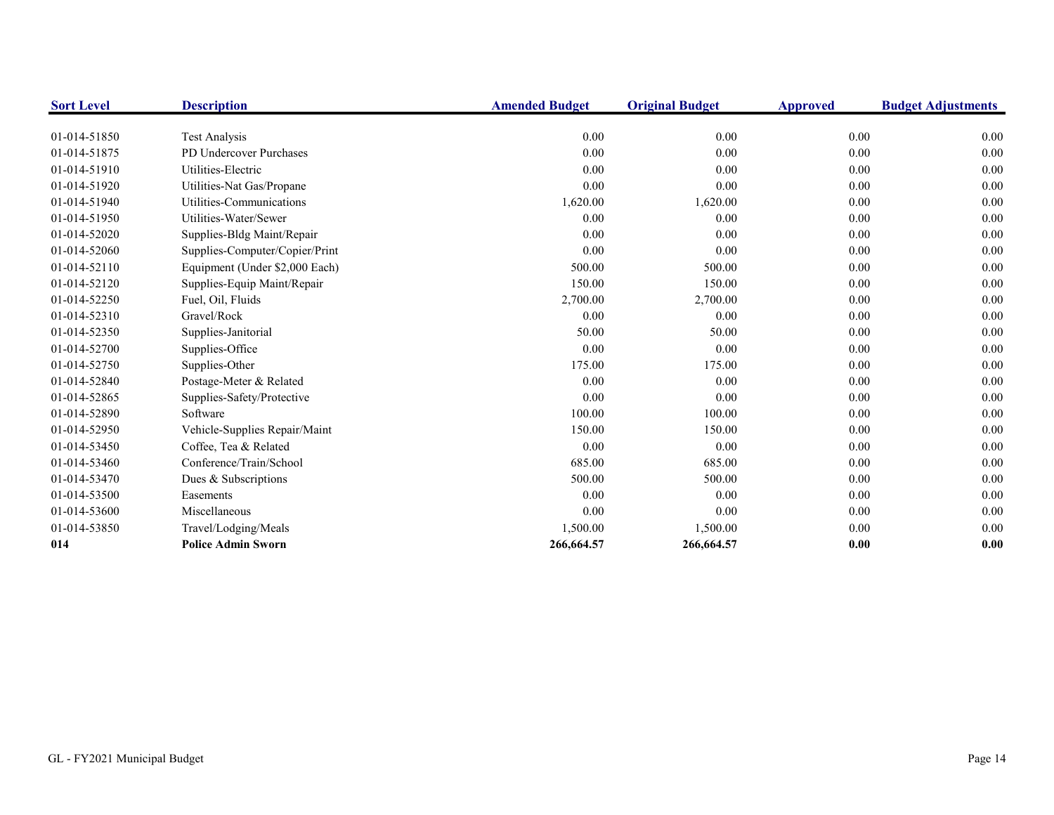| <b>Sort Level</b> | <b>Description</b>             | <b>Amended Budget</b> | <b>Original Budget</b> | <b>Approved</b> | <b>Budget Adjustments</b> |
|-------------------|--------------------------------|-----------------------|------------------------|-----------------|---------------------------|
|                   |                                |                       |                        |                 |                           |
| 01-014-51850      | Test Analysis                  | 0.00                  | 0.00                   | 0.00            | 0.00                      |
| 01-014-51875      | PD Undercover Purchases        | 0.00                  | 0.00                   | 0.00            | 0.00                      |
| 01-014-51910      | Utilities-Electric             | 0.00                  | 0.00                   | 0.00            | 0.00                      |
| 01-014-51920      | Utilities-Nat Gas/Propane      | 0.00                  | 0.00                   | 0.00            | 0.00                      |
| 01-014-51940      | Utilities-Communications       | 1,620.00              | 1,620.00               | 0.00            | 0.00                      |
| 01-014-51950      | Utilities-Water/Sewer          | 0.00                  | 0.00                   | 0.00            | 0.00                      |
| 01-014-52020      | Supplies-Bldg Maint/Repair     | 0.00                  | 0.00                   | 0.00            | 0.00                      |
| 01-014-52060      | Supplies-Computer/Copier/Print | 0.00                  | 0.00                   | 0.00            | 0.00                      |
| 01-014-52110      | Equipment (Under \$2,000 Each) | 500.00                | 500.00                 | 0.00            | 0.00                      |
| 01-014-52120      | Supplies-Equip Maint/Repair    | 150.00                | 150.00                 | 0.00            | 0.00                      |
| 01-014-52250      | Fuel, Oil, Fluids              | 2,700.00              | 2,700.00               | 0.00            | 0.00                      |
| 01-014-52310      | Gravel/Rock                    | 0.00                  | 0.00                   | 0.00            | 0.00                      |
| 01-014-52350      | Supplies-Janitorial            | 50.00                 | 50.00                  | 0.00            | 0.00                      |
| 01-014-52700      | Supplies-Office                | 0.00                  | 0.00                   | 0.00            | 0.00                      |
| 01-014-52750      | Supplies-Other                 | 175.00                | 175.00                 | 0.00            | 0.00                      |
| 01-014-52840      | Postage-Meter & Related        | 0.00                  | 0.00                   | 0.00            | 0.00                      |
| 01-014-52865      | Supplies-Safety/Protective     | 0.00                  | 0.00                   | 0.00            | 0.00                      |
| 01-014-52890      | Software                       | 100.00                | 100.00                 | 0.00            | 0.00                      |
| 01-014-52950      | Vehicle-Supplies Repair/Maint  | 150.00                | 150.00                 | 0.00            | 0.00                      |
| 01-014-53450      | Coffee, Tea & Related          | 0.00                  | 0.00                   | 0.00            | 0.00                      |
| 01-014-53460      | Conference/Train/School        | 685.00                | 685.00                 | 0.00            | 0.00                      |
| 01-014-53470      | Dues & Subscriptions           | 500.00                | 500.00                 | 0.00            | 0.00                      |
| 01-014-53500      | Easements                      | 0.00                  | 0.00                   | 0.00            | 0.00                      |
| 01-014-53600      | Miscellaneous                  | 0.00                  | 0.00                   | 0.00            | 0.00                      |
| 01-014-53850      | Travel/Lodging/Meals           | 1,500.00              | 1,500.00               | 0.00            | 0.00                      |
| 014               | <b>Police Admin Sworn</b>      | 266,664.57            | 266,664.57             | 0.00            | 0.00                      |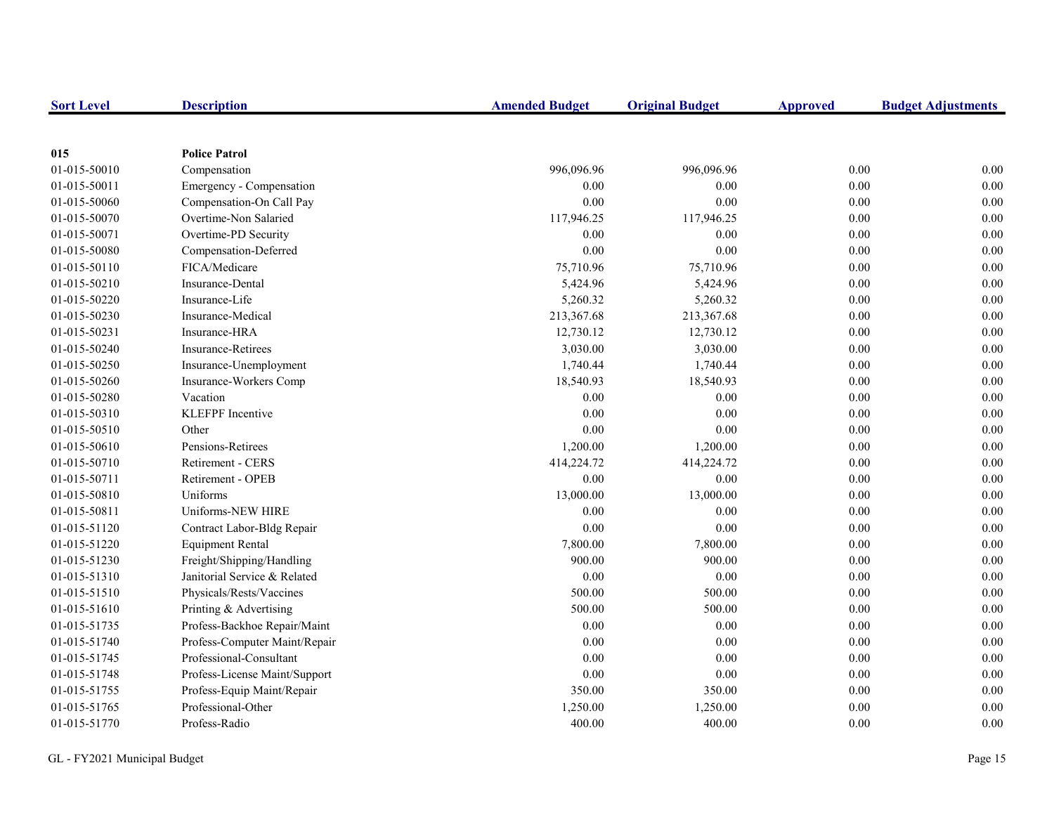| <b>Sort Level</b> | <b>Description</b>            | <b>Amended Budget</b> | <b>Original Budget</b> | <b>Approved</b> | <b>Budget Adjustments</b> |
|-------------------|-------------------------------|-----------------------|------------------------|-----------------|---------------------------|
|                   |                               |                       |                        |                 |                           |
| 015               | <b>Police Patrol</b>          |                       |                        |                 |                           |
| 01-015-50010      | Compensation                  | 996,096.96            | 996,096.96             | 0.00            | 0.00                      |
| 01-015-50011      | Emergency - Compensation      | 0.00                  | 0.00                   | 0.00            | 0.00                      |
| 01-015-50060      | Compensation-On Call Pay      | 0.00                  | 0.00                   | $0.00\,$        | 0.00                      |
| 01-015-50070      | Overtime-Non Salaried         | 117,946.25            | 117,946.25             | 0.00            | 0.00                      |
| 01-015-50071      | Overtime-PD Security          | 0.00                  | 0.00                   | 0.00            | 0.00                      |
| 01-015-50080      | Compensation-Deferred         | 0.00                  | 0.00                   | 0.00            | 0.00                      |
| 01-015-50110      | FICA/Medicare                 | 75,710.96             | 75,710.96              | 0.00            | 0.00                      |
| 01-015-50210      | Insurance-Dental              | 5,424.96              | 5,424.96               | 0.00            | 0.00                      |
| 01-015-50220      | Insurance-Life                | 5,260.32              | 5,260.32               | 0.00            | 0.00                      |
| 01-015-50230      | Insurance-Medical             | 213,367.68            | 213,367.68             | 0.00            | 0.00                      |
| 01-015-50231      | Insurance-HRA                 | 12,730.12             | 12,730.12              | 0.00            | 0.00                      |
| 01-015-50240      | <b>Insurance-Retirees</b>     | 3,030.00              | 3,030.00               | 0.00            | 0.00                      |
| 01-015-50250      | Insurance-Unemployment        | 1,740.44              | 1,740.44               | 0.00            | 0.00                      |
| 01-015-50260      | Insurance-Workers Comp        | 18,540.93             | 18,540.93              | $0.00\,$        | 0.00                      |
| 01-015-50280      | Vacation                      | 0.00                  | 0.00                   | 0.00            | 0.00                      |
| 01-015-50310      | <b>KLEFPF</b> Incentive       | 0.00                  | 0.00                   | 0.00            | 0.00                      |
| 01-015-50510      | Other                         | 0.00                  | 0.00                   | 0.00            | 0.00                      |
| 01-015-50610      | Pensions-Retirees             | 1,200.00              | 1,200.00               | 0.00            | 0.00                      |
| 01-015-50710      | Retirement - CERS             | 414,224.72            | 414,224.72             | 0.00            | 0.00                      |
| 01-015-50711      | Retirement - OPEB             | 0.00                  | 0.00                   | 0.00            | 0.00                      |
| 01-015-50810      | Uniforms                      | 13,000.00             | 13,000.00              | 0.00            | 0.00                      |
| 01-015-50811      | Uniforms-NEW HIRE             | 0.00                  | 0.00                   | $0.00\,$        | 0.00                      |
| 01-015-51120      | Contract Labor-Bldg Repair    | $0.00\,$              | 0.00                   | 0.00            | 0.00                      |
| 01-015-51220      | <b>Equipment Rental</b>       | 7,800.00              | 7,800.00               | 0.00            | 0.00                      |
| 01-015-51230      | Freight/Shipping/Handling     | 900.00                | 900.00                 | 0.00            | 0.00                      |
| 01-015-51310      | Janitorial Service & Related  | 0.00                  | 0.00                   | 0.00            | 0.00                      |
| 01-015-51510      | Physicals/Rests/Vaccines      | 500.00                | 500.00                 | 0.00            | 0.00                      |
| 01-015-51610      | Printing & Advertising        | 500.00                | 500.00                 | 0.00            | 0.00                      |
| 01-015-51735      | Profess-Backhoe Repair/Maint  | 0.00                  | 0.00                   | 0.00            | 0.00                      |
| 01-015-51740      | Profess-Computer Maint/Repair | 0.00                  | 0.00                   | $0.00\,$        | 0.00                      |
| 01-015-51745      | Professional-Consultant       | 0.00                  | 0.00                   | 0.00            | 0.00                      |
| 01-015-51748      | Profess-License Maint/Support | 0.00                  | 0.00                   | 0.00            | 0.00                      |
| 01-015-51755      | Profess-Equip Maint/Repair    | 350.00                | 350.00                 | $0.00\,$        | 0.00                      |
| 01-015-51765      | Professional-Other            | 1,250.00              | 1,250.00               | 0.00            | 0.00                      |
| 01-015-51770      | Profess-Radio                 | 400.00                | 400.00                 | 0.00            | 0.00                      |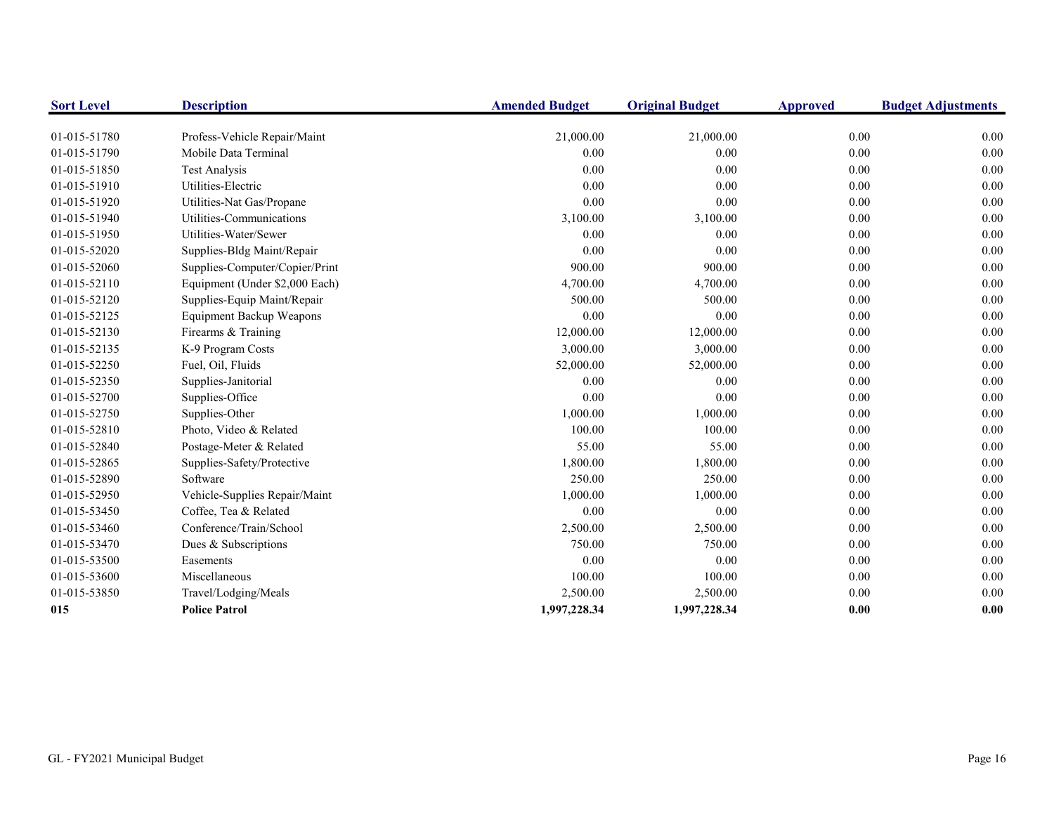| <b>Sort Level</b> | <b>Description</b>              | <b>Amended Budget</b> | <b>Original Budget</b> | <b>Approved</b> | <b>Budget Adjustments</b> |
|-------------------|---------------------------------|-----------------------|------------------------|-----------------|---------------------------|
|                   |                                 |                       |                        |                 |                           |
| 01-015-51780      | Profess-Vehicle Repair/Maint    | 21,000.00             | 21,000.00              | 0.00            | 0.00                      |
| 01-015-51790      | Mobile Data Terminal            | 0.00                  | 0.00                   | 0.00            | 0.00                      |
| 01-015-51850      | <b>Test Analysis</b>            | 0.00                  | 0.00                   | 0.00            | 0.00                      |
| 01-015-51910      | Utilities-Electric              | 0.00                  | 0.00                   | 0.00            | 0.00                      |
| 01-015-51920      | Utilities-Nat Gas/Propane       | 0.00                  | 0.00                   | 0.00            | 0.00                      |
| 01-015-51940      | Utilities-Communications        | 3,100.00              | 3,100.00               | 0.00            | 0.00                      |
| 01-015-51950      | Utilities-Water/Sewer           | 0.00                  | 0.00                   | 0.00            | 0.00                      |
| 01-015-52020      | Supplies-Bldg Maint/Repair      | 0.00                  | 0.00                   | 0.00            | 0.00                      |
| 01-015-52060      | Supplies-Computer/Copier/Print  | 900.00                | 900.00                 | 0.00            | 0.00                      |
| 01-015-52110      | Equipment (Under \$2,000 Each)  | 4,700.00              | 4,700.00               | 0.00            | 0.00                      |
| 01-015-52120      | Supplies-Equip Maint/Repair     | 500.00                | 500.00                 | 0.00            | 0.00                      |
| 01-015-52125      | <b>Equipment Backup Weapons</b> | 0.00                  | 0.00                   | 0.00            | 0.00                      |
| 01-015-52130      | Firearms & Training             | 12,000.00             | 12,000.00              | 0.00            | 0.00                      |
| 01-015-52135      | K-9 Program Costs               | 3,000.00              | 3,000.00               | 0.00            | 0.00                      |
| 01-015-52250      | Fuel, Oil, Fluids               | 52,000.00             | 52,000.00              | 0.00            | 0.00                      |
| 01-015-52350      | Supplies-Janitorial             | 0.00                  | 0.00                   | 0.00            | 0.00                      |
| 01-015-52700      | Supplies-Office                 | 0.00                  | 0.00                   | 0.00            | 0.00                      |
| 01-015-52750      | Supplies-Other                  | 1,000.00              | 1,000.00               | 0.00            | 0.00                      |
| 01-015-52810      | Photo, Video & Related          | 100.00                | 100.00                 | 0.00            | 0.00                      |
| 01-015-52840      | Postage-Meter & Related         | 55.00                 | 55.00                  | 0.00            | 0.00                      |
| 01-015-52865      | Supplies-Safety/Protective      | 1,800.00              | 1,800.00               | 0.00            | 0.00                      |
| 01-015-52890      | Software                        | 250.00                | 250.00                 | 0.00            | 0.00                      |
| 01-015-52950      | Vehicle-Supplies Repair/Maint   | 1,000.00              | 1,000.00               | 0.00            | 0.00                      |
| 01-015-53450      | Coffee, Tea & Related           | 0.00                  | 0.00                   | 0.00            | 0.00                      |
| 01-015-53460      | Conference/Train/School         | 2,500.00              | 2,500.00               | 0.00            | 0.00                      |
| 01-015-53470      | Dues & Subscriptions            | 750.00                | 750.00                 | 0.00            | 0.00                      |
| 01-015-53500      | Easements                       | 0.00                  | 0.00                   | 0.00            | 0.00                      |
| 01-015-53600      | Miscellaneous                   | 100.00                | 100.00                 | 0.00            | 0.00                      |
| 01-015-53850      | Travel/Lodging/Meals            | 2,500.00              | 2,500.00               | 0.00            | 0.00                      |
| 015               | <b>Police Patrol</b>            | 1,997,228.34          | 1,997,228.34           | 0.00            | 0.00                      |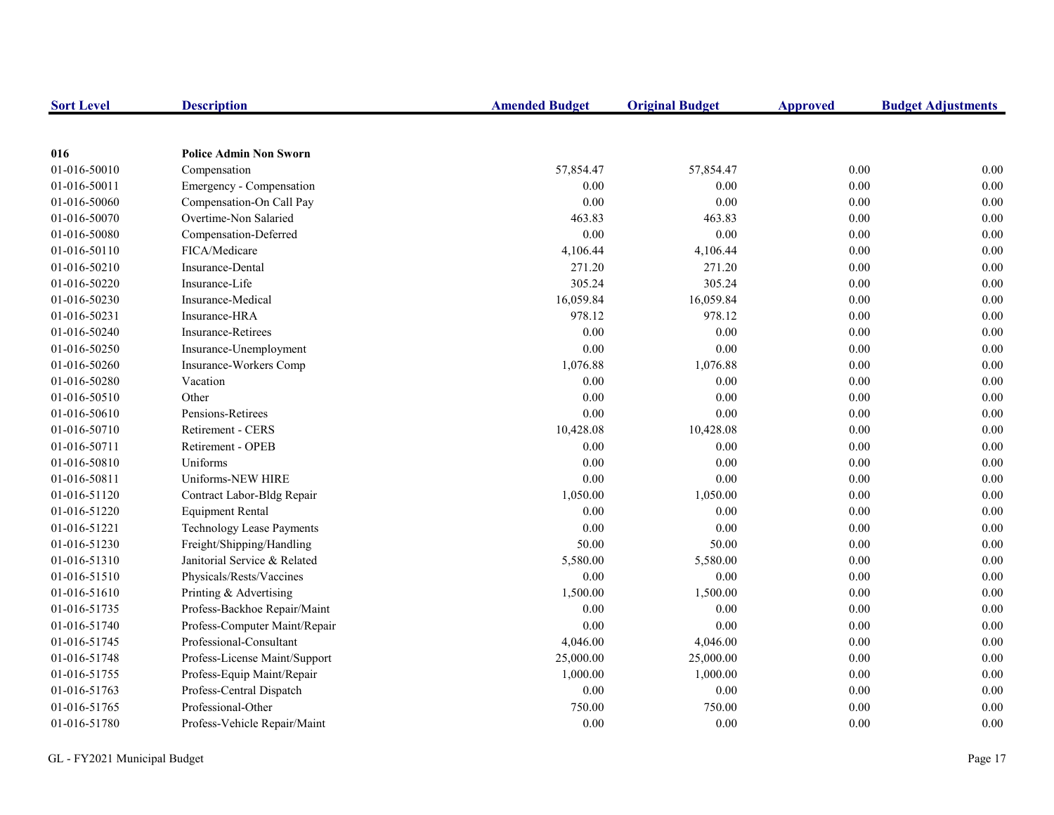| <b>Sort Level</b> | <b>Description</b>               | <b>Amended Budget</b> | <b>Original Budget</b> | <b>Approved</b> | <b>Budget Adjustments</b> |
|-------------------|----------------------------------|-----------------------|------------------------|-----------------|---------------------------|
|                   |                                  |                       |                        |                 |                           |
| 016               | <b>Police Admin Non Sworn</b>    |                       |                        |                 |                           |
| 01-016-50010      | Compensation                     | 57,854.47             | 57,854.47              | 0.00            | 0.00                      |
| 01-016-50011      | Emergency - Compensation         | 0.00                  | 0.00                   | 0.00            | 0.00                      |
| 01-016-50060      | Compensation-On Call Pay         | 0.00                  | 0.00                   | 0.00            | 0.00                      |
| 01-016-50070      | Overtime-Non Salaried            | 463.83                | 463.83                 | $0.00\,$        | 0.00                      |
| 01-016-50080      | Compensation-Deferred            | 0.00                  | 0.00                   | 0.00            | $0.00\,$                  |
| 01-016-50110      | FICA/Medicare                    | 4,106.44              | 4,106.44               | 0.00            | 0.00                      |
| 01-016-50210      | Insurance-Dental                 | 271.20                | 271.20                 | 0.00            | 0.00                      |
| 01-016-50220      | Insurance-Life                   | 305.24                | 305.24                 | 0.00            | 0.00                      |
| 01-016-50230      | Insurance-Medical                | 16,059.84             | 16,059.84              | 0.00            | 0.00                      |
| 01-016-50231      | Insurance-HRA                    | 978.12                | 978.12                 | 0.00            | $0.00\,$                  |
| 01-016-50240      | <b>Insurance-Retirees</b>        | 0.00                  | 0.00                   | 0.00            | 0.00                      |
| 01-016-50250      | Insurance-Unemployment           | 0.00                  | 0.00                   | 0.00            | 0.00                      |
| 01-016-50260      | Insurance-Workers Comp           | 1,076.88              | 1,076.88               | $0.00\,$        | 0.00                      |
| 01-016-50280      | Vacation                         | 0.00                  | 0.00                   | 0.00            | $0.00\,$                  |
| 01-016-50510      | Other                            | 0.00                  | 0.00                   | $0.00\,$        | $0.00\,$                  |
| 01-016-50610      | Pensions-Retirees                | 0.00                  | 0.00                   | 0.00            | $0.00\,$                  |
| 01-016-50710      | <b>Retirement - CERS</b>         | 10,428.08             | 10,428.08              | 0.00            | 0.00                      |
| 01-016-50711      | <b>Retirement - OPEB</b>         | 0.00                  | 0.00                   | 0.00            | 0.00                      |
| 01-016-50810      | Uniforms                         | 0.00                  | 0.00                   | 0.00            | 0.00                      |
| 01-016-50811      | Uniforms-NEW HIRE                | $0.00\,$              | 0.00                   | 0.00            | $0.00\,$                  |
| 01-016-51120      | Contract Labor-Bldg Repair       | 1,050.00              | 1,050.00               | 0.00            | 0.00                      |
| 01-016-51220      | <b>Equipment Rental</b>          | 0.00                  | 0.00                   | 0.00            | 0.00                      |
| 01-016-51221      | <b>Technology Lease Payments</b> | 0.00                  | 0.00                   | 0.00            | 0.00                      |
| 01-016-51230      | Freight/Shipping/Handling        | 50.00                 | 50.00                  | 0.00            | $0.00\,$                  |
| 01-016-51310      | Janitorial Service & Related     | 5,580.00              | 5,580.00               | 0.00            | $0.00\,$                  |
| 01-016-51510      | Physicals/Rests/Vaccines         | $0.00\,$              | 0.00                   | 0.00            | $0.00\,$                  |
| 01-016-51610      | Printing & Advertising           | 1,500.00              | 1,500.00               | 0.00            | $0.00\,$                  |
| 01-016-51735      | Profess-Backhoe Repair/Maint     | 0.00                  | 0.00                   | 0.00            | 0.00                      |
| 01-016-51740      | Profess-Computer Maint/Repair    | 0.00                  | 0.00                   | 0.00            | 0.00                      |
| 01-016-51745      | Professional-Consultant          | 4,046.00              | 4,046.00               | 0.00            | 0.00                      |
| 01-016-51748      | Profess-License Maint/Support    | 25,000.00             | 25,000.00              | 0.00            | 0.00                      |
| 01-016-51755      | Profess-Equip Maint/Repair       | 1,000.00              | 1,000.00               | $0.00\,$        | $0.00\,$                  |
| 01-016-51763      | Profess-Central Dispatch         | 0.00                  | 0.00                   | 0.00            | $0.00\,$                  |
| 01-016-51765      | Professional-Other               | 750.00                | 750.00                 | 0.00            | 0.00                      |
| 01-016-51780      | Profess-Vehicle Repair/Maint     | 0.00                  | 0.00                   | 0.00            | 0.00                      |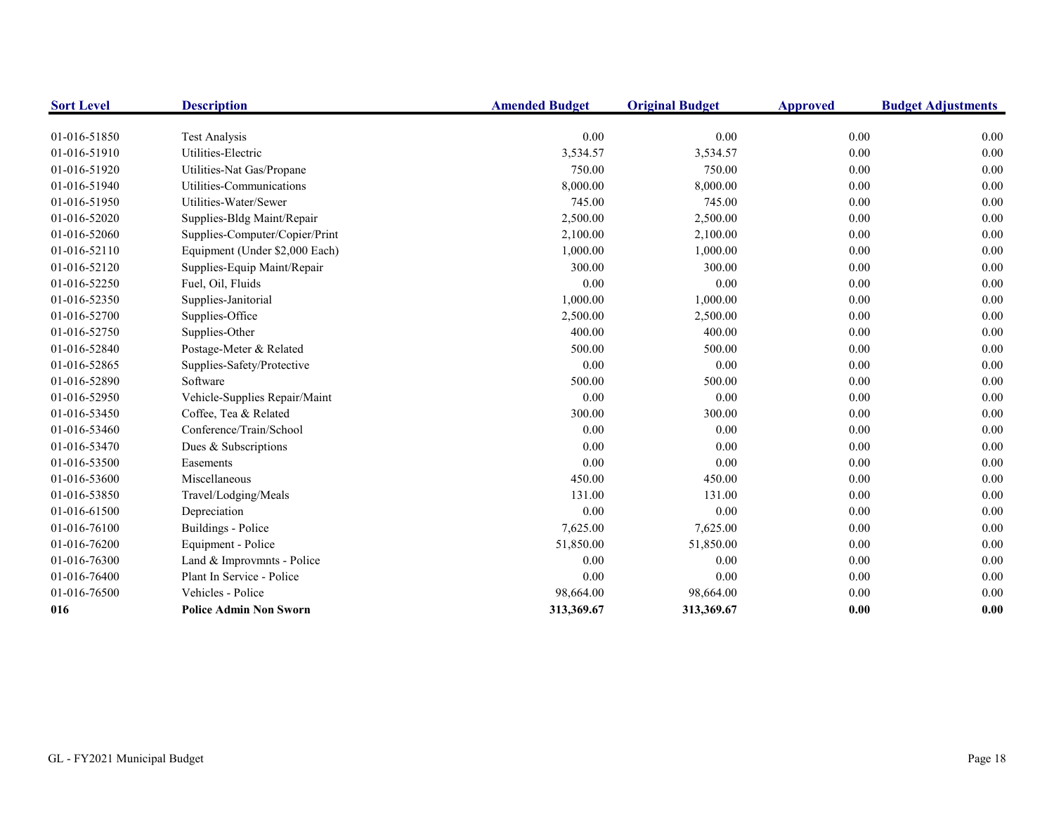| <b>Sort Level</b> | <b>Description</b>             | <b>Amended Budget</b> | <b>Original Budget</b> | <b>Approved</b> | <b>Budget Adjustments</b> |
|-------------------|--------------------------------|-----------------------|------------------------|-----------------|---------------------------|
|                   |                                |                       |                        |                 |                           |
| 01-016-51850      | <b>Test Analysis</b>           | 0.00                  | 0.00                   | 0.00            | 0.00                      |
| 01-016-51910      | Utilities-Electric             | 3,534.57              | 3,534.57               | 0.00            | 0.00                      |
| 01-016-51920      | Utilities-Nat Gas/Propane      | 750.00                | 750.00                 | 0.00            | 0.00                      |
| 01-016-51940      | Utilities-Communications       | 8,000.00              | 8,000.00               | 0.00            | 0.00                      |
| 01-016-51950      | Utilities-Water/Sewer          | 745.00                | 745.00                 | 0.00            | 0.00                      |
| 01-016-52020      | Supplies-Bldg Maint/Repair     | 2,500.00              | 2,500.00               | 0.00            | 0.00                      |
| 01-016-52060      | Supplies-Computer/Copier/Print | 2,100.00              | 2,100.00               | 0.00            | 0.00                      |
| 01-016-52110      | Equipment (Under \$2,000 Each) | 1,000.00              | 1,000.00               | 0.00            | 0.00                      |
| 01-016-52120      | Supplies-Equip Maint/Repair    | 300.00                | 300.00                 | 0.00            | 0.00                      |
| 01-016-52250      | Fuel, Oil, Fluids              | 0.00                  | 0.00                   | 0.00            | 0.00                      |
| 01-016-52350      | Supplies-Janitorial            | 1,000.00              | 1,000.00               | 0.00            | 0.00                      |
| 01-016-52700      | Supplies-Office                | 2,500.00              | 2,500.00               | 0.00            | 0.00                      |
| 01-016-52750      | Supplies-Other                 | 400.00                | 400.00                 | 0.00            | 0.00                      |
| 01-016-52840      | Postage-Meter & Related        | 500.00                | 500.00                 | 0.00            | 0.00                      |
| 01-016-52865      | Supplies-Safety/Protective     | 0.00                  | 0.00                   | 0.00            | 0.00                      |
| 01-016-52890      | Software                       | 500.00                | 500.00                 | 0.00            | 0.00                      |
| 01-016-52950      | Vehicle-Supplies Repair/Maint  | 0.00                  | 0.00                   | 0.00            | 0.00                      |
| 01-016-53450      | Coffee, Tea & Related          | 300.00                | 300.00                 | 0.00            | 0.00                      |
| 01-016-53460      | Conference/Train/School        | 0.00                  | 0.00                   | $0.00\,$        | 0.00                      |
| 01-016-53470      | Dues & Subscriptions           | 0.00                  | 0.00                   | 0.00            | 0.00                      |
| 01-016-53500      | Easements                      | 0.00                  | 0.00                   | 0.00            | 0.00                      |
| 01-016-53600      | Miscellaneous                  | 450.00                | 450.00                 | 0.00            | 0.00                      |
| 01-016-53850      | Travel/Lodging/Meals           | 131.00                | 131.00                 | 0.00            | 0.00                      |
| 01-016-61500      | Depreciation                   | 0.00                  | 0.00                   | 0.00            | 0.00                      |
| 01-016-76100      | Buildings - Police             | 7,625.00              | 7,625.00               | 0.00            | 0.00                      |
| 01-016-76200      | Equipment - Police             | 51,850.00             | 51,850.00              | 0.00            | 0.00                      |
| 01-016-76300      | Land & Improvmnts - Police     | 0.00                  | 0.00                   | 0.00            | 0.00                      |
| 01-016-76400      | Plant In Service - Police      | 0.00                  | 0.00                   | 0.00            | 0.00                      |
| 01-016-76500      | Vehicles - Police              | 98,664.00             | 98,664.00              | 0.00            | 0.00                      |
| 016               | <b>Police Admin Non Sworn</b>  | 313,369.67            | 313,369.67             | 0.00            | 0.00                      |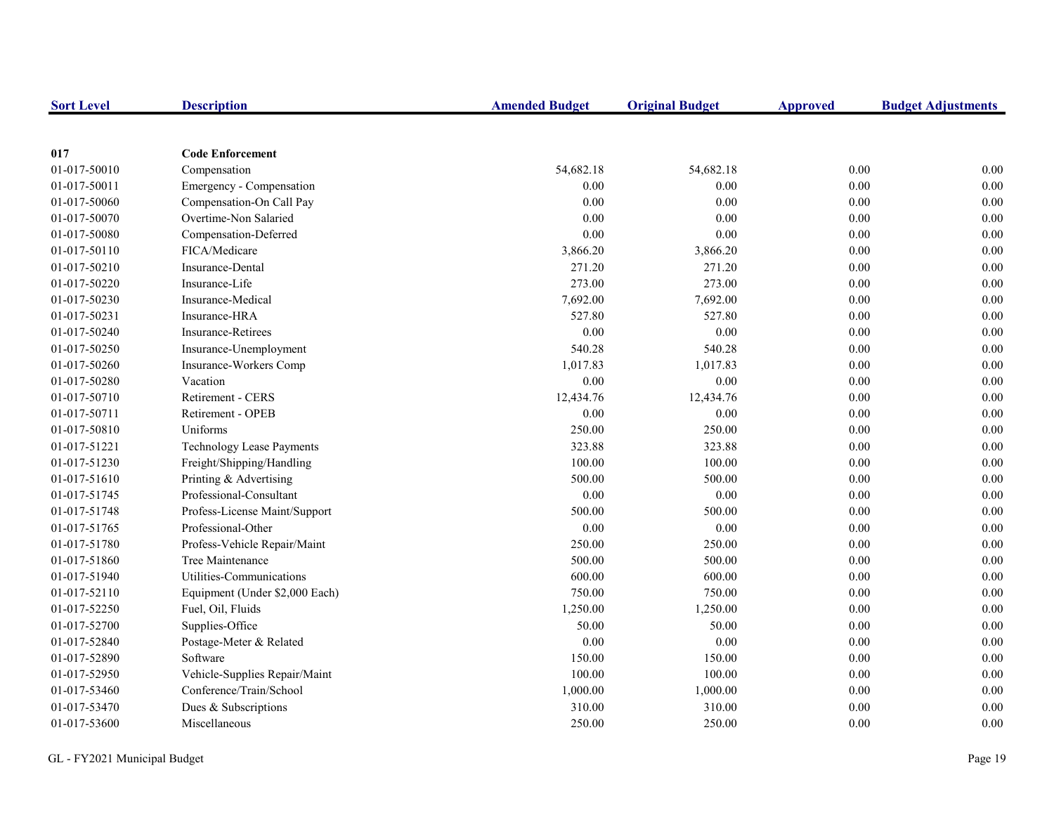| <b>Sort Level</b> | <b>Description</b>               | <b>Amended Budget</b> | <b>Original Budget</b> | <b>Approved</b> | <b>Budget Adjustments</b> |
|-------------------|----------------------------------|-----------------------|------------------------|-----------------|---------------------------|
|                   |                                  |                       |                        |                 |                           |
| 017               | <b>Code Enforcement</b>          |                       |                        |                 |                           |
| 01-017-50010      | Compensation                     | 54,682.18             | 54,682.18              | 0.00            | 0.00                      |
| 01-017-50011      | Emergency - Compensation         | 0.00                  | 0.00                   | 0.00            | 0.00                      |
| 01-017-50060      | Compensation-On Call Pay         | 0.00                  | 0.00                   | $0.00\,$        | 0.00                      |
| 01-017-50070      | Overtime-Non Salaried            | 0.00                  | 0.00                   | 0.00            | 0.00                      |
| 01-017-50080      | Compensation-Deferred            | 0.00                  | 0.00                   | 0.00            | 0.00                      |
| 01-017-50110      | FICA/Medicare                    | 3,866.20              | 3,866.20               | 0.00            | 0.00                      |
| 01-017-50210      | Insurance-Dental                 | 271.20                | 271.20                 | 0.00            | 0.00                      |
| 01-017-50220      | Insurance-Life                   | 273.00                | 273.00                 | 0.00            | 0.00                      |
| 01-017-50230      | Insurance-Medical                | 7,692.00              | 7,692.00               | 0.00            | 0.00                      |
| 01-017-50231      | Insurance-HRA                    | 527.80                | 527.80                 | 0.00            | 0.00                      |
| 01-017-50240      | <b>Insurance-Retirees</b>        | 0.00                  | 0.00                   | 0.00            | 0.00                      |
| 01-017-50250      | Insurance-Unemployment           | 540.28                | 540.28                 | 0.00            | 0.00                      |
| 01-017-50260      | Insurance-Workers Comp           | 1,017.83              | 1,017.83               | 0.00            | 0.00                      |
| 01-017-50280      | Vacation                         | 0.00                  | 0.00                   | $0.00\,$        | 0.00                      |
| 01-017-50710      | <b>Retirement - CERS</b>         | 12,434.76             | 12,434.76              | 0.00            | 0.00                      |
| 01-017-50711      | Retirement - OPEB                | 0.00                  | 0.00                   | 0.00            | 0.00                      |
| 01-017-50810      | Uniforms                         | 250.00                | 250.00                 | 0.00            | 0.00                      |
| 01-017-51221      | <b>Technology Lease Payments</b> | 323.88                | 323.88                 | 0.00            | 0.00                      |
| 01-017-51230      | Freight/Shipping/Handling        | 100.00                | 100.00                 | 0.00            | 0.00                      |
| 01-017-51610      | Printing & Advertising           | 500.00                | 500.00                 | 0.00            | 0.00                      |
| 01-017-51745      | Professional-Consultant          | 0.00                  | 0.00                   | 0.00            | 0.00                      |
| 01-017-51748      | Profess-License Maint/Support    | 500.00                | 500.00                 | $0.00\,$        | 0.00                      |
| 01-017-51765      | Professional-Other               | 0.00                  | 0.00                   | 0.00            | 0.00                      |
| 01-017-51780      | Profess-Vehicle Repair/Maint     | 250.00                | 250.00                 | 0.00            | 0.00                      |
| 01-017-51860      | Tree Maintenance                 | 500.00                | 500.00                 | 0.00            | 0.00                      |
| 01-017-51940      | Utilities-Communications         | 600.00                | 600.00                 | 0.00            | 0.00                      |
| 01-017-52110      | Equipment (Under \$2,000 Each)   | 750.00                | 750.00                 | 0.00            | 0.00                      |
| 01-017-52250      | Fuel, Oil, Fluids                | 1,250.00              | 1,250.00               | 0.00            | 0.00                      |
| 01-017-52700      | Supplies-Office                  | 50.00                 | 50.00                  | 0.00            | 0.00                      |
| 01-017-52840      | Postage-Meter & Related          | 0.00                  | 0.00                   | 0.00            | 0.00                      |
| 01-017-52890      | Software                         | 150.00                | 150.00                 | 0.00            | 0.00                      |
| 01-017-52950      | Vehicle-Supplies Repair/Maint    | 100.00                | 100.00                 | 0.00            | 0.00                      |
| 01-017-53460      | Conference/Train/School          | 1,000.00              | 1,000.00               | $0.00\,$        | 0.00                      |
| 01-017-53470      | Dues & Subscriptions             | 310.00                | 310.00                 | 0.00            | 0.00                      |
| 01-017-53600      | Miscellaneous                    | 250.00                | 250.00                 | 0.00            | 0.00                      |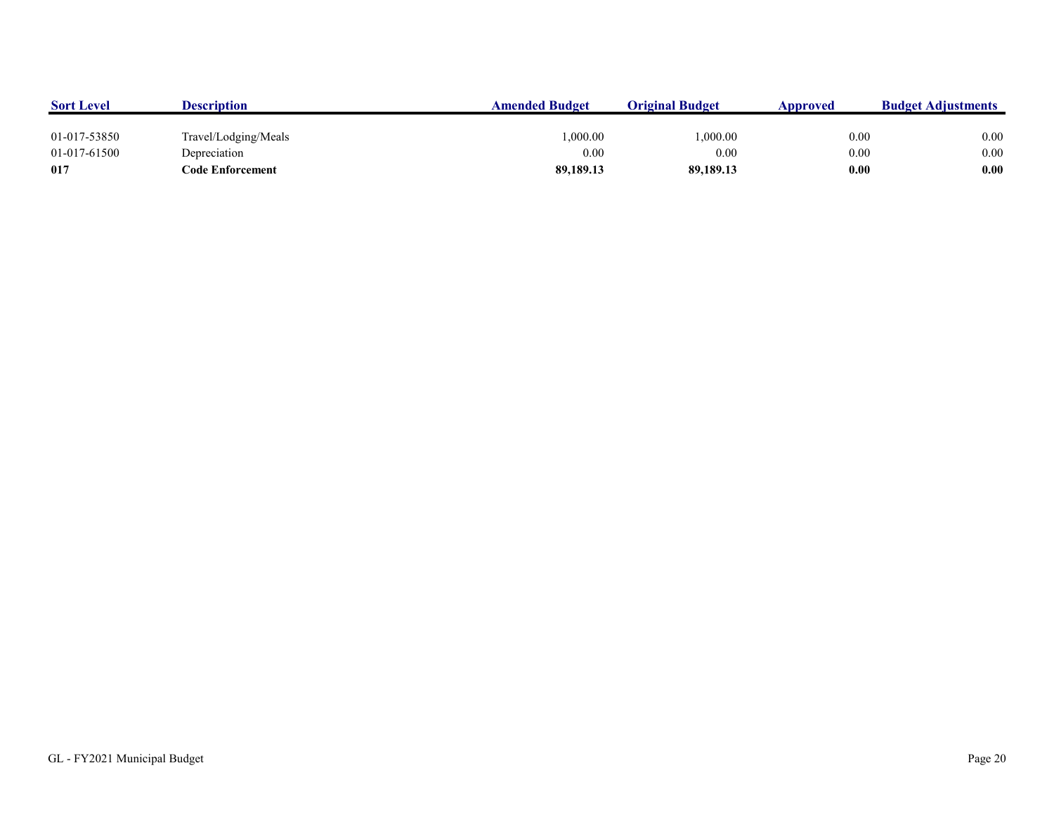| <b>Sort Level</b> | <b>Description</b>   | <b>Amended Budget</b> | <b>Original Budget</b> | Approved | <b>Budget Adjustments</b> |
|-------------------|----------------------|-----------------------|------------------------|----------|---------------------------|
|                   |                      |                       |                        |          |                           |
| 01-017-53850      | Travel/Lodging/Meals | 1.000.00              | 0.000.00               | 0.00     | 0.00                      |
| 01-017-61500      | Depreciation         | 0.00                  | 0.00                   | 0.00     | 0.00                      |
| 017               | Code Enforcement     | 89,189.13             | 89,189.13              | 0.00     | 0.00                      |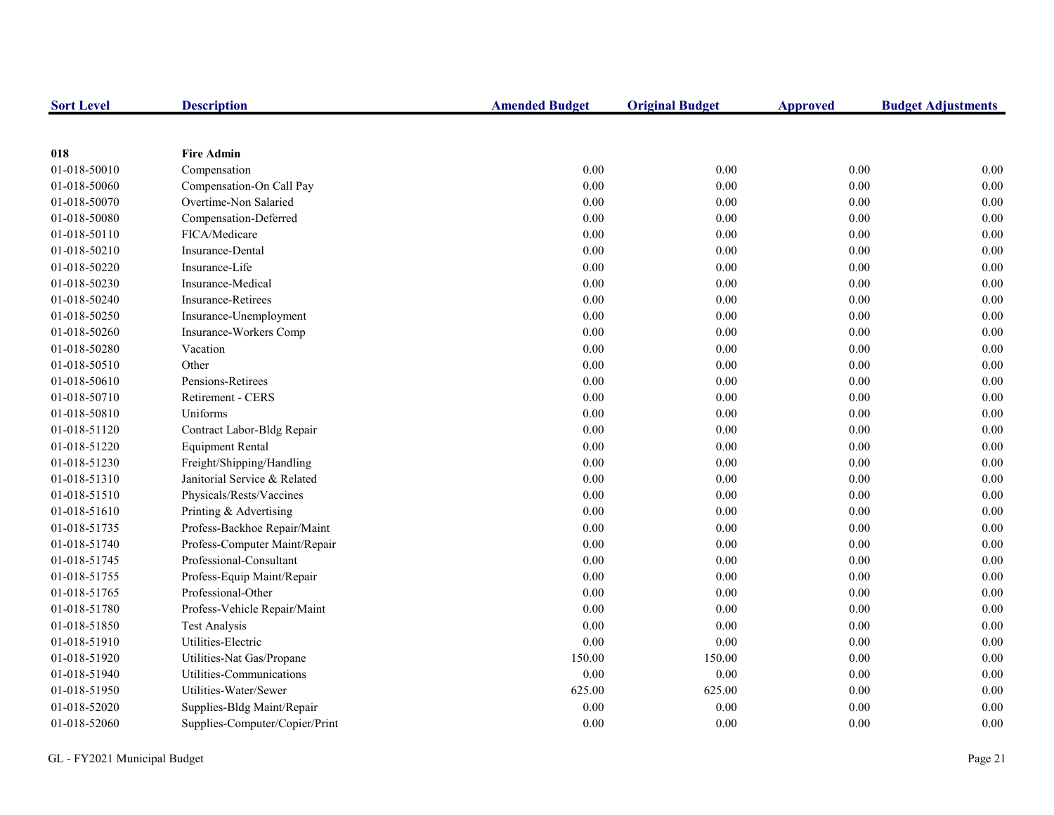| <b>Sort Level</b> | <b>Description</b>             | <b>Amended Budget</b> | <b>Original Budget</b> | <b>Approved</b> | <b>Budget Adjustments</b> |
|-------------------|--------------------------------|-----------------------|------------------------|-----------------|---------------------------|
|                   |                                |                       |                        |                 |                           |
| 018               | <b>Fire Admin</b>              |                       |                        |                 |                           |
| 01-018-50010      | Compensation                   | 0.00                  | 0.00                   | $0.00\,$        | 0.00                      |
| 01-018-50060      | Compensation-On Call Pay       | 0.00                  | 0.00                   | 0.00            | 0.00                      |
| 01-018-50070      | Overtime-Non Salaried          | 0.00                  | 0.00                   | 0.00            | 0.00                      |
| 01-018-50080      | Compensation-Deferred          | 0.00                  | 0.00                   | 0.00            | 0.00                      |
| 01-018-50110      | FICA/Medicare                  | 0.00                  | 0.00                   | 0.00            | 0.00                      |
| 01-018-50210      | Insurance-Dental               | 0.00                  | 0.00                   | 0.00            | 0.00                      |
| 01-018-50220      | Insurance-Life                 | $0.00\,$              | 0.00                   | $0.00\,$        | 0.00                      |
| 01-018-50230      | Insurance-Medical              | 0.00                  | 0.00                   | 0.00            | 0.00                      |
| 01-018-50240      | <b>Insurance-Retirees</b>      | 0.00                  | 0.00                   | 0.00            | 0.00                      |
| 01-018-50250      | Insurance-Unemployment         | 0.00                  | 0.00                   | 0.00            | 0.00                      |
| 01-018-50260      | Insurance-Workers Comp         | 0.00                  | 0.00                   | 0.00            | 0.00                      |
| 01-018-50280      | Vacation                       | 0.00                  | 0.00                   | 0.00            | 0.00                      |
| 01-018-50510      | Other                          | $0.00\,$              | 0.00                   | 0.00            | 0.00                      |
| 01-018-50610      | Pensions-Retirees              | 0.00                  | 0.00                   | $0.00\,$        | 0.00                      |
| 01-018-50710      | Retirement - CERS              | 0.00                  | 0.00                   | 0.00            | 0.00                      |
| 01-018-50810      | Uniforms                       | 0.00                  | 0.00                   | 0.00            | 0.00                      |
| 01-018-51120      | Contract Labor-Bldg Repair     | 0.00                  | 0.00                   | 0.00            | 0.00                      |
| 01-018-51220      | <b>Equipment Rental</b>        | 0.00                  | 0.00                   | 0.00            | 0.00                      |
| 01-018-51230      | Freight/Shipping/Handling      | 0.00                  | 0.00                   | $0.00\,$        | 0.00                      |
| 01-018-51310      | Janitorial Service & Related   | 0.00                  | 0.00                   | $0.00\,$        | 0.00                      |
| 01-018-51510      | Physicals/Rests/Vaccines       | 0.00                  | 0.00                   | 0.00            | 0.00                      |
| 01-018-51610      | Printing & Advertising         | 0.00                  | 0.00                   | $0.00\,$        | 0.00                      |
| 01-018-51735      | Profess-Backhoe Repair/Maint   | 0.00                  | 0.00                   | 0.00            | 0.00                      |
| 01-018-51740      | Profess-Computer Maint/Repair  | 0.00                  | 0.00                   | 0.00            | 0.00                      |
| 01-018-51745      | Professional-Consultant        | 0.00                  | 0.00                   | 0.00            | 0.00                      |
| 01-018-51755      | Profess-Equip Maint/Repair     | 0.00                  | 0.00                   | 0.00            | 0.00                      |
| 01-018-51765      | Professional-Other             | 0.00                  | 0.00                   | $0.00\,$        | 0.00                      |
| 01-018-51780      | Profess-Vehicle Repair/Maint   | 0.00                  | 0.00                   | 0.00            | 0.00                      |
| 01-018-51850      | <b>Test Analysis</b>           | 0.00                  | 0.00                   | 0.00            | 0.00                      |
| 01-018-51910      | Utilities-Electric             | 0.00                  | 0.00                   | 0.00            | 0.00                      |
| 01-018-51920      | Utilities-Nat Gas/Propane      | 150.00                | 150.00                 | 0.00            | 0.00                      |
| 01-018-51940      | Utilities-Communications       | 0.00                  | 0.00                   | 0.00            | 0.00                      |
| 01-018-51950      | Utilities-Water/Sewer          | 625.00                | 625.00                 | $0.00\,$        | 0.00                      |
| 01-018-52020      | Supplies-Bldg Maint/Repair     | 0.00                  | 0.00                   | 0.00            | 0.00                      |
| 01-018-52060      | Supplies-Computer/Copier/Print | 0.00                  | 0.00                   | 0.00            | 0.00                      |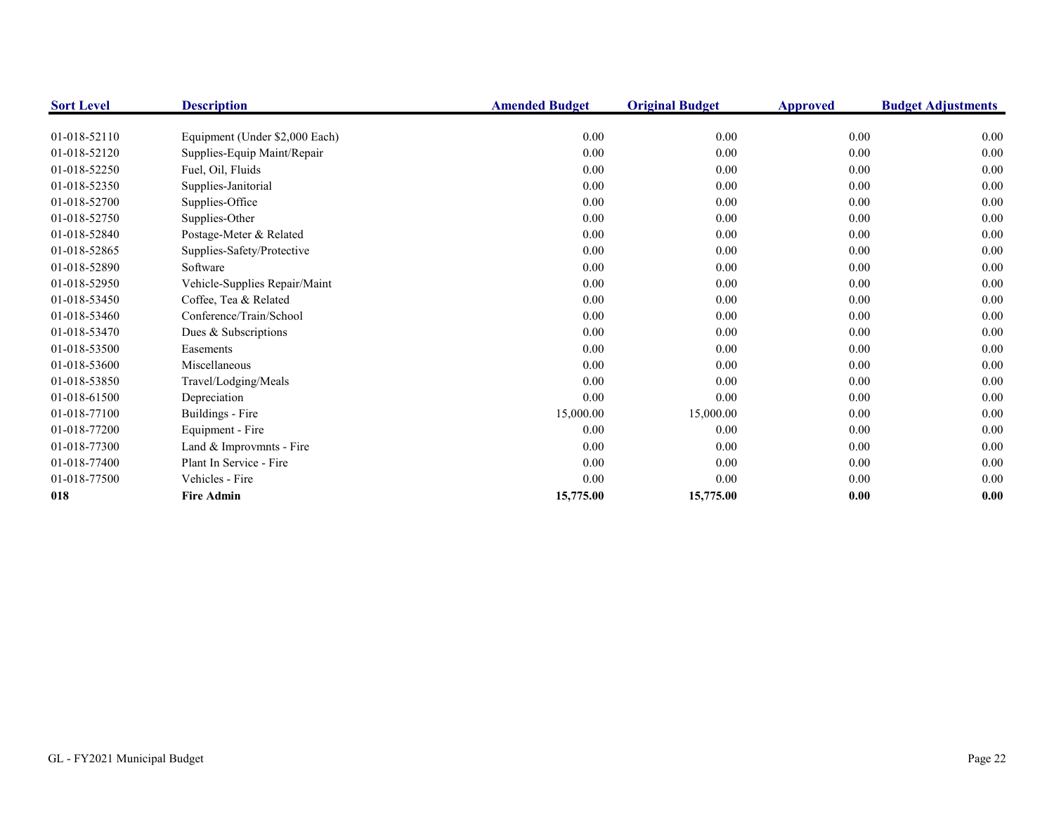| <b>Sort Level</b> | <b>Description</b>             | <b>Amended Budget</b> | <b>Original Budget</b> | <b>Approved</b> | <b>Budget Adjustments</b> |
|-------------------|--------------------------------|-----------------------|------------------------|-----------------|---------------------------|
|                   |                                |                       |                        |                 |                           |
| 01-018-52110      | Equipment (Under \$2,000 Each) | 0.00                  | 0.00                   | 0.00            | 0.00                      |
| 01-018-52120      | Supplies-Equip Maint/Repair    | 0.00                  | 0.00                   | 0.00            | $0.00\,$                  |
| 01-018-52250      | Fuel, Oil, Fluids              | 0.00                  | 0.00                   | 0.00            | $0.00\,$                  |
| 01-018-52350      | Supplies-Janitorial            | 0.00                  | 0.00                   | 0.00            | 0.00                      |
| 01-018-52700      | Supplies-Office                | 0.00                  | 0.00                   | 0.00            | 0.00                      |
| 01-018-52750      | Supplies-Other                 | 0.00                  | 0.00                   | 0.00            | 0.00                      |
| 01-018-52840      | Postage-Meter & Related        | 0.00                  | 0.00                   | 0.00            | 0.00                      |
| 01-018-52865      | Supplies-Safety/Protective     | 0.00                  | 0.00                   | 0.00            | 0.00                      |
| 01-018-52890      | Software                       | 0.00                  | 0.00                   | 0.00            | $0.00\,$                  |
| 01-018-52950      | Vehicle-Supplies Repair/Maint  | 0.00                  | 0.00                   | 0.00            | 0.00                      |
| 01-018-53450      | Coffee, Tea & Related          | 0.00                  | 0.00                   | 0.00            | 0.00                      |
| 01-018-53460      | Conference/Train/School        | 0.00                  | 0.00                   | 0.00            | 0.00                      |
| 01-018-53470      | Dues & Subscriptions           | 0.00                  | 0.00                   | 0.00            | 0.00                      |
| 01-018-53500      | Easements                      | 0.00                  | 0.00                   | 0.00            | 0.00                      |
| 01-018-53600      | Miscellaneous                  | 0.00                  | 0.00                   | 0.00            | $0.00\,$                  |
| 01-018-53850      | Travel/Lodging/Meals           | 0.00                  | 0.00                   | $0.00\,$        | 0.00                      |
| 01-018-61500      | Depreciation                   | 0.00                  | 0.00                   | 0.00            | 0.00                      |
| 01-018-77100      | Buildings - Fire               | 15,000.00             | 15,000.00              | 0.00            | $0.00\,$                  |
| 01-018-77200      | Equipment - Fire               | 0.00                  | 0.00                   | 0.00            | $0.00\,$                  |
| 01-018-77300      | Land & Improvmnts - Fire       | 0.00                  | 0.00                   | 0.00            | 0.00                      |
| 01-018-77400      | Plant In Service - Fire        | 0.00                  | 0.00                   | 0.00            | 0.00                      |
| 01-018-77500      | Vehicles - Fire                | 0.00                  | 0.00                   | 0.00            | 0.00                      |
| 018               | <b>Fire Admin</b>              | 15,775.00             | 15,775.00              | 0.00            | 0.00                      |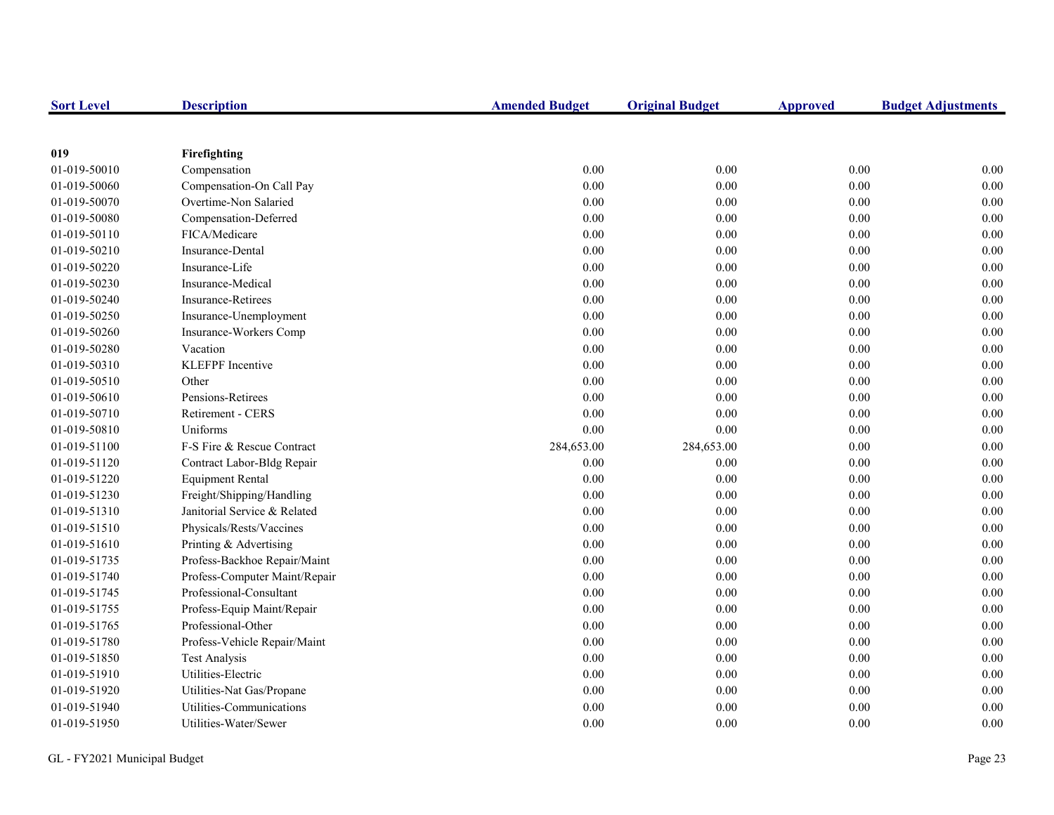| <b>Sort Level</b> | <b>Description</b>            | <b>Amended Budget</b> | <b>Original Budget</b> | <b>Approved</b> | <b>Budget Adjustments</b> |
|-------------------|-------------------------------|-----------------------|------------------------|-----------------|---------------------------|
|                   |                               |                       |                        |                 |                           |
| 019               | Firefighting                  |                       |                        |                 |                           |
| 01-019-50010      | Compensation                  | 0.00                  | 0.00                   | 0.00            | 0.00                      |
| 01-019-50060      | Compensation-On Call Pay      | 0.00                  | 0.00                   | 0.00            | 0.00                      |
| 01-019-50070      | Overtime-Non Salaried         | 0.00                  | 0.00                   | $0.00\,$        | 0.00                      |
| 01-019-50080      | Compensation-Deferred         | 0.00                  | 0.00                   | $0.00\,$        | 0.00                      |
| 01-019-50110      | FICA/Medicare                 | 0.00                  | 0.00                   | $0.00\,$        | 0.00                      |
| 01-019-50210      | Insurance-Dental              | 0.00                  | 0.00                   | 0.00            | 0.00                      |
| 01-019-50220      | Insurance-Life                | 0.00                  | 0.00                   | 0.00            | 0.00                      |
| 01-019-50230      | Insurance-Medical             | 0.00                  | 0.00                   | $0.00\,$        | 0.00                      |
| 01-019-50240      | <b>Insurance-Retirees</b>     | 0.00                  | 0.00                   | $0.00\,$        | 0.00                      |
| 01-019-50250      | Insurance-Unemployment        | 0.00                  | 0.00                   | 0.00            | 0.00                      |
| 01-019-50260      | Insurance-Workers Comp        | 0.00                  | 0.00                   | 0.00            | 0.00                      |
| 01-019-50280      | Vacation                      | $0.00\,$              | $0.00\,$               | $0.00\,$        | 0.00                      |
| 01-019-50310      | <b>KLEFPF</b> Incentive       | 0.00                  | 0.00                   | 0.00            | 0.00                      |
| 01-019-50510      | Other                         | 0.00                  | 0.00                   | $0.00\,$        | 0.00                      |
| 01-019-50610      | Pensions-Retirees             | 0.00                  | 0.00                   | 0.00            | 0.00                      |
| 01-019-50710      | Retirement - CERS             | 0.00                  | 0.00                   | 0.00            | 0.00                      |
| 01-019-50810      | Uniforms                      | 0.00                  | 0.00                   | $0.00\,$        | 0.00                      |
| 01-019-51100      | F-S Fire & Rescue Contract    | 284,653.00            | 284,653.00             | $0.00\,$        | 0.00                      |
| 01-019-51120      | Contract Labor-Bldg Repair    | 0.00                  | 0.00                   | $0.00\,$        | 0.00                      |
| 01-019-51220      | <b>Equipment Rental</b>       | 0.00                  | 0.00                   | $0.00\,$        | 0.00                      |
| 01-019-51230      | Freight/Shipping/Handling     | 0.00                  | 0.00                   | 0.00            | 0.00                      |
| 01-019-51310      | Janitorial Service & Related  | 0.00                  | 0.00                   | $0.00\,$        | 0.00                      |
| 01-019-51510      | Physicals/Rests/Vaccines      | 0.00                  | 0.00                   | $0.00\,$        | 0.00                      |
| 01-019-51610      | Printing & Advertising        | 0.00                  | 0.00                   | 0.00            | 0.00                      |
| 01-019-51735      | Profess-Backhoe Repair/Maint  | 0.00                  | 0.00                   | 0.00            | 0.00                      |
| 01-019-51740      | Profess-Computer Maint/Repair | 0.00                  | 0.00                   | 0.00            | 0.00                      |
| 01-019-51745      | Professional-Consultant       | 0.00                  | 0.00                   | $0.00\,$        | 0.00                      |
| 01-019-51755      | Profess-Equip Maint/Repair    | 0.00                  | 0.00                   | $0.00\,$        | 0.00                      |
| 01-019-51765      | Professional-Other            | 0.00                  | 0.00                   | 0.00            | 0.00                      |
| 01-019-51780      | Profess-Vehicle Repair/Maint  | 0.00                  | 0.00                   | 0.00            | 0.00                      |
| 01-019-51850      | <b>Test Analysis</b>          | 0.00                  | 0.00                   | 0.00            | 0.00                      |
| 01-019-51910      | Utilities-Electric            | 0.00                  | 0.00                   | 0.00            | 0.00                      |
| 01-019-51920      | Utilities-Nat Gas/Propane     | 0.00                  | 0.00                   | 0.00            | 0.00                      |
| 01-019-51940      | Utilities-Communications      | 0.00                  | 0.00                   | 0.00            | 0.00                      |
| 01-019-51950      | Utilities-Water/Sewer         | 0.00                  | 0.00                   | 0.00            | 0.00                      |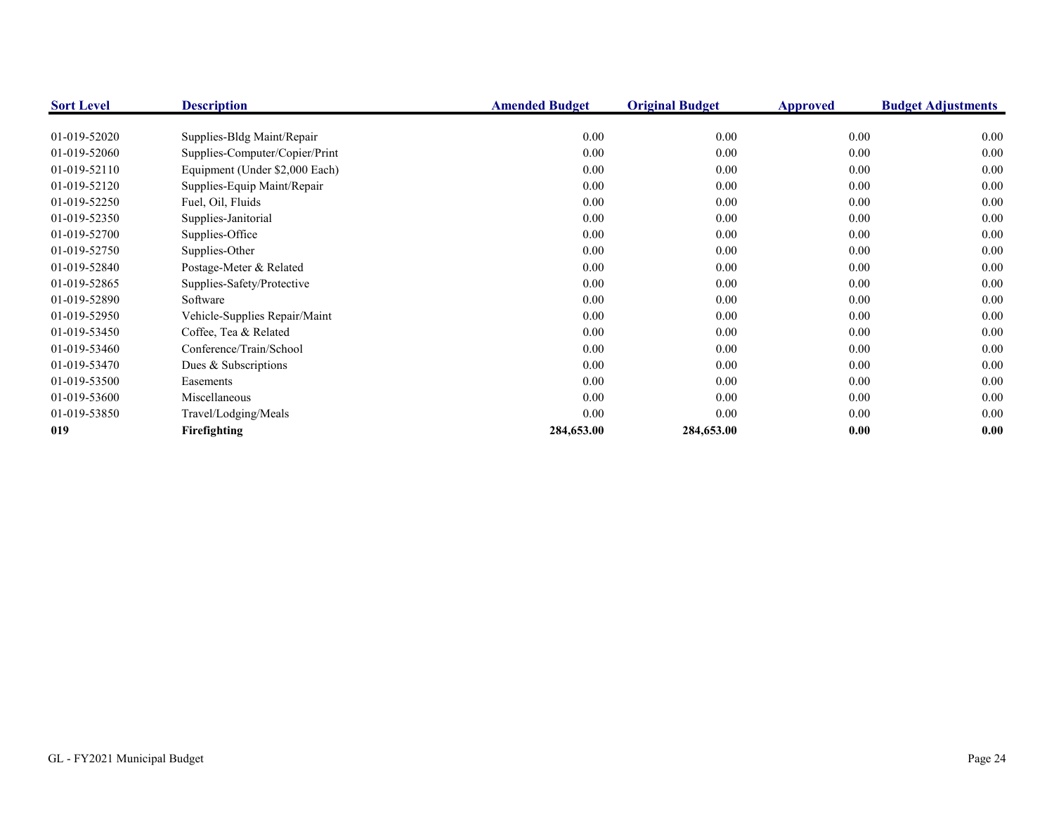| <b>Sort Level</b> | <b>Description</b>             | <b>Amended Budget</b> | <b>Original Budget</b> | Approved | <b>Budget Adjustments</b> |
|-------------------|--------------------------------|-----------------------|------------------------|----------|---------------------------|
|                   |                                |                       |                        |          |                           |
| 01-019-52020      | Supplies-Bldg Maint/Repair     | 0.00                  | 0.00                   | 0.00     | 0.00                      |
| 01-019-52060      | Supplies-Computer/Copier/Print | 0.00                  | 0.00                   | 0.00     | 0.00                      |
| 01-019-52110      | Equipment (Under \$2,000 Each) | 0.00                  | 0.00                   | 0.00     | 0.00                      |
| 01-019-52120      | Supplies-Equip Maint/Repair    | 0.00                  | 0.00                   | 0.00     | 0.00                      |
| 01-019-52250      | Fuel, Oil, Fluids              | 0.00                  | 0.00                   | 0.00     | 0.00                      |
| 01-019-52350      | Supplies-Janitorial            | 0.00                  | 0.00                   | 0.00     | 0.00                      |
| 01-019-52700      | Supplies-Office                | 0.00                  | 0.00                   | 0.00     | 0.00                      |
| 01-019-52750      | Supplies-Other                 | 0.00                  | 0.00                   | 0.00     | 0.00                      |
| 01-019-52840      | Postage-Meter & Related        | 0.00                  | 0.00                   | 0.00     | 0.00                      |
| 01-019-52865      | Supplies-Safety/Protective     | 0.00                  | 0.00                   | 0.00     | 0.00                      |
| 01-019-52890      | Software                       | 0.00                  | 0.00                   | 0.00     | 0.00                      |
| 01-019-52950      | Vehicle-Supplies Repair/Maint  | 0.00                  | 0.00                   | 0.00     | 0.00                      |
| 01-019-53450      | Coffee, Tea & Related          | 0.00                  | 0.00                   | 0.00     | 0.00                      |
| 01-019-53460      | Conference/Train/School        | 0.00                  | 0.00                   | 0.00     | 0.00                      |
| 01-019-53470      | Dues & Subscriptions           | 0.00                  | 0.00                   | 0.00     | 0.00                      |
| 01-019-53500      | Easements                      | 0.00                  | 0.00                   | 0.00     | 0.00                      |
| 01-019-53600      | Miscellaneous                  | 0.00                  | 0.00                   | 0.00     | 0.00                      |
| 01-019-53850      | Travel/Lodging/Meals           | 0.00                  | 0.00                   | 0.00     | 0.00                      |
| 019               | Firefighting                   | 284,653.00            | 284,653.00             | 0.00     | 0.00                      |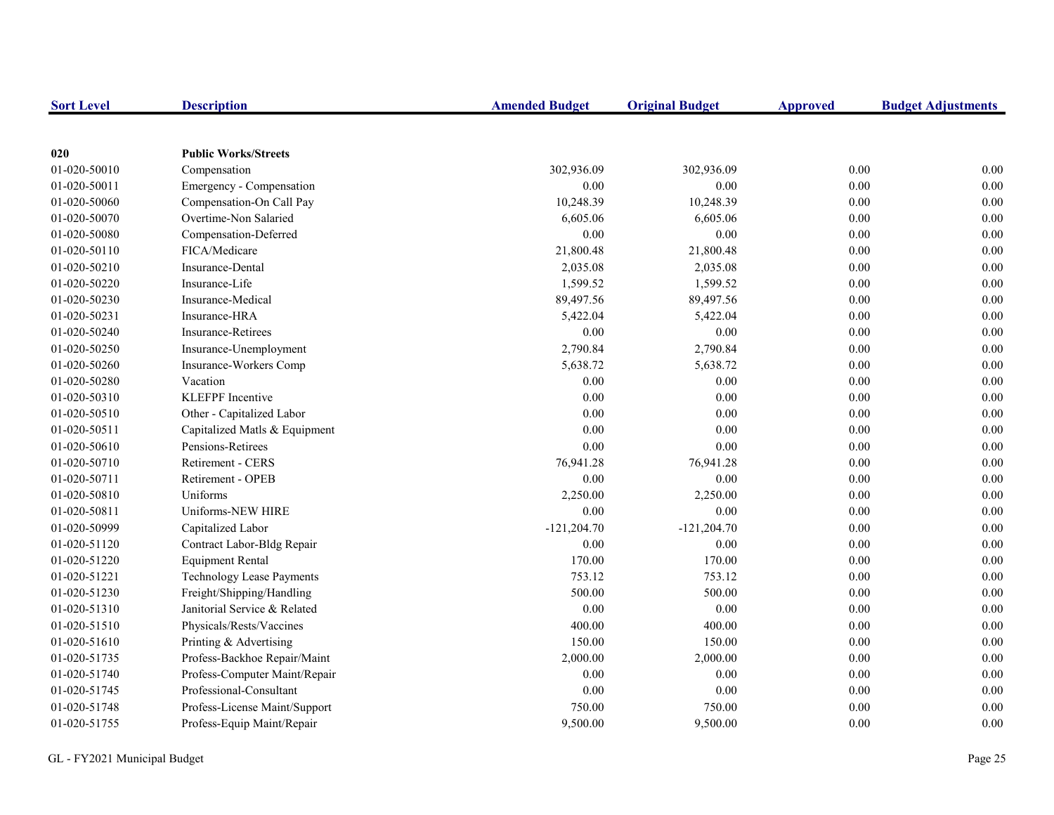| <b>Sort Level</b> | <b>Description</b>            | <b>Amended Budget</b> | <b>Original Budget</b> | <b>Approved</b> | <b>Budget Adjustments</b> |
|-------------------|-------------------------------|-----------------------|------------------------|-----------------|---------------------------|
|                   |                               |                       |                        |                 |                           |
| 020               | <b>Public Works/Streets</b>   |                       |                        |                 |                           |
| 01-020-50010      | Compensation                  | 302,936.09            | 302,936.09             | 0.00            | 0.00                      |
| 01-020-50011      | Emergency - Compensation      | 0.00                  | 0.00                   | 0.00            | 0.00                      |
| 01-020-50060      | Compensation-On Call Pay      | 10,248.39             | 10,248.39              | 0.00            | 0.00                      |
| 01-020-50070      | Overtime-Non Salaried         | 6,605.06              | 6,605.06               | 0.00            | 0.00                      |
| 01-020-50080      | Compensation-Deferred         | 0.00                  | 0.00                   | 0.00            | 0.00                      |
| 01-020-50110      | FICA/Medicare                 | 21,800.48             | 21,800.48              | 0.00            | 0.00                      |
| 01-020-50210      | <b>Insurance-Dental</b>       | 2,035.08              | 2,035.08               | 0.00            | 0.00                      |
| 01-020-50220      | Insurance-Life                | 1,599.52              | 1,599.52               | 0.00            | 0.00                      |
| 01-020-50230      | Insurance-Medical             | 89,497.56             | 89,497.56              | 0.00            | 0.00                      |
| 01-020-50231      | Insurance-HRA                 | 5,422.04              | 5,422.04               | $0.00\,$        | 0.00                      |
| 01-020-50240      | <b>Insurance-Retirees</b>     | $0.00\,$              | 0.00                   | 0.00            | 0.00                      |
| 01-020-50250      | Insurance-Unemployment        | 2,790.84              | 2,790.84               | 0.00            | 0.00                      |
| 01-020-50260      | Insurance-Workers Comp        | 5,638.72              | 5,638.72               | 0.00            | 0.00                      |
| 01-020-50280      | Vacation                      | 0.00                  | 0.00                   | 0.00            | 0.00                      |
| 01-020-50310      | <b>KLEFPF</b> Incentive       | 0.00                  | 0.00                   | 0.00            | 0.00                      |
| 01-020-50510      | Other - Capitalized Labor     | 0.00                  | 0.00                   | 0.00            | 0.00                      |
| 01-020-50511      | Capitalized Matls & Equipment | 0.00                  | 0.00                   | 0.00            | 0.00                      |
| 01-020-50610      | Pensions-Retirees             | 0.00                  | 0.00                   | 0.00            | 0.00                      |
| 01-020-50710      | Retirement - CERS             | 76,941.28             | 76,941.28              | 0.00            | 0.00                      |
| 01-020-50711      | Retirement - OPEB             | 0.00                  | 0.00                   | 0.00            | 0.00                      |
| 01-020-50810      | Uniforms                      | 2,250.00              | 2,250.00               | 0.00            | 0.00                      |
| 01-020-50811      | Uniforms-NEW HIRE             | 0.00                  | 0.00                   | 0.00            | 0.00                      |
| 01-020-50999      | Capitalized Labor             | $-121,204.70$         | $-121,204.70$          | 0.00            | 0.00                      |
| 01-020-51120      | Contract Labor-Bldg Repair    | 0.00                  | 0.00                   | 0.00            | 0.00                      |
| 01-020-51220      | <b>Equipment Rental</b>       | 170.00                | 170.00                 | 0.00            | 0.00                      |
| 01-020-51221      | Technology Lease Payments     | 753.12                | 753.12                 | 0.00            | 0.00                      |
| 01-020-51230      | Freight/Shipping/Handling     | 500.00                | 500.00                 | $0.00\,$        | 0.00                      |
| 01-020-51310      | Janitorial Service & Related  | 0.00                  | 0.00                   | 0.00            | 0.00                      |
| 01-020-51510      | Physicals/Rests/Vaccines      | 400.00                | 400.00                 | 0.00            | 0.00                      |
| 01-020-51610      | Printing & Advertising        | 150.00                | 150.00                 | 0.00            | 0.00                      |
| 01-020-51735      | Profess-Backhoe Repair/Maint  | 2,000.00              | 2,000.00               | 0.00            | 0.00                      |
| 01-020-51740      | Profess-Computer Maint/Repair | 0.00                  | 0.00                   | 0.00            | 0.00                      |
| 01-020-51745      | Professional-Consultant       | $0.00\,$              | 0.00                   | 0.00            | 0.00                      |
| 01-020-51748      | Profess-License Maint/Support | 750.00                | 750.00                 | 0.00            | 0.00                      |
| 01-020-51755      | Profess-Equip Maint/Repair    | 9,500.00              | 9,500.00               | 0.00            | 0.00                      |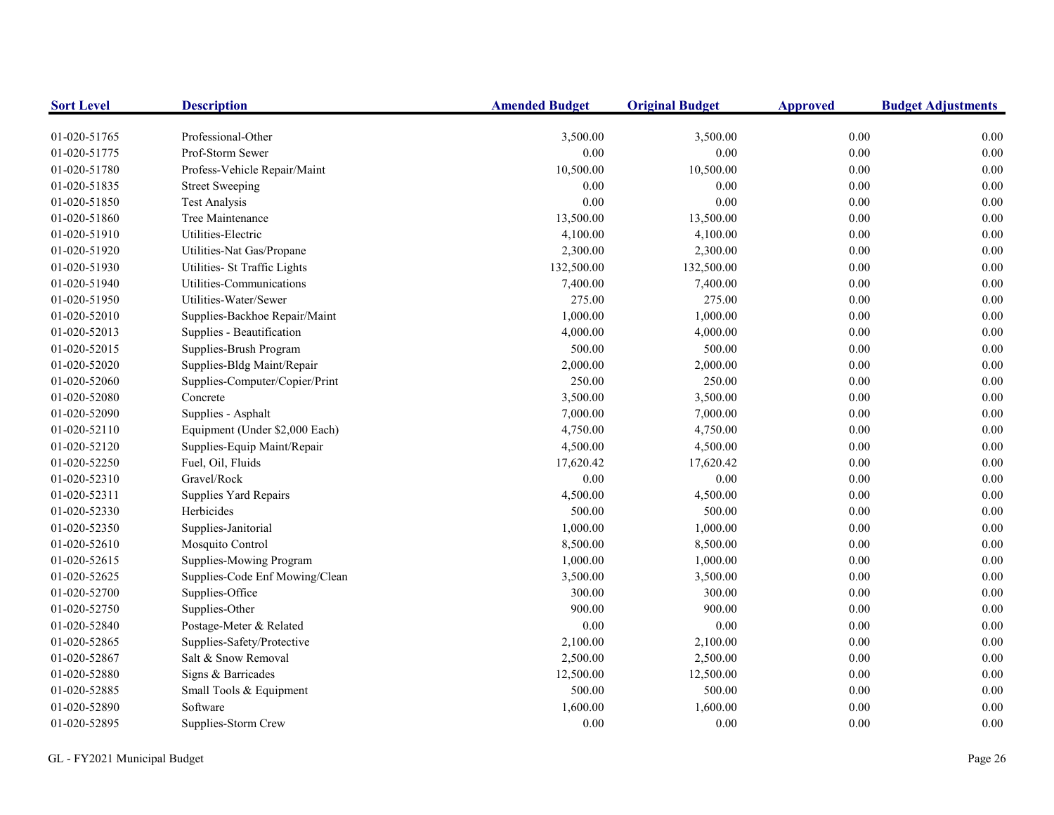| <b>Sort Level</b> | <b>Description</b>             | <b>Amended Budget</b> | <b>Original Budget</b> | <b>Approved</b> | <b>Budget Adjustments</b> |
|-------------------|--------------------------------|-----------------------|------------------------|-----------------|---------------------------|
| 01-020-51765      | Professional-Other             | 3,500.00              | 3,500.00               | 0.00            | 0.00                      |
| 01-020-51775      | Prof-Storm Sewer               | 0.00                  | 0.00                   | 0.00            | 0.00                      |
| 01-020-51780      | Profess-Vehicle Repair/Maint   | 10,500.00             | 10,500.00              | 0.00            | 0.00                      |
| 01-020-51835      | <b>Street Sweeping</b>         | 0.00                  | 0.00                   | 0.00            | 0.00                      |
| 01-020-51850      | <b>Test Analysis</b>           | 0.00                  | 0.00                   | 0.00            | 0.00                      |
| 01-020-51860      | Tree Maintenance               | 13,500.00             | 13,500.00              | 0.00            | 0.00                      |
| 01-020-51910      | Utilities-Electric             | 4,100.00              | 4,100.00               | 0.00            | 0.00                      |
| 01-020-51920      | Utilities-Nat Gas/Propane      | 2,300.00              | 2,300.00               | $0.00\,$        | 0.00                      |
| 01-020-51930      | Utilities- St Traffic Lights   | 132,500.00            | 132,500.00             | 0.00            | 0.00                      |
| 01-020-51940      | Utilities-Communications       | 7,400.00              | 7,400.00               | $0.00\,$        | 0.00                      |
| 01-020-51950      | Utilities-Water/Sewer          | 275.00                | 275.00                 | $0.00\,$        | 0.00                      |
| 01-020-52010      | Supplies-Backhoe Repair/Maint  | 1,000.00              | 1,000.00               | $0.00\,$        | 0.00                      |
| 01-020-52013      | Supplies - Beautification      | 4,000.00              | 4,000.00               | $0.00\,$        | 0.00                      |
| 01-020-52015      | Supplies-Brush Program         | 500.00                | 500.00                 | 0.00            | 0.00                      |
| 01-020-52020      | Supplies-Bldg Maint/Repair     | 2,000.00              | 2,000.00               | 0.00            | 0.00                      |
| 01-020-52060      | Supplies-Computer/Copier/Print | 250.00                | 250.00                 | 0.00            | 0.00                      |
| 01-020-52080      | Concrete                       | 3,500.00              | 3,500.00               | 0.00            | 0.00                      |
| 01-020-52090      | Supplies - Asphalt             | 7,000.00              | 7,000.00               | 0.00            | 0.00                      |
| 01-020-52110      | Equipment (Under \$2,000 Each) | 4,750.00              | 4,750.00               | 0.00            | 0.00                      |
| 01-020-52120      | Supplies-Equip Maint/Repair    | 4,500.00              | 4,500.00               | 0.00            | 0.00                      |
| 01-020-52250      | Fuel, Oil, Fluids              | 17,620.42             | 17,620.42              | 0.00            | 0.00                      |
| 01-020-52310      | Gravel/Rock                    | 0.00                  | 0.00                   | 0.00            | 0.00                      |
| 01-020-52311      | Supplies Yard Repairs          | 4,500.00              | 4,500.00               | $0.00\,$        | 0.00                      |
| 01-020-52330      | Herbicides                     | 500.00                | 500.00                 | 0.00            | 0.00                      |
| 01-020-52350      | Supplies-Janitorial            | 1,000.00              | 1,000.00               | 0.00            | 0.00                      |
| 01-020-52610      | Mosquito Control               | 8,500.00              | 8,500.00               | $0.00\,$        | 0.00                      |
| 01-020-52615      | Supplies-Mowing Program        | 1,000.00              | 1,000.00               | $0.00\,$        | 0.00                      |
| 01-020-52625      | Supplies-Code Enf Mowing/Clean | 3,500.00              | 3,500.00               | 0.00            | 0.00                      |
| 01-020-52700      | Supplies-Office                | 300.00                | 300.00                 | $0.00\,$        | 0.00                      |
| 01-020-52750      | Supplies-Other                 | 900.00                | 900.00                 | 0.00            | 0.00                      |
| 01-020-52840      | Postage-Meter & Related        | 0.00                  | 0.00                   | 0.00            | 0.00                      |
| 01-020-52865      | Supplies-Safety/Protective     | 2,100.00              | 2,100.00               | 0.00            | 0.00                      |
| 01-020-52867      | Salt & Snow Removal            | 2,500.00              | 2,500.00               | 0.00            | 0.00                      |
| 01-020-52880      | Signs & Barricades             | 12,500.00             | 12,500.00              | 0.00            | 0.00                      |
| 01-020-52885      | Small Tools & Equipment        | 500.00                | 500.00                 | 0.00            | 0.00                      |
| 01-020-52890      | Software                       | 1,600.00              | 1,600.00               | 0.00            | 0.00                      |
| 01-020-52895      | Supplies-Storm Crew            | 0.00                  | 0.00                   | 0.00            | 0.00                      |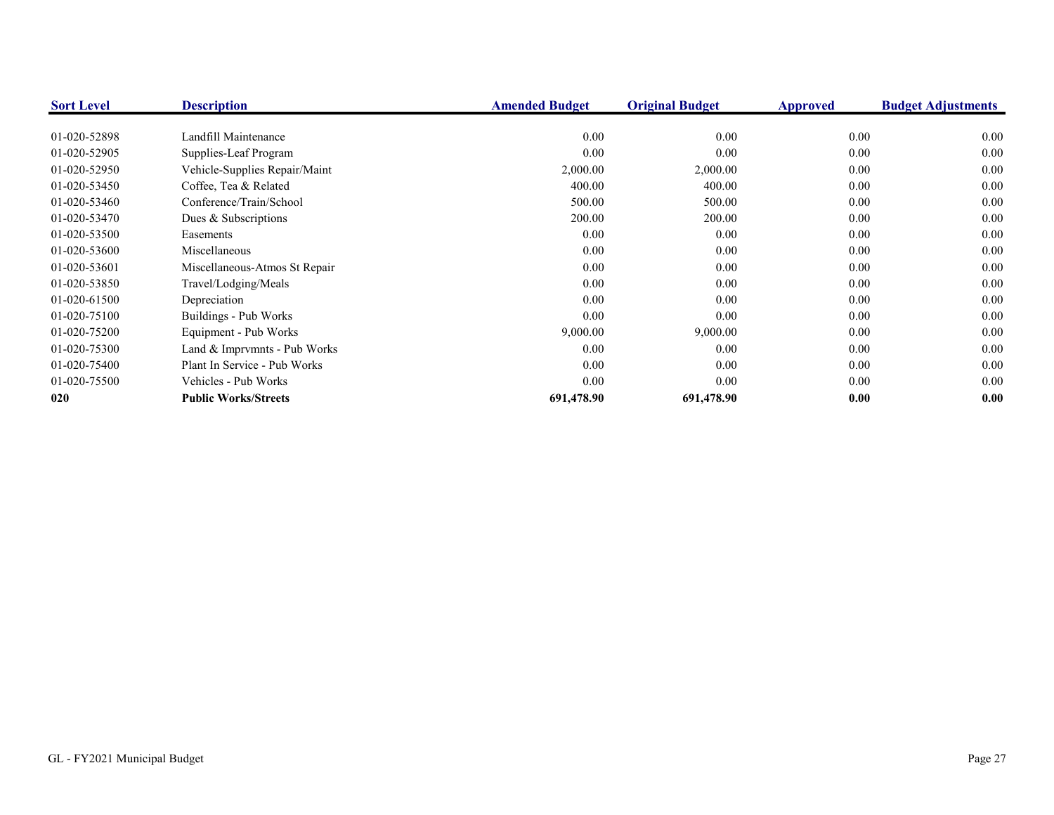| <b>Sort Level</b> | <b>Description</b>            | <b>Amended Budget</b> | <b>Original Budget</b> | Approved | <b>Budget Adjustments</b> |
|-------------------|-------------------------------|-----------------------|------------------------|----------|---------------------------|
|                   |                               |                       |                        |          |                           |
| 01-020-52898      | Landfill Maintenance          | 0.00                  | 0.00                   | 0.00     | 0.00                      |
| 01-020-52905      | Supplies-Leaf Program         | 0.00                  | 0.00                   | 0.00     | 0.00                      |
| 01-020-52950      | Vehicle-Supplies Repair/Maint | 2,000.00              | 2,000.00               | 0.00     | 0.00                      |
| 01-020-53450      | Coffee, Tea & Related         | 400.00                | 400.00                 | 0.00     | 0.00                      |
| 01-020-53460      | Conference/Train/School       | 500.00                | 500.00                 | 0.00     | 0.00                      |
| 01-020-53470      | Dues & Subscriptions          | 200.00                | 200.00                 | 0.00     | 0.00                      |
| 01-020-53500      | Easements                     | 0.00                  | 0.00                   | 0.00     | 0.00                      |
| 01-020-53600      | Miscellaneous                 | 0.00                  | 0.00                   | 0.00     | 0.00                      |
| 01-020-53601      | Miscellaneous-Atmos St Repair | 0.00                  | 0.00                   | 0.00     | 0.00                      |
| 01-020-53850      | Travel/Lodging/Meals          | 0.00                  | 0.00                   | 0.00     | 0.00                      |
| 01-020-61500      | Depreciation                  | 0.00                  | 0.00                   | 0.00     | 0.00                      |
| 01-020-75100      | Buildings - Pub Works         | 0.00                  | 0.00                   | 0.00     | 0.00                      |
| 01-020-75200      | Equipment - Pub Works         | 9,000.00              | 9,000.00               | 0.00     | 0.00                      |
| 01-020-75300      | Land & Imprvmnts - Pub Works  | 0.00                  | 0.00                   | 0.00     | 0.00                      |
| 01-020-75400      | Plant In Service - Pub Works  | 0.00                  | 0.00                   | 0.00     | 0.00                      |
| 01-020-75500      | Vehicles - Pub Works          | 0.00                  | 0.00                   | 0.00     | 0.00                      |
| 020               | <b>Public Works/Streets</b>   | 691,478.90            | 691,478.90             | 0.00     | 0.00                      |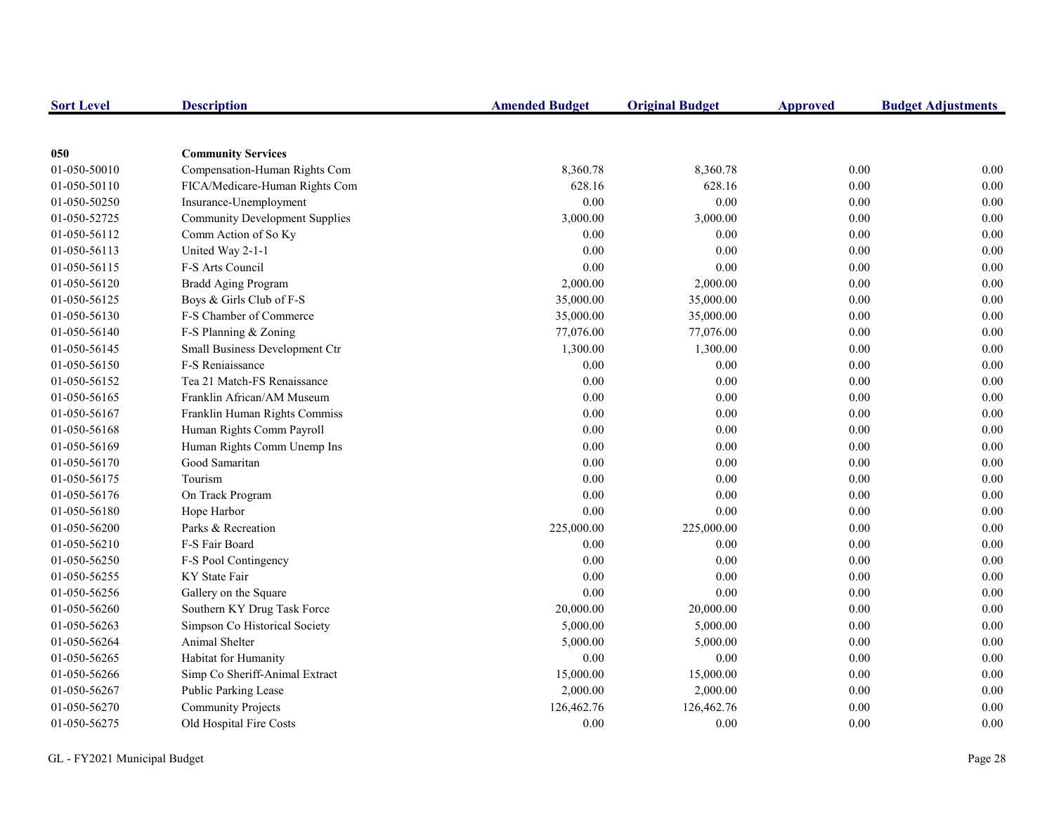| <b>Sort Level</b> | <b>Description</b>                    | <b>Amended Budget</b> | <b>Original Budget</b> | <b>Approved</b> | <b>Budget Adjustments</b> |
|-------------------|---------------------------------------|-----------------------|------------------------|-----------------|---------------------------|
|                   |                                       |                       |                        |                 |                           |
| 050               | <b>Community Services</b>             |                       |                        |                 |                           |
| 01-050-50010      | Compensation-Human Rights Com         | 8,360.78              | 8,360.78               | 0.00            | 0.00                      |
| 01-050-50110      | FICA/Medicare-Human Rights Com        | 628.16                | 628.16                 | 0.00            | 0.00                      |
| 01-050-50250      | Insurance-Unemployment                | 0.00                  | 0.00                   | 0.00            | 0.00                      |
| 01-050-52725      | <b>Community Development Supplies</b> | 3,000.00              | 3,000.00               | 0.00            | 0.00                      |
| 01-050-56112      | Comm Action of So Ky                  | 0.00                  | 0.00                   | 0.00            | 0.00                      |
| 01-050-56113      | United Way 2-1-1                      | 0.00                  | 0.00                   | 0.00            | 0.00                      |
| 01-050-56115      | F-S Arts Council                      | 0.00                  | 0.00                   | 0.00            | 0.00                      |
| 01-050-56120      | <b>Bradd Aging Program</b>            | 2,000.00              | 2,000.00               | 0.00            | 0.00                      |
| 01-050-56125      | Boys & Girls Club of F-S              | 35,000.00             | 35,000.00              | 0.00            | 0.00                      |
| 01-050-56130      | F-S Chamber of Commerce               | 35,000.00             | 35,000.00              | 0.00            | 0.00                      |
| 01-050-56140      | F-S Planning & Zoning                 | 77,076.00             | 77,076.00              | 0.00            | 0.00                      |
| 01-050-56145      | Small Business Development Ctr        | 1,300.00              | 1,300.00               | 0.00            | 0.00                      |
| 01-050-56150      | F-S Reniaissance                      | 0.00                  | 0.00                   | 0.00            | 0.00                      |
| 01-050-56152      | Tea 21 Match-FS Renaissance           | 0.00                  | 0.00                   | 0.00            | 0.00                      |
| 01-050-56165      | Franklin African/AM Museum            | 0.00                  | 0.00                   | 0.00            | 0.00                      |
| 01-050-56167      | Franklin Human Rights Commiss         | 0.00                  | 0.00                   | 0.00            | 0.00                      |
| 01-050-56168      | Human Rights Comm Payroll             | 0.00                  | 0.00                   | 0.00            | 0.00                      |
| 01-050-56169      | Human Rights Comm Unemp Ins           | 0.00                  | 0.00                   | 0.00            | 0.00                      |
| 01-050-56170      | Good Samaritan                        | 0.00                  | 0.00                   | 0.00            | 0.00                      |
| 01-050-56175      | Tourism                               | 0.00                  | 0.00                   | 0.00            | 0.00                      |
| 01-050-56176      | On Track Program                      | 0.00                  | 0.00                   | 0.00            | 0.00                      |
| 01-050-56180      | Hope Harbor                           | 0.00                  | 0.00                   | 0.00            | 0.00                      |
| 01-050-56200      | Parks & Recreation                    | 225,000.00            | 225,000.00             | 0.00            | 0.00                      |
| 01-050-56210      | F-S Fair Board                        | 0.00                  | 0.00                   | 0.00            | 0.00                      |
| 01-050-56250      | F-S Pool Contingency                  | 0.00                  | 0.00                   | 0.00            | 0.00                      |
| 01-050-56255      | KY State Fair                         | 0.00                  | 0.00                   | 0.00            | 0.00                      |
| 01-050-56256      | Gallery on the Square                 | 0.00                  | 0.00                   | 0.00            | 0.00                      |
| 01-050-56260      | Southern KY Drug Task Force           | 20,000.00             | 20,000.00              | $0.00\,$        | 0.00                      |
| 01-050-56263      | Simpson Co Historical Society         | 5,000.00              | 5,000.00               | 0.00            | 0.00                      |
| 01-050-56264      | Animal Shelter                        | 5,000.00              | 5,000.00               | 0.00            | 0.00                      |
| 01-050-56265      | Habitat for Humanity                  | 0.00                  | 0.00                   | 0.00            | 0.00                      |
| 01-050-56266      | Simp Co Sheriff-Animal Extract        | 15,000.00             | 15,000.00              | 0.00            | 0.00                      |
| 01-050-56267      | Public Parking Lease                  | 2,000.00              | 2,000.00               | 0.00            | 0.00                      |
| 01-050-56270      | <b>Community Projects</b>             | 126,462.76            | 126,462.76             | 0.00            | 0.00                      |
| 01-050-56275      | Old Hospital Fire Costs               | 0.00                  | 0.00                   | 0.00            | 0.00                      |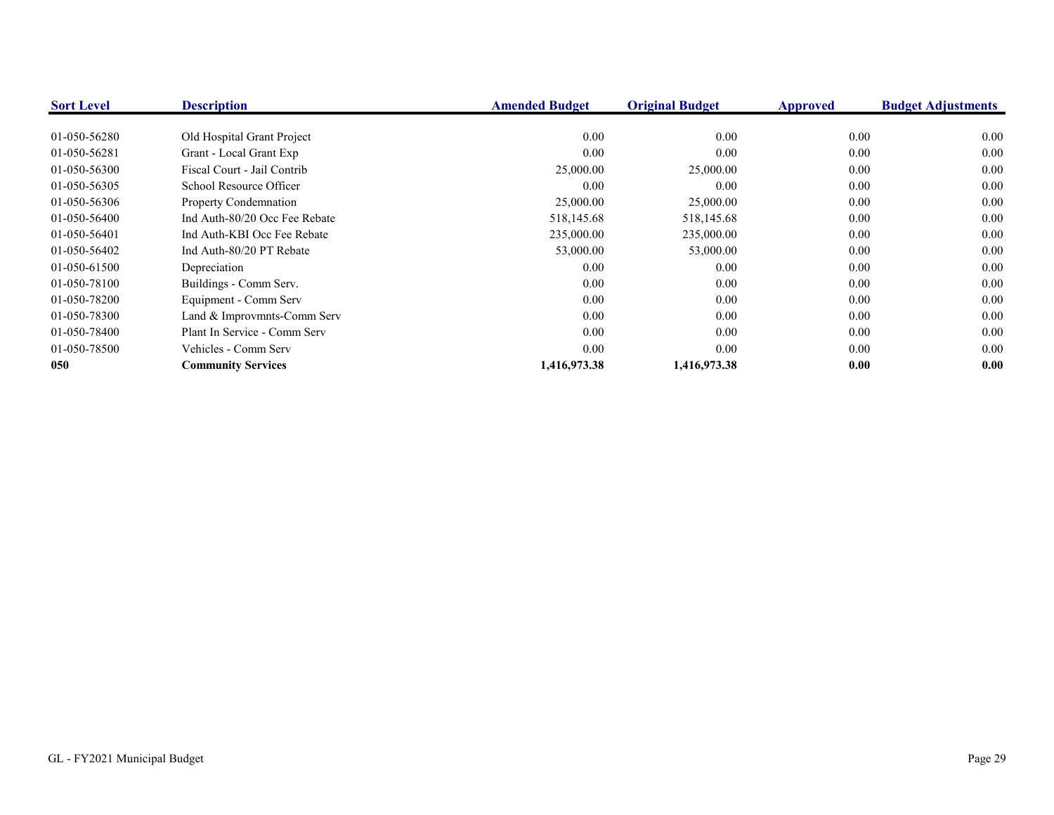| <b>Sort Level</b> | <b>Description</b>            | <b>Amended Budget</b> | <b>Original Budget</b> | <b>Approved</b> | <b>Budget Adjustments</b> |
|-------------------|-------------------------------|-----------------------|------------------------|-----------------|---------------------------|
|                   |                               |                       |                        |                 |                           |
| 01-050-56280      | Old Hospital Grant Project    | 0.00                  | 0.00                   | 0.00            | 0.00                      |
| 01-050-56281      | Grant - Local Grant Exp       | 0.00                  | 0.00                   | 0.00            | 0.00                      |
| 01-050-56300      | Fiscal Court - Jail Contrib   | 25,000.00             | 25,000.00              | 0.00            | 0.00                      |
| 01-050-56305      | School Resource Officer       | $0.00\,$              | 0.00                   | 0.00            | 0.00                      |
| 01-050-56306      | Property Condemnation         | 25,000.00             | 25,000.00              | 0.00            | 0.00                      |
| 01-050-56400      | Ind Auth-80/20 Occ Fee Rebate | 518,145.68            | 518,145.68             | 0.00            | 0.00                      |
| 01-050-56401      | Ind Auth-KBI Occ Fee Rebate   | 235,000.00            | 235,000.00             | $0.00\,$        | 0.00                      |
| 01-050-56402      | Ind Auth-80/20 PT Rebate      | 53,000.00             | 53,000.00              | $0.00\,$        | 0.00                      |
| 01-050-61500      | Depreciation                  | 0.00                  | 0.00                   | 0.00            | 0.00                      |
| 01-050-78100      | Buildings - Comm Serv.        | 0.00                  | 0.00                   | $0.00\,$        | 0.00                      |
| 01-050-78200      | Equipment - Comm Serv         | 0.00                  | 0.00                   | $0.00\,$        | 0.00                      |
| 01-050-78300      | Land & Improvmnts-Comm Serv   | 0.00                  | 0.00                   | $0.00\,$        | 0.00                      |
| 01-050-78400      | Plant In Service - Comm Serv  | 0.00                  | 0.00                   | $0.00\,$        | 0.00                      |
| 01-050-78500      | Vehicles - Comm Serv          | 0.00                  | 0.00                   | 0.00            | 0.00                      |
| 050               | <b>Community Services</b>     | 1,416,973.38          | 1,416,973.38           | 0.00            | 0.00                      |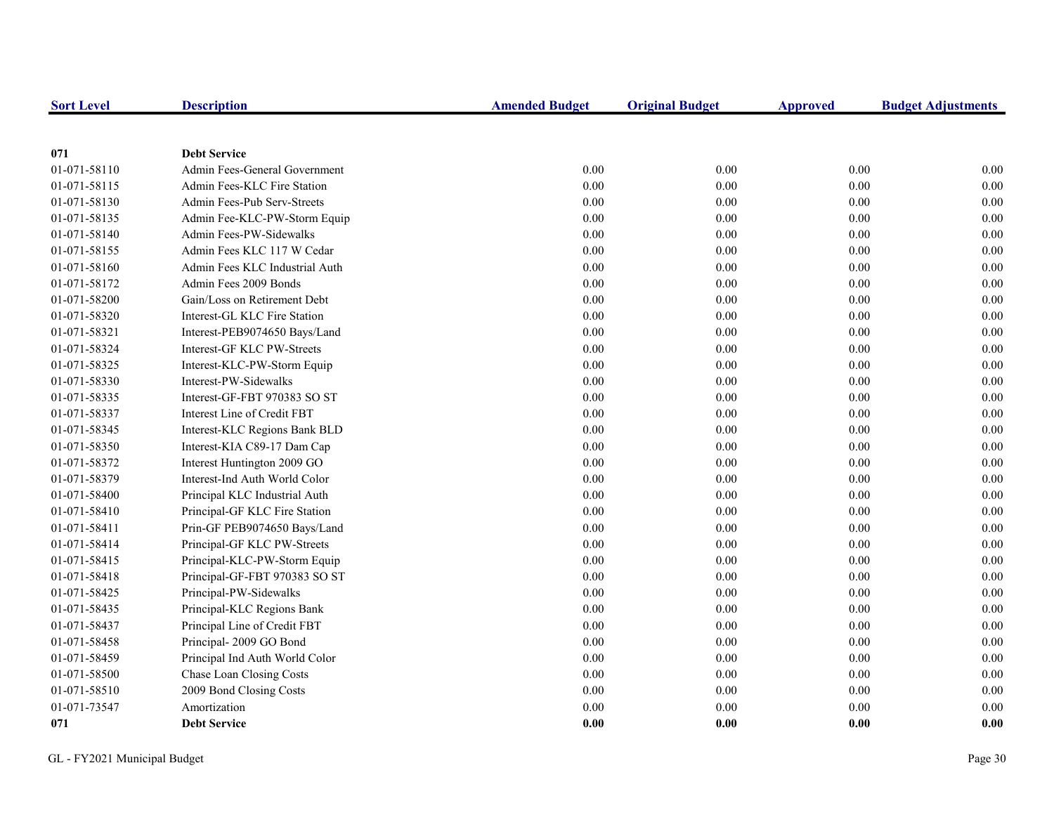| <b>Sort Level</b> | <b>Description</b>             | <b>Amended Budget</b> | <b>Original Budget</b> | <b>Approved</b> | <b>Budget Adjustments</b> |
|-------------------|--------------------------------|-----------------------|------------------------|-----------------|---------------------------|
|                   |                                |                       |                        |                 |                           |
| 071               | <b>Debt Service</b>            |                       |                        |                 |                           |
| 01-071-58110      | Admin Fees-General Government  | 0.00                  | 0.00                   | 0.00            | 0.00                      |
| 01-071-58115      | Admin Fees-KLC Fire Station    | 0.00                  | $0.00\,$               | $0.00\,$        | 0.00                      |
| 01-071-58130      | Admin Fees-Pub Serv-Streets    | 0.00                  | $0.00\,$               | 0.00            | $0.00\,$                  |
| 01-071-58135      | Admin Fee-KLC-PW-Storm Equip   | 0.00                  | 0.00                   | 0.00            | 0.00                      |
| 01-071-58140      | Admin Fees-PW-Sidewalks        | 0.00                  | $0.00\,$               | 0.00            | 0.00                      |
| 01-071-58155      | Admin Fees KLC 117 W Cedar     | 0.00                  | 0.00                   | 0.00            | 0.00                      |
| 01-071-58160      | Admin Fees KLC Industrial Auth | 0.00                  | 0.00                   | 0.00            | 0.00                      |
| 01-071-58172      | Admin Fees 2009 Bonds          | 0.00                  | 0.00                   | 0.00            | 0.00                      |
| 01-071-58200      | Gain/Loss on Retirement Debt   | 0.00                  | 0.00                   | 0.00            | 0.00                      |
| 01-071-58320      | Interest-GL KLC Fire Station   | 0.00                  | 0.00                   | 0.00            | 0.00                      |
| 01-071-58321      | Interest-PEB9074650 Bays/Land  | 0.00                  | 0.00                   | 0.00            | 0.00                      |
| 01-071-58324      | Interest-GF KLC PW-Streets     | 0.00                  | 0.00                   | 0.00            | 0.00                      |
| 01-071-58325      | Interest-KLC-PW-Storm Equip    | 0.00                  | $0.00\,$               | 0.00            | 0.00                      |
| 01-071-58330      | Interest-PW-Sidewalks          | 0.00                  | 0.00                   | 0.00            | 0.00                      |
| 01-071-58335      | Interest-GF-FBT 970383 SO ST   | $0.00\,$              | 0.00                   | 0.00            | 0.00                      |
| 01-071-58337      | Interest Line of Credit FBT    | 0.00                  | 0.00                   | 0.00            | 0.00                      |
| 01-071-58345      | Interest-KLC Regions Bank BLD  | 0.00                  | 0.00                   | 0.00            | 0.00                      |
| 01-071-58350      | Interest-KIA C89-17 Dam Cap    | 0.00                  | 0.00                   | 0.00            | 0.00                      |
| 01-071-58372      | Interest Huntington 2009 GO    | 0.00                  | 0.00                   | 0.00            | 0.00                      |
| 01-071-58379      | Interest-Ind Auth World Color  | 0.00                  | 0.00                   | 0.00            | 0.00                      |
| 01-071-58400      | Principal KLC Industrial Auth  | 0.00                  | 0.00                   | 0.00            | 0.00                      |
| 01-071-58410      | Principal-GF KLC Fire Station  | $0.00\,$              | 0.00                   | $0.00\,$        | 0.00                      |
| 01-071-58411      | Prin-GF PEB9074650 Bays/Land   | 0.00                  | $0.00\,$               | 0.00            | 0.00                      |
| 01-071-58414      | Principal-GF KLC PW-Streets    | 0.00                  | 0.00                   | 0.00            | 0.00                      |
| 01-071-58415      | Principal-KLC-PW-Storm Equip   | 0.00                  | $0.00\,$               | 0.00            | 0.00                      |
| 01-071-58418      | Principal-GF-FBT 970383 SO ST  | $0.00\,$              | 0.00                   | 0.00            | 0.00                      |
| 01-071-58425      | Principal-PW-Sidewalks         | 0.00                  | 0.00                   | 0.00            | 0.00                      |
| 01-071-58435      | Principal-KLC Regions Bank     | 0.00                  | 0.00                   | 0.00            | 0.00                      |
| 01-071-58437      | Principal Line of Credit FBT   | 0.00                  | 0.00                   | 0.00            | 0.00                      |
| 01-071-58458      | Principal-2009 GO Bond         | 0.00                  | 0.00                   | 0.00            | 0.00                      |
| 01-071-58459      | Principal Ind Auth World Color | 0.00                  | 0.00                   | 0.00            | 0.00                      |
| 01-071-58500      | Chase Loan Closing Costs       | 0.00                  | 0.00                   | 0.00            | 0.00                      |
| 01-071-58510      | 2009 Bond Closing Costs        | 0.00                  | 0.00                   | 0.00            | 0.00                      |
| 01-071-73547      | Amortization                   | 0.00                  | 0.00                   | $0.00\,$        | 0.00                      |
| 071               | <b>Debt Service</b>            | 0.00                  | 0.00                   | 0.00            | 0.00                      |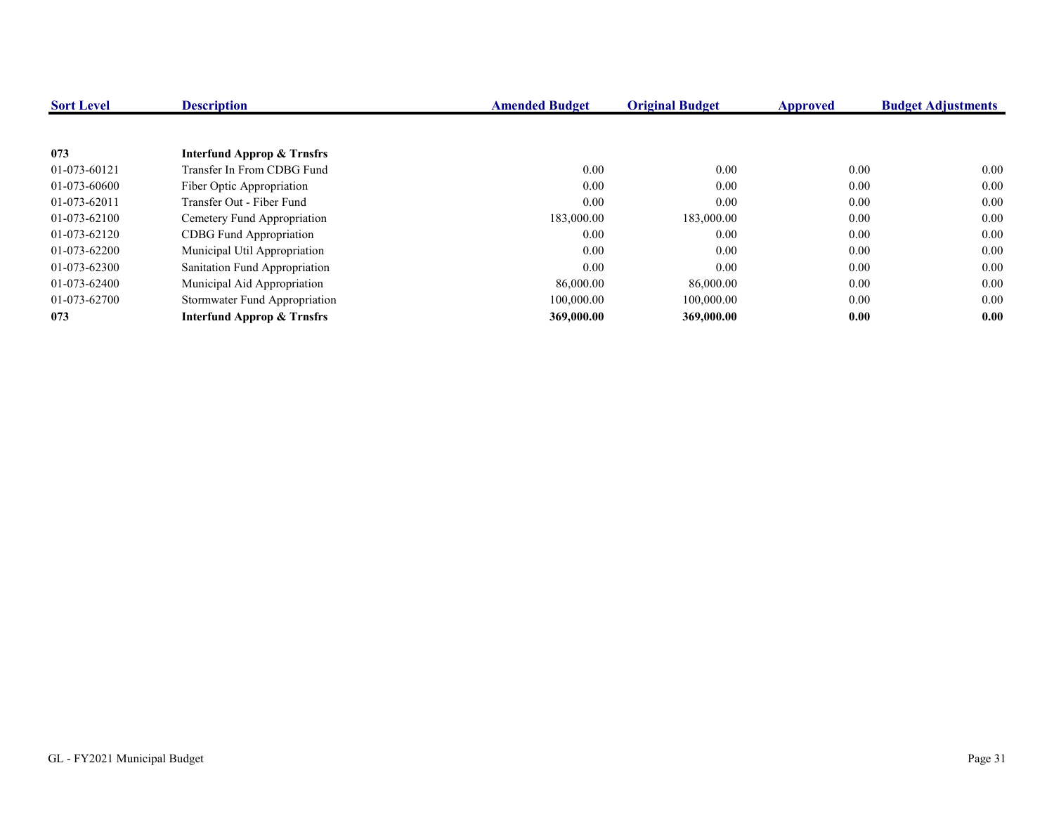| <b>Sort Level</b> | <b>Description</b>             | <b>Amended Budget</b> | <b>Original Budget</b> | <b>Approved</b> | <b>Budget Adjustments</b> |
|-------------------|--------------------------------|-----------------------|------------------------|-----------------|---------------------------|
|                   |                                |                       |                        |                 |                           |
| 073               | Interfund Approp & Trnsfrs     |                       |                        |                 |                           |
| 01-073-60121      | Transfer In From CDBG Fund     | 0.00                  | 0.00                   | 0.00            | 0.00                      |
| 01-073-60600      | Fiber Optic Appropriation      | 0.00                  | 0.00                   | $0.00\,$        | 0.00                      |
| 01-073-62011      | Transfer Out - Fiber Fund      | 0.00                  | 0.00                   | 0.00            | 0.00                      |
| 01-073-62100      | Cemetery Fund Appropriation    | 183,000.00            | 183,000.00             | 0.00            | 0.00                      |
| 01-073-62120      | <b>CDBG</b> Fund Appropriation | 0.00                  | 0.00                   | $0.00\,$        | 0.00                      |
| 01-073-62200      | Municipal Util Appropriation   | 0.00                  | 0.00                   | $0.00\,$        | 0.00                      |
| 01-073-62300      | Sanitation Fund Appropriation  | 0.00                  | 0.00                   | 0.00            | 0.00                      |
| 01-073-62400      | Municipal Aid Appropriation    | 86,000.00             | 86,000.00              | $0.00\,$        | 0.00                      |
| 01-073-62700      | Stormwater Fund Appropriation  | 100,000.00            | 100,000.00             | 0.00            | 0.00                      |
| 073               | Interfund Approp & Trnsfrs     | 369,000.00            | 369,000.00             | 0.00            | 0.00                      |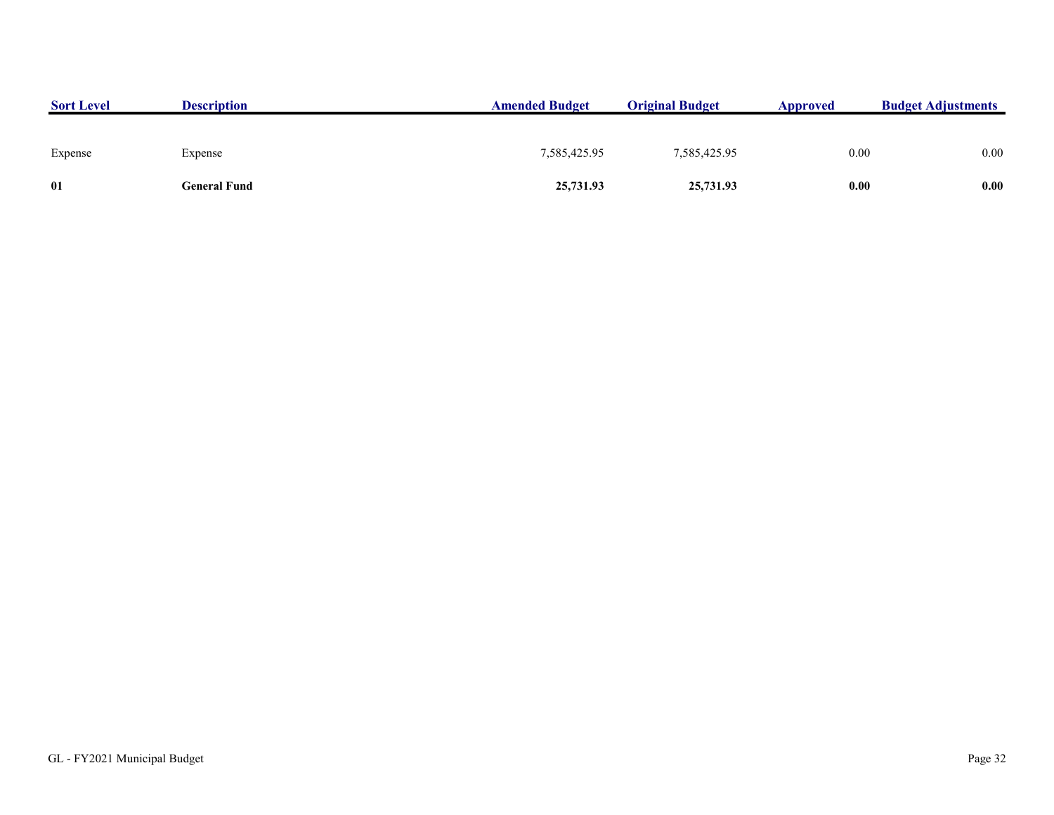| <b>Sort Level</b> | <b>Description</b> | <b>Amended Budget</b> | <b>Original Budget</b> | Approved | <b>Budget Adjustments</b> |
|-------------------|--------------------|-----------------------|------------------------|----------|---------------------------|
|                   |                    |                       |                        |          |                           |
| Expense           | Expense            | 7,585,425.95          | 7,585,425.95           | 0.00     | 0.00                      |
| 01                | General Fund       | 25,731.93             | 25,731.93              | 0.00     | 0.00                      |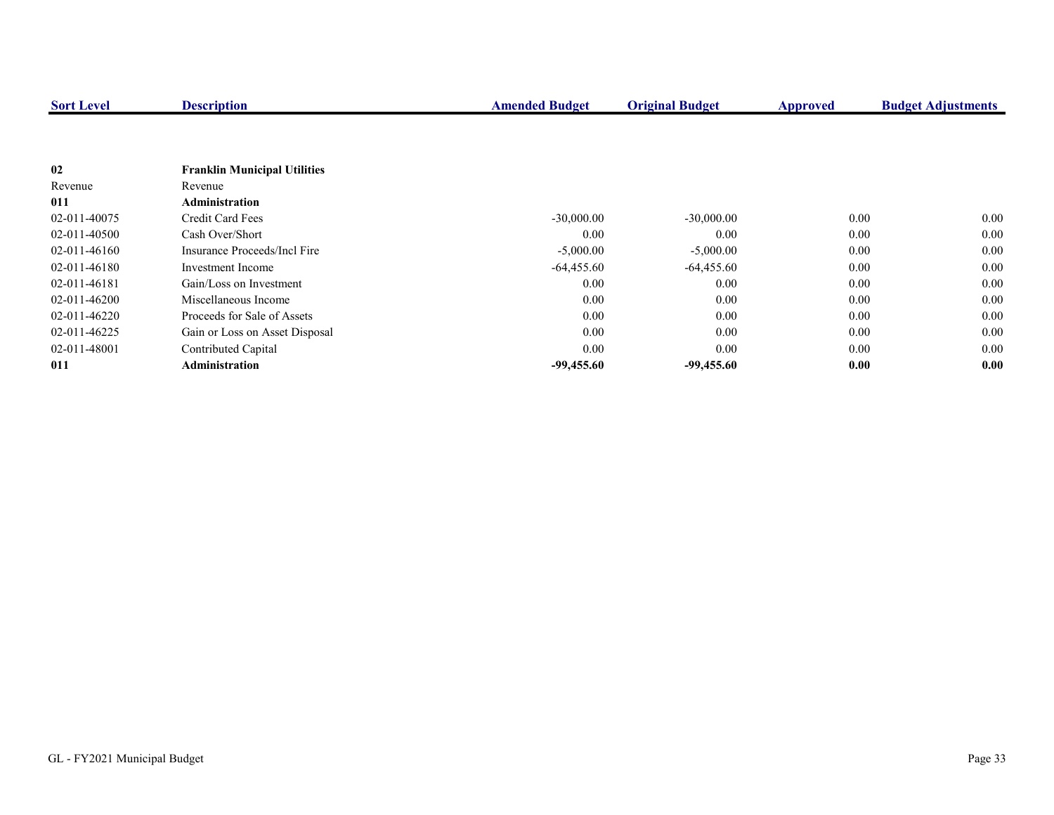| <b>Sort Level</b> | <b>Description</b>                  | <b>Amended Budget</b> | <b>Original Budget</b> | Approved | <b>Budget Adjustments</b> |
|-------------------|-------------------------------------|-----------------------|------------------------|----------|---------------------------|
|                   |                                     |                       |                        |          |                           |
|                   |                                     |                       |                        |          |                           |
| 02                | <b>Franklin Municipal Utilities</b> |                       |                        |          |                           |
| Revenue           | Revenue                             |                       |                        |          |                           |
| 011               | <b>Administration</b>               |                       |                        |          |                           |
| 02-011-40075      | Credit Card Fees                    | $-30,000.00$          | $-30,000.00$           | 0.00     | 0.00                      |
| 02-011-40500      | Cash Over/Short                     | 0.00                  | 0.00                   | 0.00     | 0.00                      |
| 02-011-46160      | Insurance Proceeds/Incl Fire        | $-5,000.00$           | $-5,000.00$            | 0.00     | 0.00                      |
| 02-011-46180      | Investment Income                   | $-64,455.60$          | $-64,455.60$           | 0.00     | 0.00                      |
| 02-011-46181      | Gain/Loss on Investment             | 0.00                  | 0.00                   | 0.00     | 0.00                      |
| 02-011-46200      | Miscellaneous Income                | 0.00                  | 0.00                   | 0.00     | 0.00                      |
| 02-011-46220      | Proceeds for Sale of Assets         | 0.00                  | 0.00                   | 0.00     | 0.00                      |
| 02-011-46225      | Gain or Loss on Asset Disposal      | 0.00                  | 0.00                   | 0.00     | $0.00\,$                  |
| 02-011-48001      | Contributed Capital                 | 0.00                  | 0.00                   | 0.00     | 0.00                      |
| 011               | <b>Administration</b>               | $-99,455.60$          | $-99,455.60$           | 0.00     | 0.00                      |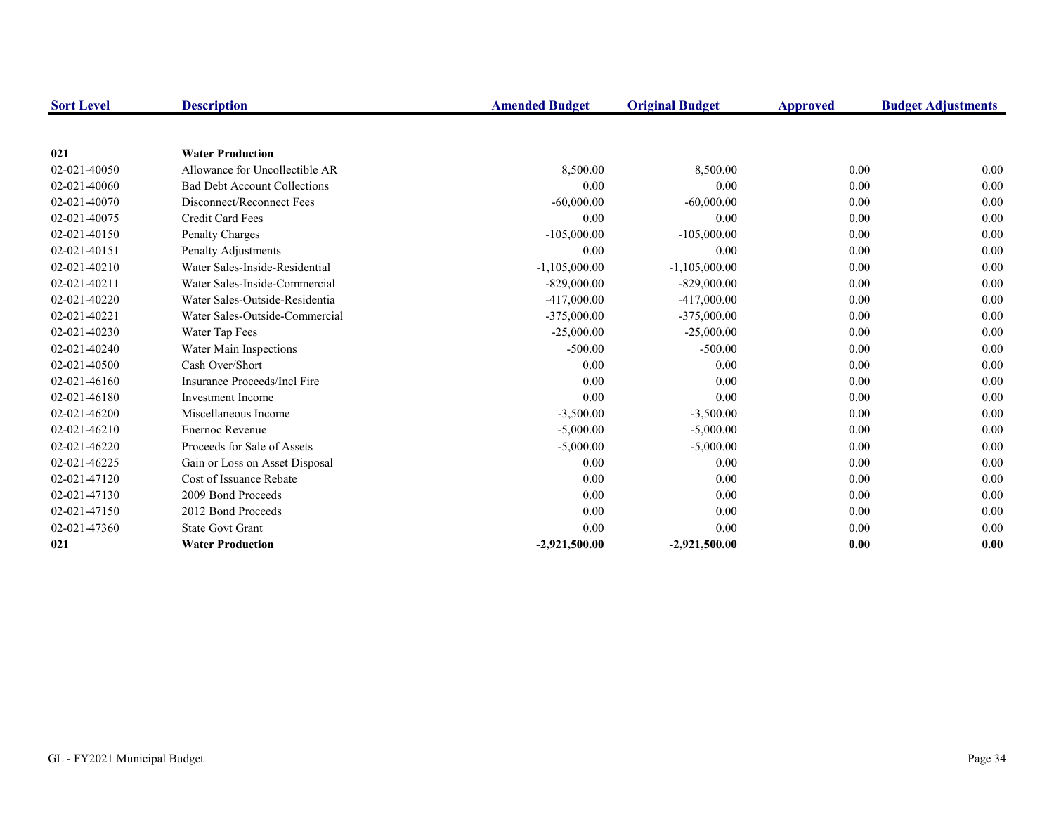| <b>Sort Level</b> | <b>Description</b>                  | <b>Amended Budget</b> | <b>Original Budget</b> | Approved | <b>Budget Adjustments</b> |
|-------------------|-------------------------------------|-----------------------|------------------------|----------|---------------------------|
|                   |                                     |                       |                        |          |                           |
| 021               | <b>Water Production</b>             |                       |                        |          |                           |
| 02-021-40050      | Allowance for Uncollectible AR      | 8,500.00              | 8,500.00               | 0.00     | 0.00                      |
| 02-021-40060      | <b>Bad Debt Account Collections</b> | 0.00                  | 0.00                   | 0.00     | 0.00                      |
| 02-021-40070      | Disconnect/Reconnect Fees           | $-60,000.00$          | $-60,000.00$           | 0.00     | 0.00                      |
| 02-021-40075      | Credit Card Fees                    | 0.00                  | 0.00                   | 0.00     | 0.00                      |
| 02-021-40150      | <b>Penalty Charges</b>              | $-105,000.00$         | $-105,000.00$          | 0.00     | 0.00                      |
| 02-021-40151      | Penalty Adjustments                 | 0.00                  | 0.00                   | 0.00     | 0.00                      |
| 02-021-40210      | Water Sales-Inside-Residential      | $-1,105,000.00$       | $-1,105,000.00$        | 0.00     | 0.00                      |
| 02-021-40211      | Water Sales-Inside-Commercial       | $-829,000.00$         | $-829,000.00$          | 0.00     | 0.00                      |
| 02-021-40220      | Water Sales-Outside-Residentia      | $-417,000.00$         | $-417,000.00$          | 0.00     | 0.00                      |
| 02-021-40221      | Water Sales-Outside-Commercial      | $-375,000.00$         | $-375,000.00$          | 0.00     | 0.00                      |
| 02-021-40230      | Water Tap Fees                      | $-25,000.00$          | $-25,000.00$           | 0.00     | 0.00                      |
| 02-021-40240      | Water Main Inspections              | $-500.00$             | $-500.00$              | 0.00     | 0.00                      |
| 02-021-40500      | Cash Over/Short                     | 0.00                  | 0.00                   | 0.00     | 0.00                      |
| 02-021-46160      | Insurance Proceeds/Incl Fire        | 0.00                  | 0.00                   | 0.00     | 0.00                      |
| 02-021-46180      | <b>Investment Income</b>            | 0.00                  | 0.00                   | 0.00     | 0.00                      |
| 02-021-46200      | Miscellaneous Income                | $-3,500.00$           | $-3,500.00$            | 0.00     | 0.00                      |
| 02-021-46210      | <b>Enernoc Revenue</b>              | $-5,000.00$           | $-5,000.00$            | 0.00     | 0.00                      |
| 02-021-46220      | Proceeds for Sale of Assets         | $-5,000.00$           | $-5,000.00$            | 0.00     | 0.00                      |
| 02-021-46225      | Gain or Loss on Asset Disposal      | 0.00                  | 0.00                   | 0.00     | 0.00                      |
| 02-021-47120      | Cost of Issuance Rebate             | 0.00                  | 0.00                   | 0.00     | 0.00                      |
| 02-021-47130      | 2009 Bond Proceeds                  | 0.00                  | 0.00                   | 0.00     | 0.00                      |
| 02-021-47150      | 2012 Bond Proceeds                  | 0.00                  | 0.00                   | 0.00     | 0.00                      |
| 02-021-47360      | <b>State Govt Grant</b>             | 0.00                  | 0.00                   | 0.00     | 0.00                      |
| 021               | <b>Water Production</b>             | $-2,921,500.00$       | $-2,921,500.00$        | 0.00     | 0.00                      |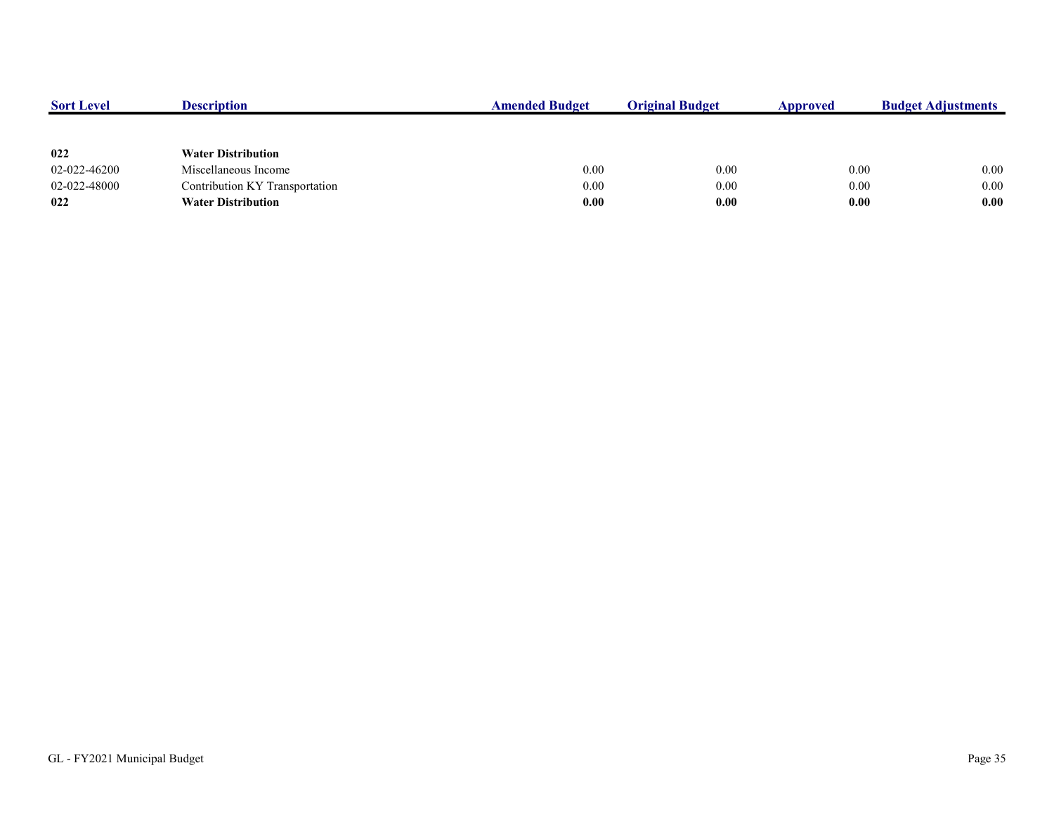| <b>Sort Level</b> | <b>Description</b>             | <b>Amended Budget</b> | <b>Original Budget</b> | Approved | <b>Budget Adjustments</b> |
|-------------------|--------------------------------|-----------------------|------------------------|----------|---------------------------|
|                   |                                |                       |                        |          |                           |
| 022               | <b>Water Distribution</b>      |                       |                        |          |                           |
| 02-022-46200      | Miscellaneous Income           | 0.00                  | 0.00                   | 0.00     | 0.00                      |
| 02-022-48000      | Contribution KY Transportation | 0.00                  | 0.00                   | 0.00     | 0.00                      |
| 022               | <b>Water Distribution</b>      | 0.00                  | 0.00                   | 0.00     | 0.00                      |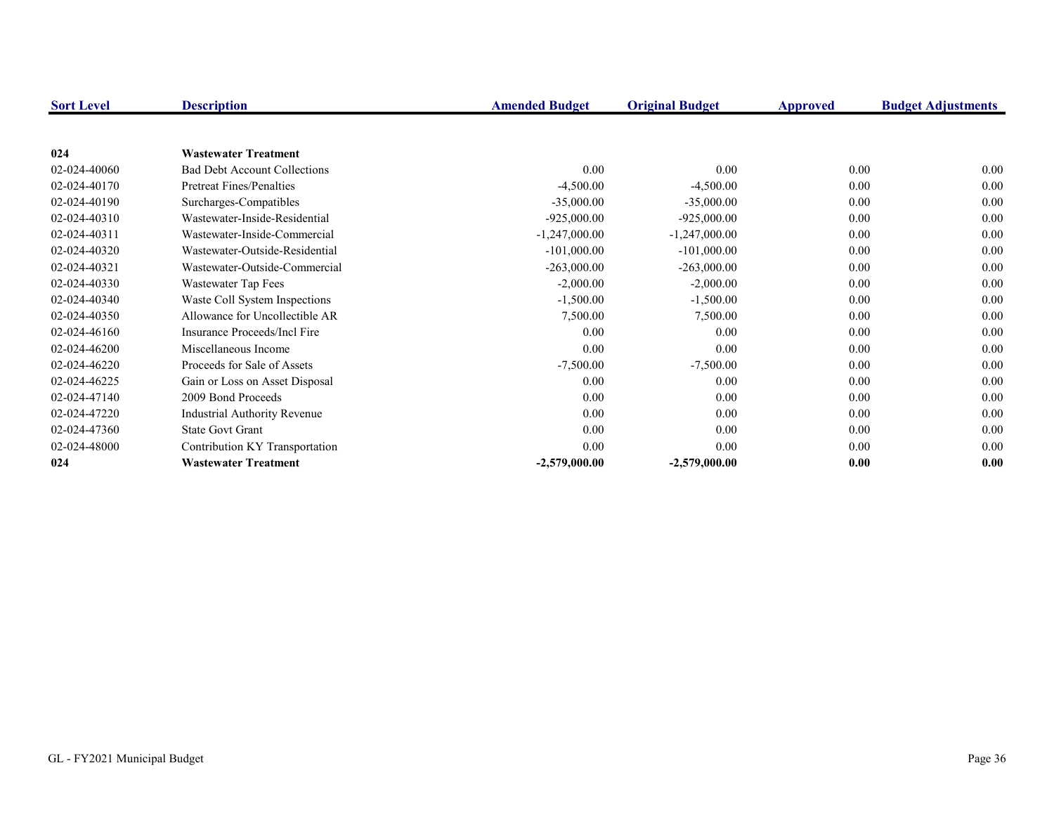| <b>Sort Level</b> | <b>Description</b>                  | <b>Amended Budget</b> | <b>Original Budget</b> | Approved | <b>Budget Adjustments</b> |
|-------------------|-------------------------------------|-----------------------|------------------------|----------|---------------------------|
|                   |                                     |                       |                        |          |                           |
| 024               | <b>Wastewater Treatment</b>         |                       |                        |          |                           |
| 02-024-40060      | <b>Bad Debt Account Collections</b> | 0.00                  | 0.00                   | 0.00     | 0.00                      |
| 02-024-40170      | <b>Pretreat Fines/Penalties</b>     | $-4,500.00$           | $-4,500.00$            | 0.00     | 0.00                      |
| 02-024-40190      | Surcharges-Compatibles              | $-35,000.00$          | $-35,000.00$           | 0.00     | 0.00                      |
| 02-024-40310      | Wastewater-Inside-Residential       | $-925,000.00$         | $-925,000.00$          | 0.00     | 0.00                      |
| 02-024-40311      | Wastewater-Inside-Commercial        | $-1,247,000.00$       | $-1,247,000.00$        | 0.00     | 0.00                      |
| 02-024-40320      | Wastewater-Outside-Residential      | $-101,000.00$         | $-101,000.00$          | 0.00     | 0.00                      |
| 02-024-40321      | Wastewater-Outside-Commercial       | $-263,000.00$         | $-263,000.00$          | 0.00     | 0.00                      |
| 02-024-40330      | Wastewater Tap Fees                 | $-2,000.00$           | $-2,000.00$            | 0.00     | 0.00                      |
| 02-024-40340      | Waste Coll System Inspections       | $-1,500.00$           | $-1,500.00$            | 0.00     | 0.00                      |
| 02-024-40350      | Allowance for Uncollectible AR      | 7,500.00              | 7,500.00               | 0.00     | 0.00                      |
| 02-024-46160      | Insurance Proceeds/Incl Fire        | 0.00                  | 0.00                   | 0.00     | 0.00                      |
| 02-024-46200      | Miscellaneous Income                | 0.00                  | 0.00                   | 0.00     | 0.00                      |
| 02-024-46220      | Proceeds for Sale of Assets         | $-7,500.00$           | $-7,500.00$            | 0.00     | 0.00                      |
| 02-024-46225      | Gain or Loss on Asset Disposal      | 0.00                  | 0.00                   | 0.00     | 0.00                      |
| 02-024-47140      | 2009 Bond Proceeds                  | 0.00                  | 0.00                   | 0.00     | 0.00                      |
| 02-024-47220      | Industrial Authority Revenue        | 0.00                  | $0.00\,$               | 0.00     | 0.00                      |
| 02-024-47360      | <b>State Govt Grant</b>             | 0.00                  | 0.00                   | 0.00     | 0.00                      |
| 02-024-48000      | Contribution KY Transportation      | 0.00                  | 0.00                   | 0.00     | 0.00                      |
| 024               | <b>Wastewater Treatment</b>         | $-2,579,000.00$       | $-2,579,000.00$        | 0.00     | 0.00                      |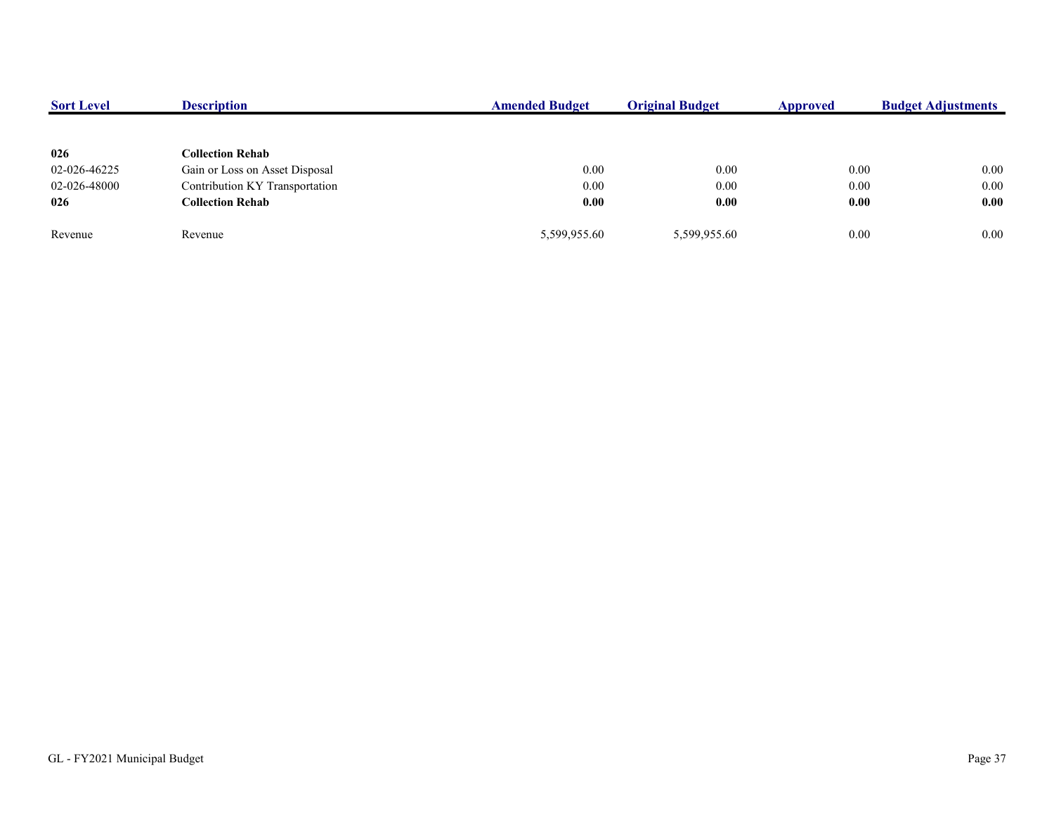| 0.00 |
|------|
| 0.00 |
| 0.00 |
| 0.00 |
|      |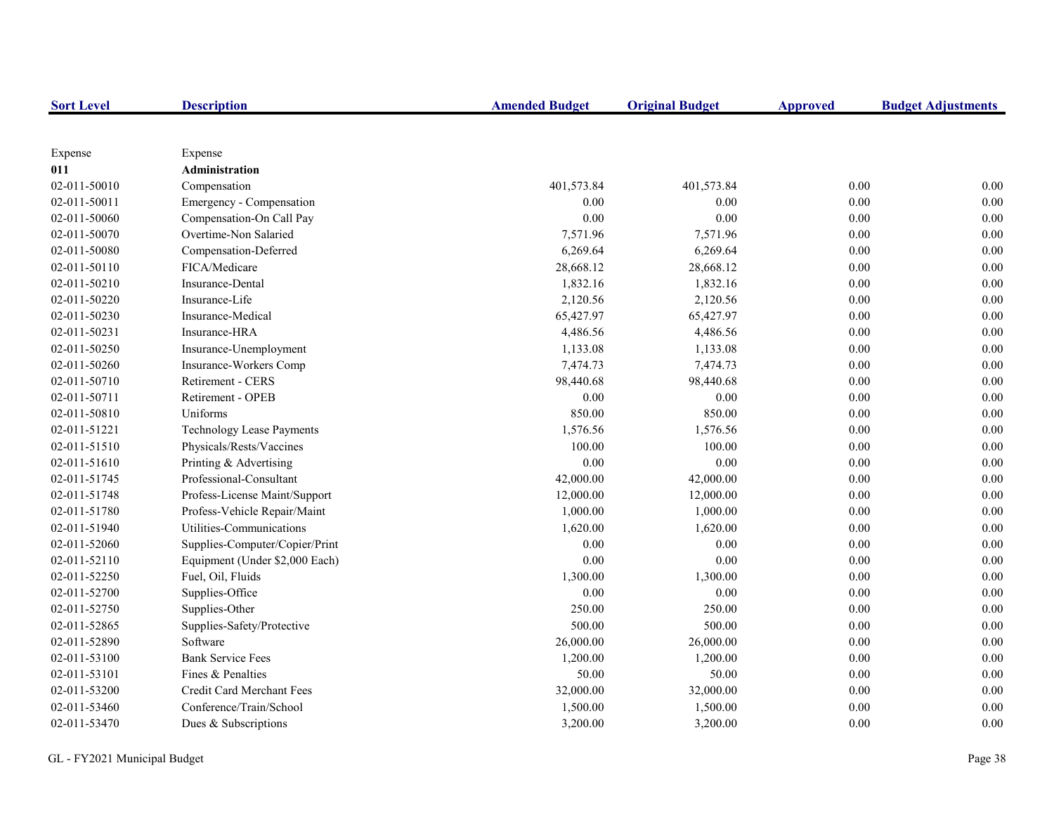| <b>Sort Level</b> | <b>Description</b>               | <b>Amended Budget</b> | <b>Original Budget</b> | <b>Approved</b> | <b>Budget Adjustments</b> |
|-------------------|----------------------------------|-----------------------|------------------------|-----------------|---------------------------|
|                   |                                  |                       |                        |                 |                           |
| Expense           | Expense                          |                       |                        |                 |                           |
| 011               | Administration                   |                       |                        |                 |                           |
| 02-011-50010      | Compensation                     | 401,573.84            | 401,573.84             | 0.00            | 0.00                      |
| 02-011-50011      | Emergency - Compensation         | 0.00                  | 0.00                   | $0.00\,$        | 0.00                      |
| 02-011-50060      | Compensation-On Call Pay         | $0.00\,$              | 0.00                   | $0.00\,$        | 0.00                      |
| 02-011-50070      | Overtime-Non Salaried            | 7,571.96              | 7,571.96               | 0.00            | 0.00                      |
| 02-011-50080      | Compensation-Deferred            | 6,269.64              | 6,269.64               | 0.00            | 0.00                      |
| 02-011-50110      | FICA/Medicare                    | 28,668.12             | 28,668.12              | 0.00            | 0.00                      |
| 02-011-50210      | Insurance-Dental                 | 1,832.16              | 1,832.16               | 0.00            | 0.00                      |
| 02-011-50220      | Insurance-Life                   | 2,120.56              | 2,120.56               | 0.00            | 0.00                      |
| 02-011-50230      | Insurance-Medical                | 65,427.97             | 65,427.97              | 0.00            | 0.00                      |
| 02-011-50231      | Insurance-HRA                    | 4,486.56              | 4,486.56               | 0.00            | 0.00                      |
| 02-011-50250      | Insurance-Unemployment           | 1,133.08              | 1,133.08               | $0.00\,$        | 0.00                      |
| 02-011-50260      | Insurance-Workers Comp           | 7,474.73              | 7,474.73               | 0.00            | 0.00                      |
| 02-011-50710      | Retirement - CERS                | 98,440.68             | 98,440.68              | $0.00\,$        | 0.00                      |
| 02-011-50711      | Retirement - OPEB                | 0.00                  | 0.00                   | 0.00            | 0.00                      |
| 02-011-50810      | Uniforms                         | 850.00                | 850.00                 | 0.00            | 0.00                      |
| 02-011-51221      | <b>Technology Lease Payments</b> | 1,576.56              | 1,576.56               | 0.00            | 0.00                      |
| 02-011-51510      | Physicals/Rests/Vaccines         | 100.00                | 100.00                 | 0.00            | 0.00                      |
| 02-011-51610      | Printing & Advertising           | $0.00\,$              | 0.00                   | 0.00            | 0.00                      |
| 02-011-51745      | Professional-Consultant          | 42,000.00             | 42,000.00              | 0.00            | 0.00                      |
| 02-011-51748      | Profess-License Maint/Support    | 12,000.00             | 12,000.00              | 0.00            | 0.00                      |
| 02-011-51780      | Profess-Vehicle Repair/Maint     | 1,000.00              | 1,000.00               | $0.00\,$        | 0.00                      |
| 02-011-51940      | Utilities-Communications         | 1,620.00              | 1,620.00               | $0.00\,$        | 0.00                      |
| 02-011-52060      | Supplies-Computer/Copier/Print   | 0.00                  | 0.00                   | 0.00            | 0.00                      |
| 02-011-52110      | Equipment (Under \$2,000 Each)   | 0.00                  | 0.00                   | 0.00            | 0.00                      |
| 02-011-52250      | Fuel, Oil, Fluids                | 1,300.00              | 1,300.00               | 0.00            | 0.00                      |
| 02-011-52700      | Supplies-Office                  | 0.00                  | 0.00                   | 0.00            | 0.00                      |
| 02-011-52750      | Supplies-Other                   | 250.00                | 250.00                 | 0.00            | 0.00                      |
| 02-011-52865      | Supplies-Safety/Protective       | 500.00                | 500.00                 | 0.00            | 0.00                      |
| 02-011-52890      | Software                         | 26,000.00             | 26,000.00              | 0.00            | 0.00                      |
| 02-011-53100      | <b>Bank Service Fees</b>         | 1,200.00              | 1,200.00               | 0.00            | 0.00                      |
| 02-011-53101      | Fines & Penalties                | 50.00                 | 50.00                  | 0.00            | 0.00                      |
| 02-011-53200      | Credit Card Merchant Fees        | 32,000.00             | 32,000.00              | $0.00\,$        | 0.00                      |
| 02-011-53460      | Conference/Train/School          | 1,500.00              | 1,500.00               | 0.00            | 0.00                      |
| 02-011-53470      | Dues & Subscriptions             | 3,200.00              | 3,200.00               | 0.00            | 0.00                      |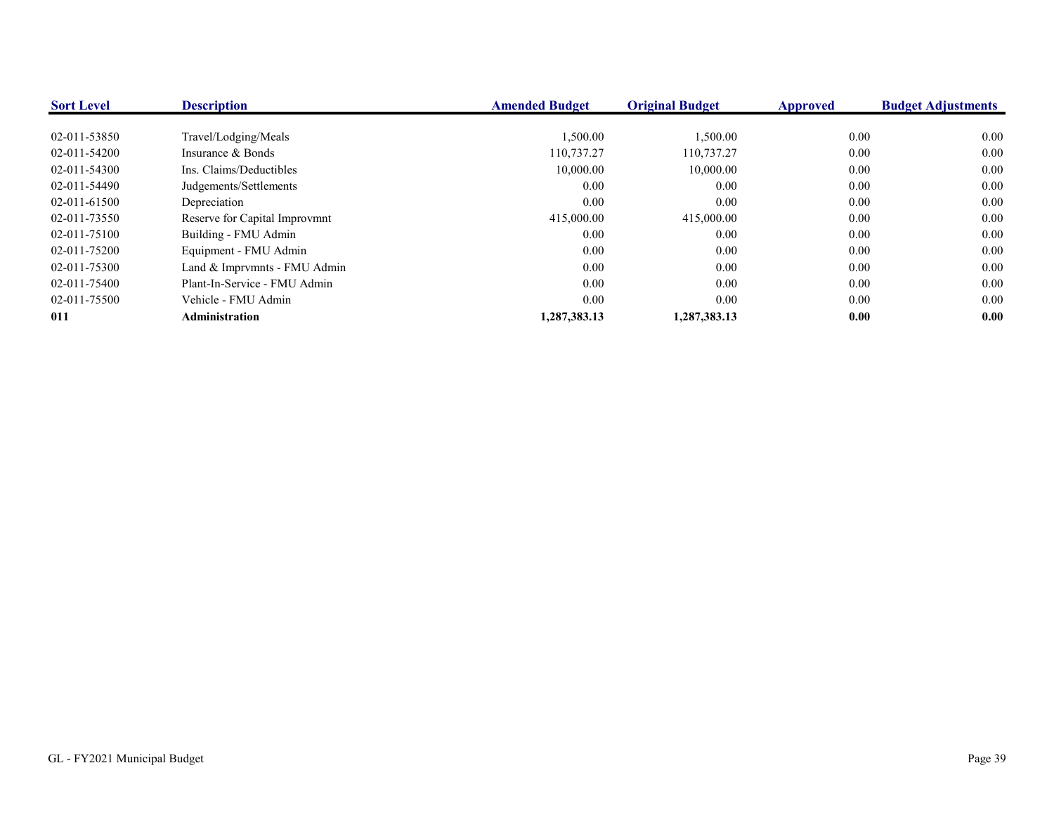| <b>Sort Level</b> | <b>Description</b>            | <b>Amended Budget</b> | <b>Original Budget</b> | <b>Approved</b> | <b>Budget Adjustments</b> |
|-------------------|-------------------------------|-----------------------|------------------------|-----------------|---------------------------|
|                   |                               |                       |                        |                 |                           |
| 02-011-53850      | Travel/Lodging/Meals          | 1,500.00              | 1,500.00               | $0.00\,$        | 0.00                      |
| 02-011-54200      | Insurance & Bonds             | 110,737.27            | 110,737.27             | $0.00\,$        | 0.00                      |
| 02-011-54300      | Ins. Claims/Deductibles       | 10,000.00             | 10,000.00              | $0.00\,$        | 0.00                      |
| 02-011-54490      | Judgements/Settlements        | 0.00                  | 0.00                   | $0.00\,$        | 0.00                      |
| 02-011-61500      | Depreciation                  | 0.00                  | 0.00                   | $0.00\,$        | 0.00                      |
| 02-011-73550      | Reserve for Capital Improvmnt | 415,000.00            | 415,000.00             | 0.00            | 0.00                      |
| 02-011-75100      | Building - FMU Admin          | 0.00                  | 0.00                   | $0.00\,$        | 0.00                      |
| 02-011-75200      | Equipment - FMU Admin         | 0.00                  | 0.00                   | $0.00\,$        | 0.00                      |
| 02-011-75300      | Land & Imprvmnts - FMU Admin  | 0.00                  | 0.00                   | 0.00            | 0.00                      |
| 02-011-75400      | Plant-In-Service - FMU Admin  | 0.00                  | 0.00                   | $0.00\,$        | 0.00                      |
| 02-011-75500      | Vehicle - FMU Admin           | 0.00                  | 0.00                   | 0.00            | 0.00                      |
| 011               | <b>Administration</b>         | 1.287.383.13          | 1,287,383.13           | 0.00            | 0.00                      |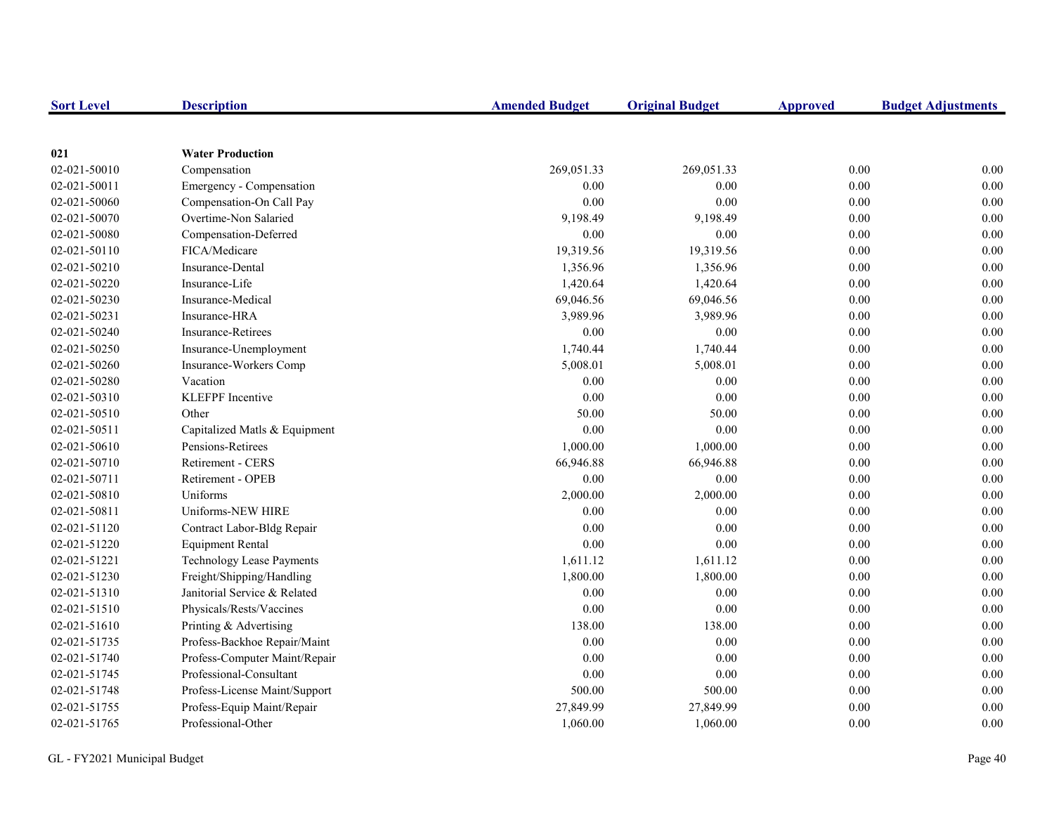| <b>Sort Level</b> | <b>Description</b>               | <b>Amended Budget</b> | <b>Original Budget</b> | <b>Approved</b> | <b>Budget Adjustments</b> |
|-------------------|----------------------------------|-----------------------|------------------------|-----------------|---------------------------|
|                   |                                  |                       |                        |                 |                           |
| 021               | <b>Water Production</b>          |                       |                        |                 |                           |
| 02-021-50010      | Compensation                     | 269,051.33            | 269,051.33             | 0.00            | 0.00                      |
| 02-021-50011      | Emergency - Compensation         | 0.00                  | 0.00                   | 0.00            | 0.00                      |
| 02-021-50060      | Compensation-On Call Pay         | 0.00                  | 0.00                   | 0.00            | 0.00                      |
| 02-021-50070      | Overtime-Non Salaried            | 9,198.49              | 9,198.49               | 0.00            | 0.00                      |
| 02-021-50080      | Compensation-Deferred            | $0.00\,$              | 0.00                   | $0.00\,$        | 0.00                      |
| 02-021-50110      | FICA/Medicare                    | 19,319.56             | 19,319.56              | 0.00            | 0.00                      |
| 02-021-50210      | Insurance-Dental                 | 1,356.96              | 1,356.96               | 0.00            | 0.00                      |
| 02-021-50220      | Insurance-Life                   | 1,420.64              | 1,420.64               | 0.00            | 0.00                      |
| 02-021-50230      | Insurance-Medical                | 69,046.56             | 69,046.56              | 0.00            | 0.00                      |
| 02-021-50231      | Insurance-HRA                    | 3,989.96              | 3,989.96               | 0.00            | 0.00                      |
| 02-021-50240      | <b>Insurance-Retirees</b>        | 0.00                  | 0.00                   | 0.00            | 0.00                      |
| 02-021-50250      | Insurance-Unemployment           | 1,740.44              | 1,740.44               | 0.00            | 0.00                      |
| 02-021-50260      | Insurance-Workers Comp           | 5,008.01              | 5,008.01               | 0.00            | 0.00                      |
| 02-021-50280      | Vacation                         | 0.00                  | 0.00                   | 0.00            | 0.00                      |
| 02-021-50310      | <b>KLEFPF</b> Incentive          | 0.00                  | 0.00                   | 0.00            | 0.00                      |
| 02-021-50510      | Other                            | 50.00                 | 50.00                  | 0.00            | 0.00                      |
| 02-021-50511      | Capitalized Matls & Equipment    | 0.00                  | 0.00                   | 0.00            | 0.00                      |
| 02-021-50610      | Pensions-Retirees                | 1,000.00              | 1,000.00               | 0.00            | 0.00                      |
| 02-021-50710      | <b>Retirement - CERS</b>         | 66,946.88             | 66,946.88              | 0.00            | 0.00                      |
| 02-021-50711      | Retirement - OPEB                | 0.00                  | 0.00                   | 0.00            | 0.00                      |
| 02-021-50810      | Uniforms                         | 2,000.00              | 2,000.00               | 0.00            | 0.00                      |
| 02-021-50811      | Uniforms-NEW HIRE                | 0.00                  | 0.00                   | 0.00            | 0.00                      |
| 02-021-51120      | Contract Labor-Bldg Repair       | $0.00\,$              | 0.00                   | 0.00            | 0.00                      |
| 02-021-51220      | <b>Equipment Rental</b>          | 0.00                  | 0.00                   | 0.00            | 0.00                      |
| 02-021-51221      | <b>Technology Lease Payments</b> | 1,611.12              | 1,611.12               | 0.00            | 0.00                      |
| 02-021-51230      | Freight/Shipping/Handling        | 1,800.00              | 1,800.00               | 0.00            | 0.00                      |
| 02-021-51310      | Janitorial Service & Related     | $0.00\,$              | 0.00                   | 0.00            | 0.00                      |
| 02-021-51510      | Physicals/Rests/Vaccines         | 0.00                  | 0.00                   | 0.00            | 0.00                      |
| 02-021-51610      | Printing & Advertising           | 138.00                | 138.00                 | 0.00            | 0.00                      |
| 02-021-51735      | Profess-Backhoe Repair/Maint     | 0.00                  | 0.00                   | 0.00            | 0.00                      |
| 02-021-51740      | Profess-Computer Maint/Repair    | 0.00                  | 0.00                   | 0.00            | 0.00                      |
| 02-021-51745      | Professional-Consultant          | $0.00\,$              | 0.00                   | $0.00\,$        | 0.00                      |
| 02-021-51748      | Profess-License Maint/Support    | 500.00                | 500.00                 | 0.00            | 0.00                      |
| 02-021-51755      | Profess-Equip Maint/Repair       | 27,849.99             | 27,849.99              | 0.00            | 0.00                      |
| 02-021-51765      | Professional-Other               | 1,060.00              | 1,060.00               | 0.00            | 0.00                      |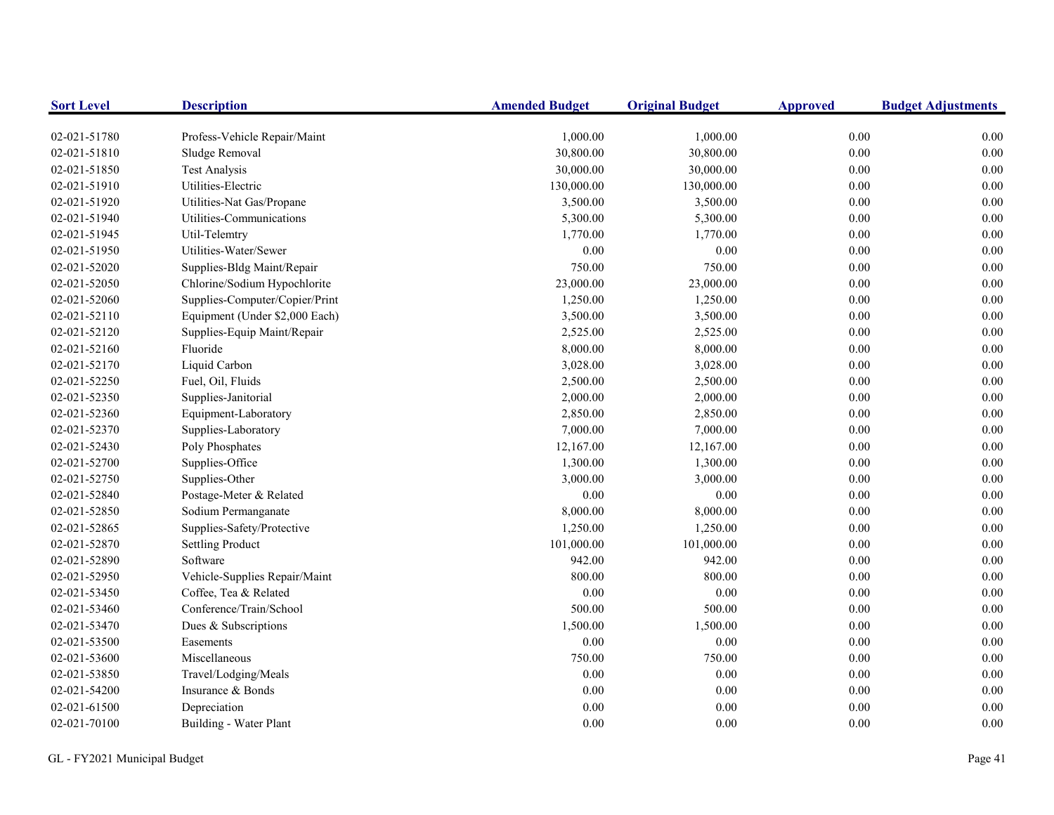| <b>Sort Level</b> | <b>Description</b>             | <b>Amended Budget</b> | <b>Original Budget</b> | <b>Approved</b> | <b>Budget Adjustments</b> |
|-------------------|--------------------------------|-----------------------|------------------------|-----------------|---------------------------|
| 02-021-51780      | Profess-Vehicle Repair/Maint   | 1,000.00              | 1,000.00               | 0.00            | 0.00                      |
| 02-021-51810      | Sludge Removal                 | 30,800.00             | 30,800.00              | 0.00            | 0.00                      |
| 02-021-51850      | <b>Test Analysis</b>           | 30,000.00             | 30,000.00              | 0.00            | 0.00                      |
| 02-021-51910      | Utilities-Electric             | 130,000.00            | 130,000.00             | $0.00\,$        | 0.00                      |
| 02-021-51920      | Utilities-Nat Gas/Propane      | 3,500.00              | 3,500.00               | $0.00\,$        | 0.00                      |
| 02-021-51940      | Utilities-Communications       | 5,300.00              | 5,300.00               | 0.00            | 0.00                      |
| 02-021-51945      | Util-Telemtry                  | 1,770.00              | 1,770.00               | 0.00            | 0.00                      |
| 02-021-51950      | Utilities-Water/Sewer          | 0.00                  | 0.00                   | 0.00            | 0.00                      |
| 02-021-52020      | Supplies-Bldg Maint/Repair     | 750.00                | 750.00                 | 0.00            | 0.00                      |
| 02-021-52050      | Chlorine/Sodium Hypochlorite   | 23,000.00             | 23,000.00              | $0.00\,$        | 0.00                      |
| 02-021-52060      | Supplies-Computer/Copier/Print | 1,250.00              | 1,250.00               | $0.00\,$        | 0.00                      |
| 02-021-52110      | Equipment (Under \$2,000 Each) | 3,500.00              | 3,500.00               | 0.00            | 0.00                      |
| 02-021-52120      | Supplies-Equip Maint/Repair    | 2,525.00              | 2,525.00               | $0.00\,$        | 0.00                      |
| 02-021-52160      | Fluoride                       | 8,000.00              | 8,000.00               | $0.00\,$        | $0.00\,$                  |
| 02-021-52170      | Liquid Carbon                  | 3,028.00              | 3,028.00               | $0.00\,$        | 0.00                      |
| 02-021-52250      | Fuel, Oil, Fluids              | 2,500.00              | 2,500.00               | $0.00\,$        | 0.00                      |
| 02-021-52350      | Supplies-Janitorial            | 2,000.00              | 2,000.00               | $0.00\,$        | 0.00                      |
| 02-021-52360      | Equipment-Laboratory           | 2,850.00              | 2,850.00               | $0.00\,$        | 0.00                      |
| 02-021-52370      | Supplies-Laboratory            | 7,000.00              | 7,000.00               | $0.00\,$        | 0.00                      |
| 02-021-52430      | Poly Phosphates                | 12,167.00             | 12,167.00              | $0.00\,$        | 0.00                      |
| 02-021-52700      | Supplies-Office                | 1,300.00              | 1,300.00               | 0.00            | 0.00                      |
| 02-021-52750      | Supplies-Other                 | 3,000.00              | 3,000.00               | $0.00\,$        | 0.00                      |
| 02-021-52840      | Postage-Meter & Related        | 0.00                  | $0.00\,$               | $0.00\,$        | 0.00                      |
| 02-021-52850      | Sodium Permanganate            | 8,000.00              | 8,000.00               | $0.00\,$        | 0.00                      |
| 02-021-52865      | Supplies-Safety/Protective     | 1,250.00              | 1,250.00               | 0.00            | 0.00                      |
| 02-021-52870      | <b>Settling Product</b>        | 101,000.00            | 101,000.00             | 0.00            | 0.00                      |
| 02-021-52890      | Software                       | 942.00                | 942.00                 | $0.00\,$        | 0.00                      |
| 02-021-52950      | Vehicle-Supplies Repair/Maint  | 800.00                | 800.00                 | 0.00            | 0.00                      |
| 02-021-53450      | Coffee, Tea & Related          | 0.00                  | $0.00\,$               | $0.00\,$        | 0.00                      |
| 02-021-53460      | Conference/Train/School        | 500.00                | 500.00                 | $0.00\,$        | 0.00                      |
| 02-021-53470      | Dues & Subscriptions           | 1,500.00              | 1,500.00               | 0.00            | 0.00                      |
| 02-021-53500      | Easements                      | 0.00                  | $0.00\,$               | $0.00\,$        | 0.00                      |
| 02-021-53600      | Miscellaneous                  | 750.00                | 750.00                 | $0.00\,$        | 0.00                      |
| 02-021-53850      | Travel/Lodging/Meals           | 0.00                  | $0.00\,$               | $0.00\,$        | 0.00                      |
| 02-021-54200      | Insurance & Bonds              | 0.00                  | 0.00                   | 0.00            | 0.00                      |
| 02-021-61500      | Depreciation                   | 0.00                  | 0.00                   | 0.00            | 0.00                      |
| 02-021-70100      | Building - Water Plant         | 0.00                  | 0.00                   | 0.00            | 0.00                      |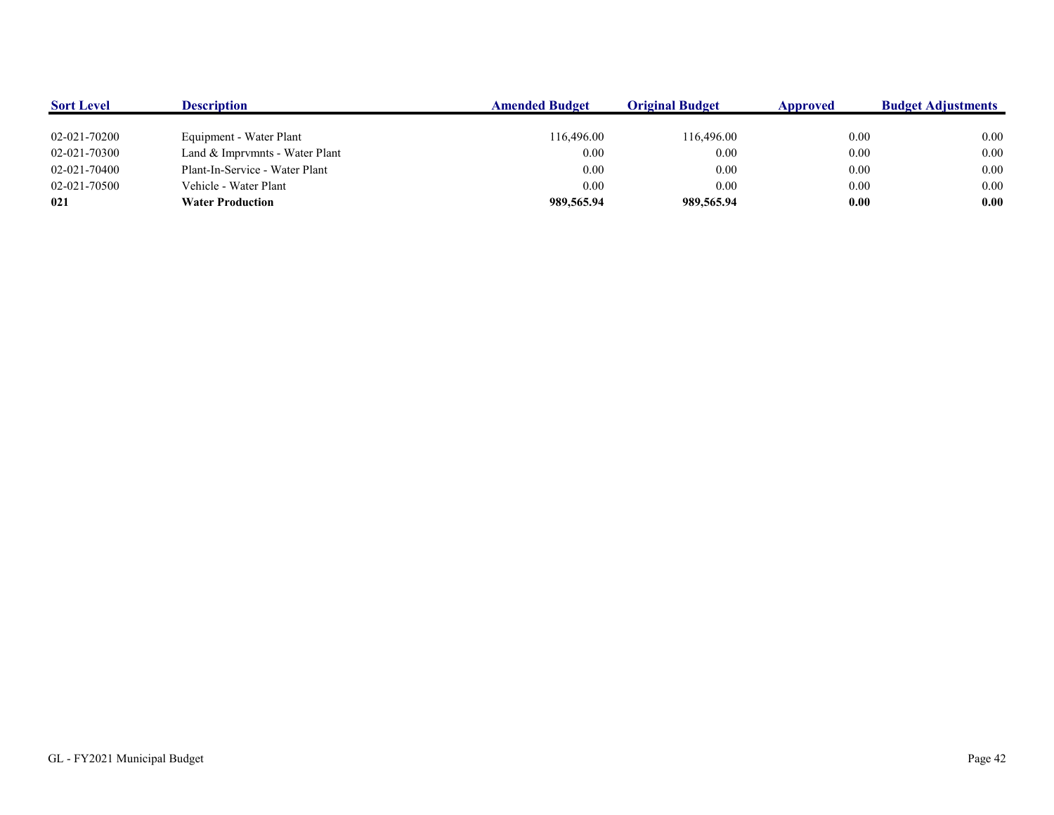| <b>Sort Level</b> | <b>Description</b>             | <b>Amended Budget</b> | <b>Original Budget</b> | Approved | <b>Budget Adjustments</b> |
|-------------------|--------------------------------|-----------------------|------------------------|----------|---------------------------|
|                   |                                |                       |                        |          |                           |
| 02-021-70200      | Equipment - Water Plant        | 116,496.00            | 116,496.00             | 0.00     | 0.00                      |
| 02-021-70300      | Land & Imprymnts - Water Plant | 0.00                  | 0.00                   | 0.00     | 0.00                      |
| 02-021-70400      | Plant-In-Service - Water Plant | 0.00                  | 0.00                   | 0.00     | 0.00                      |
| 02-021-70500      | Vehicle - Water Plant          | 0.00                  | 0.00                   | 0.00     | 0.00                      |
| 021               | <b>Water Production</b>        | 989,565.94            | 989,565.94             | 0.00     | 0.00                      |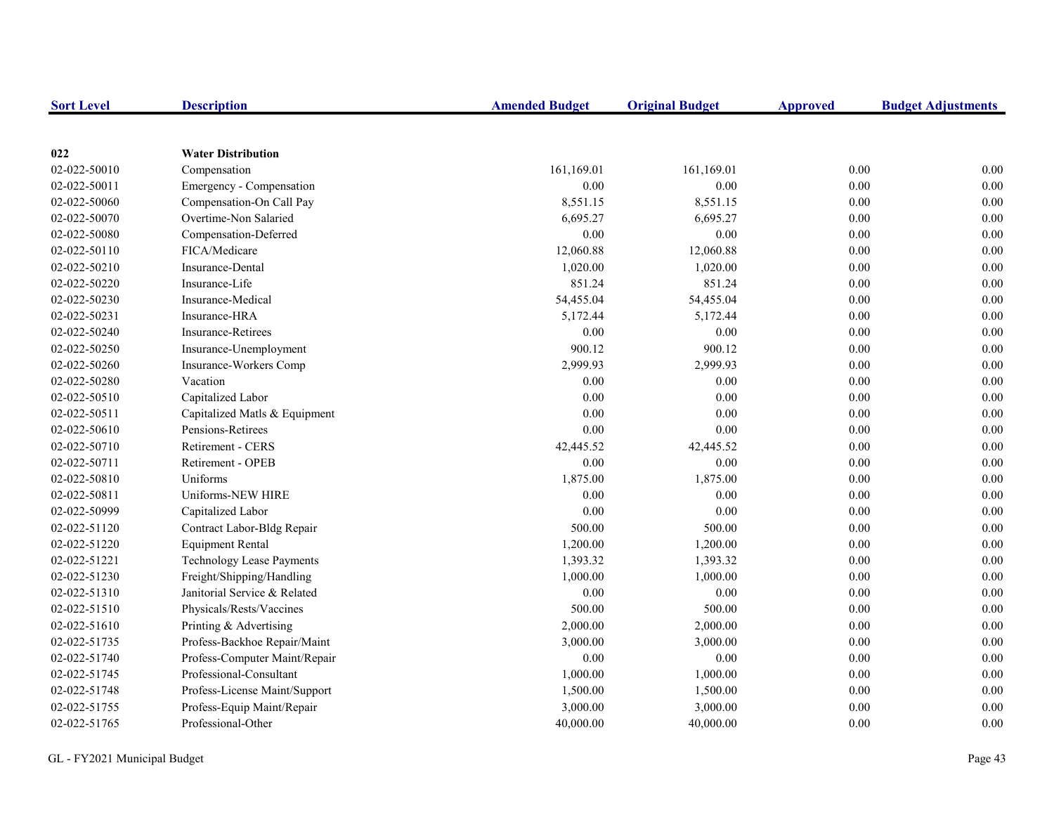| <b>Sort Level</b> | <b>Description</b>            | <b>Amended Budget</b> | <b>Original Budget</b> | <b>Approved</b> | <b>Budget Adjustments</b> |
|-------------------|-------------------------------|-----------------------|------------------------|-----------------|---------------------------|
|                   |                               |                       |                        |                 |                           |
| 022               | <b>Water Distribution</b>     |                       |                        |                 |                           |
| 02-022-50010      | Compensation                  | 161,169.01            | 161,169.01             | 0.00            | 0.00                      |
| 02-022-50011      | Emergency - Compensation      | 0.00                  | 0.00                   | 0.00            | 0.00                      |
| 02-022-50060      | Compensation-On Call Pay      | 8,551.15              | 8,551.15               | 0.00            | 0.00                      |
| 02-022-50070      | Overtime-Non Salaried         | 6,695.27              | 6,695.27               | 0.00            | 0.00                      |
| 02-022-50080      | Compensation-Deferred         | 0.00                  | 0.00                   | 0.00            | 0.00                      |
| 02-022-50110      | FICA/Medicare                 | 12,060.88             | 12,060.88              | 0.00            | 0.00                      |
| 02-022-50210      | <b>Insurance-Dental</b>       | 1,020.00              | 1,020.00               | 0.00            | 0.00                      |
| 02-022-50220      | Insurance-Life                | 851.24                | 851.24                 | 0.00            | 0.00                      |
| 02-022-50230      | Insurance-Medical             | 54,455.04             | 54,455.04              | 0.00            | 0.00                      |
| 02-022-50231      | Insurance-HRA                 | 5,172.44              | 5,172.44               | 0.00            | 0.00                      |
| 02-022-50240      | <b>Insurance-Retirees</b>     | 0.00                  | 0.00                   | 0.00            | 0.00                      |
| 02-022-50250      | Insurance-Unemployment        | 900.12                | 900.12                 | 0.00            | 0.00                      |
| 02-022-50260      | Insurance-Workers Comp        | 2,999.93              | 2,999.93               | 0.00            | 0.00                      |
| 02-022-50280      | Vacation                      | 0.00                  | 0.00                   | 0.00            | 0.00                      |
| 02-022-50510      | Capitalized Labor             | 0.00                  | 0.00                   | 0.00            | 0.00                      |
| 02-022-50511      | Capitalized Matls & Equipment | 0.00                  | 0.00                   | 0.00            | 0.00                      |
| 02-022-50610      | Pensions-Retirees             | 0.00                  | 0.00                   | 0.00            | 0.00                      |
| 02-022-50710      | <b>Retirement - CERS</b>      | 42,445.52             | 42,445.52              | 0.00            | 0.00                      |
| 02-022-50711      | Retirement - OPEB             | 0.00                  | 0.00                   | 0.00            | 0.00                      |
| 02-022-50810      | Uniforms                      | 1,875.00              | 1,875.00               | 0.00            | 0.00                      |
| 02-022-50811      | Uniforms-NEW HIRE             | 0.00                  | 0.00                   | $0.00\,$        | 0.00                      |
| 02-022-50999      | Capitalized Labor             | 0.00                  | 0.00                   | 0.00            | 0.00                      |
| 02-022-51120      | Contract Labor-Bldg Repair    | 500.00                | 500.00                 | 0.00            | 0.00                      |
| 02-022-51220      | <b>Equipment Rental</b>       | 1,200.00              | 1,200.00               | 0.00            | 0.00                      |
| 02-022-51221      | Technology Lease Payments     | 1,393.32              | 1,393.32               | 0.00            | 0.00                      |
| 02-022-51230      | Freight/Shipping/Handling     | 1,000.00              | 1,000.00               | 0.00            | 0.00                      |
| 02-022-51310      | Janitorial Service & Related  | 0.00                  | 0.00                   | 0.00            | 0.00                      |
| 02-022-51510      | Physicals/Rests/Vaccines      | 500.00                | 500.00                 | 0.00            | 0.00                      |
| 02-022-51610      | Printing & Advertising        | 2,000.00              | 2,000.00               | 0.00            | 0.00                      |
| 02-022-51735      | Profess-Backhoe Repair/Maint  | 3,000.00              | 3,000.00               | 0.00            | 0.00                      |
| 02-022-51740      | Profess-Computer Maint/Repair | 0.00                  | 0.00                   | 0.00            | 0.00                      |
| 02-022-51745      | Professional-Consultant       | 1,000.00              | 1,000.00               | 0.00            | 0.00                      |
| 02-022-51748      | Profess-License Maint/Support | 1,500.00              | 1,500.00               | $0.00\,$        | 0.00                      |
| 02-022-51755      | Profess-Equip Maint/Repair    | 3,000.00              | 3,000.00               | 0.00            | 0.00                      |
| 02-022-51765      | Professional-Other            | 40,000.00             | 40,000.00              | 0.00            | 0.00                      |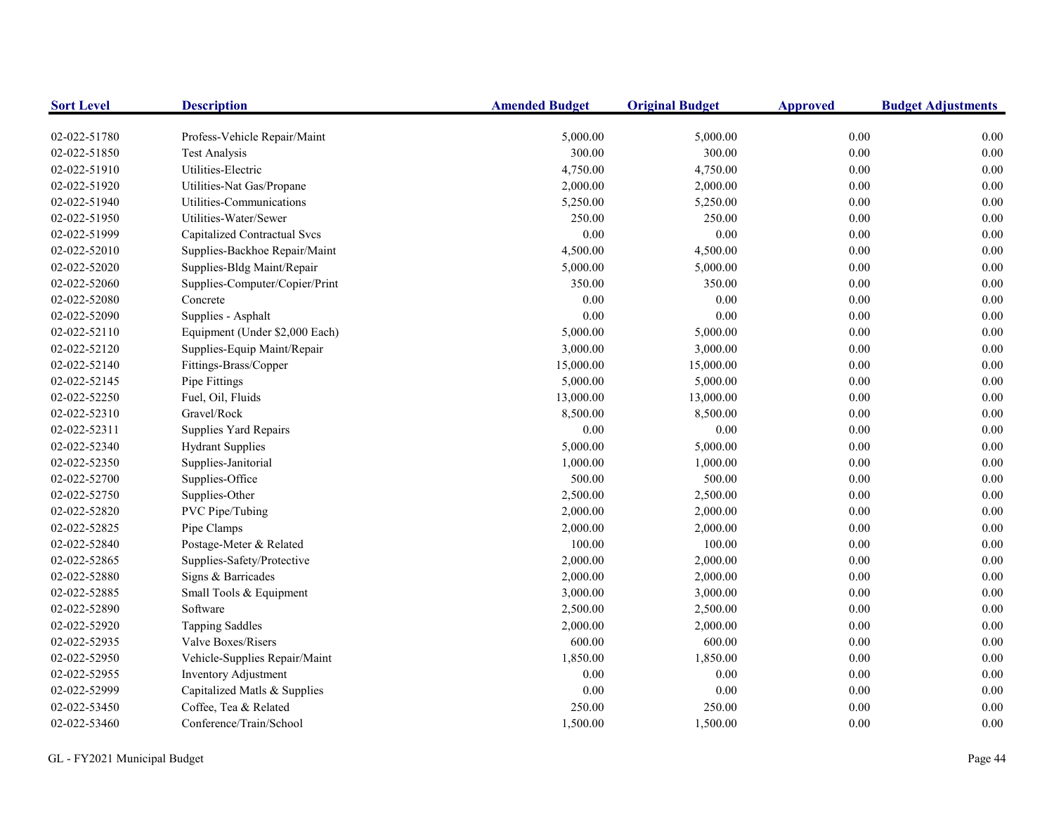| <b>Sort Level</b> | <b>Description</b>             | <b>Amended Budget</b> | <b>Original Budget</b> | <b>Approved</b> | <b>Budget Adjustments</b> |
|-------------------|--------------------------------|-----------------------|------------------------|-----------------|---------------------------|
| 02-022-51780      | Profess-Vehicle Repair/Maint   | 5,000.00              | 5,000.00               | 0.00            | 0.00                      |
| 02-022-51850      | <b>Test Analysis</b>           | 300.00                | 300.00                 | 0.00            | 0.00                      |
| 02-022-51910      | Utilities-Electric             | 4,750.00              | 4,750.00               | 0.00            | 0.00                      |
| 02-022-51920      | Utilities-Nat Gas/Propane      | 2,000.00              | 2,000.00               | 0.00            | 0.00                      |
| 02-022-51940      | Utilities-Communications       | 5,250.00              | 5,250.00               | 0.00            | 0.00                      |
| 02-022-51950      | Utilities-Water/Sewer          | 250.00                | 250.00                 | 0.00            | 0.00                      |
| 02-022-51999      | Capitalized Contractual Svcs   | 0.00                  | 0.00                   | $0.00\,$        | 0.00                      |
| 02-022-52010      | Supplies-Backhoe Repair/Maint  | 4,500.00              | 4,500.00               | 0.00            | 0.00                      |
| 02-022-52020      | Supplies-Bldg Maint/Repair     | 5,000.00              | 5,000.00               | 0.00            | 0.00                      |
| 02-022-52060      | Supplies-Computer/Copier/Print | 350.00                | 350.00                 | 0.00            | 0.00                      |
| 02-022-52080      | Concrete                       | 0.00                  | 0.00                   | 0.00            | 0.00                      |
| 02-022-52090      | Supplies - Asphalt             | 0.00                  | 0.00                   | 0.00            | 0.00                      |
| 02-022-52110      | Equipment (Under \$2,000 Each) | 5,000.00              | 5,000.00               | 0.00            | 0.00                      |
| 02-022-52120      | Supplies-Equip Maint/Repair    | 3,000.00              | 3,000.00               | 0.00            | 0.00                      |
| 02-022-52140      | Fittings-Brass/Copper          | 15,000.00             | 15,000.00              | 0.00            | 0.00                      |
| 02-022-52145      | Pipe Fittings                  | 5,000.00              | 5,000.00               | 0.00            | 0.00                      |
| 02-022-52250      | Fuel, Oil, Fluids              | 13,000.00             | 13,000.00              | 0.00            | 0.00                      |
| 02-022-52310      | Gravel/Rock                    | 8,500.00              | 8,500.00               | 0.00            | 0.00                      |
| 02-022-52311      | Supplies Yard Repairs          | 0.00                  | 0.00                   | 0.00            | 0.00                      |
| 02-022-52340      | <b>Hydrant Supplies</b>        | 5,000.00              | 5,000.00               | 0.00            | 0.00                      |
| 02-022-52350      | Supplies-Janitorial            | 1,000.00              | 1,000.00               | 0.00            | 0.00                      |
| 02-022-52700      | Supplies-Office                | 500.00                | 500.00                 | 0.00            | 0.00                      |
| 02-022-52750      | Supplies-Other                 | 2,500.00              | 2,500.00               | 0.00            | 0.00                      |
| 02-022-52820      | PVC Pipe/Tubing                | 2,000.00              | 2,000.00               | 0.00            | 0.00                      |
| 02-022-52825      | Pipe Clamps                    | 2,000.00              | 2,000.00               | $0.00\,$        | 0.00                      |
| 02-022-52840      | Postage-Meter & Related        | 100.00                | 100.00                 | $0.00\,$        | 0.00                      |
| 02-022-52865      | Supplies-Safety/Protective     | 2,000.00              | 2,000.00               | $0.00\,$        | 0.00                      |
| 02-022-52880      | Signs & Barricades             | 2,000.00              | 2,000.00               | $0.00\,$        | 0.00                      |
| 02-022-52885      | Small Tools & Equipment        | 3,000.00              | 3,000.00               | $0.00\,$        | 0.00                      |
| 02-022-52890      | Software                       | 2,500.00              | 2,500.00               | 0.00            | 0.00                      |
| 02-022-52920      | <b>Tapping Saddles</b>         | 2,000.00              | 2,000.00               | 0.00            | 0.00                      |
| 02-022-52935      | Valve Boxes/Risers             | 600.00                | 600.00                 | 0.00            | 0.00                      |
| 02-022-52950      | Vehicle-Supplies Repair/Maint  | 1,850.00              | 1,850.00               | 0.00            | 0.00                      |
| 02-022-52955      | Inventory Adjustment           | 0.00                  | 0.00                   | 0.00            | 0.00                      |
| 02-022-52999      | Capitalized Matls & Supplies   | 0.00                  | 0.00                   | 0.00            | 0.00                      |
| 02-022-53450      | Coffee, Tea & Related          | 250.00                | 250.00                 | 0.00            | 0.00                      |
| 02-022-53460      | Conference/Train/School        | 1,500.00              | 1,500.00               | 0.00            | 0.00                      |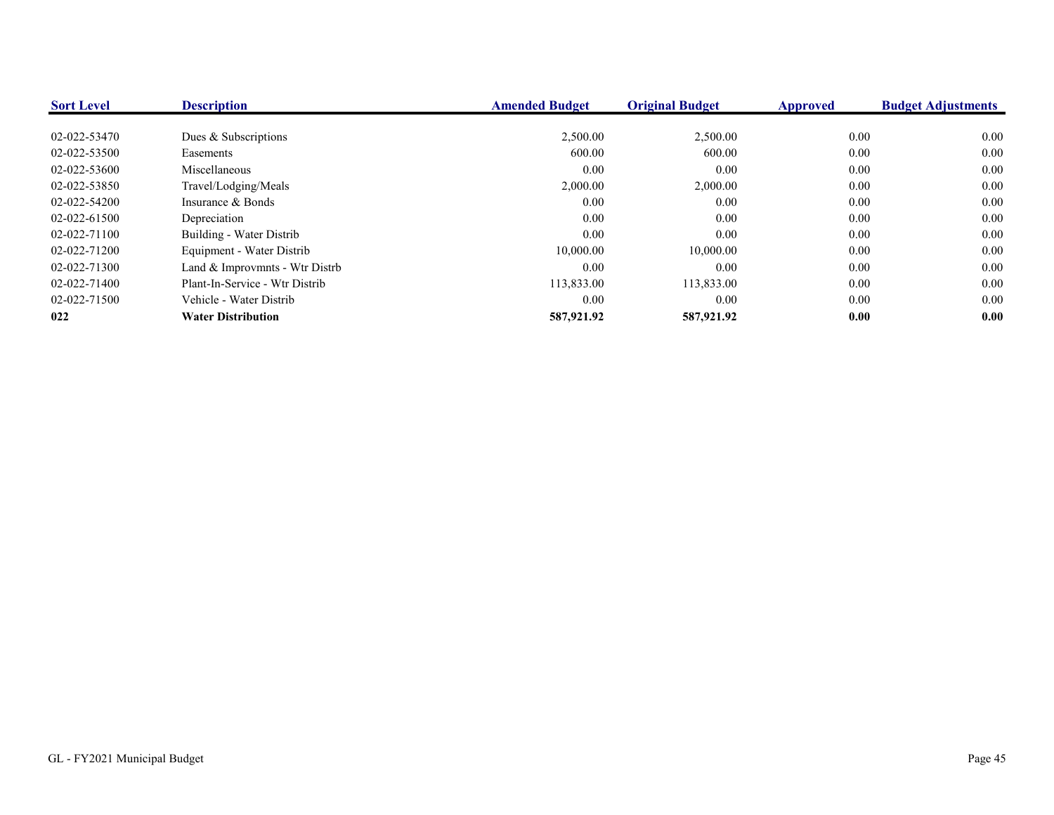| <b>Sort Level</b> | <b>Description</b>             | <b>Amended Budget</b> | <b>Original Budget</b> | <b>Approved</b> | <b>Budget Adjustments</b> |
|-------------------|--------------------------------|-----------------------|------------------------|-----------------|---------------------------|
|                   |                                |                       |                        |                 |                           |
| 02-022-53470      | Dues & Subscriptions           | 2,500.00              | 2,500.00               | 0.00            | 0.00                      |
| 02-022-53500      | Easements                      | 600.00                | 600.00                 | 0.00            | 0.00                      |
| 02-022-53600      | Miscellaneous                  | 0.00                  | 0.00                   | 0.00            | 0.00                      |
| 02-022-53850      | Travel/Lodging/Meals           | 2,000.00              | 2,000.00               | 0.00            | 0.00                      |
| 02-022-54200      | Insurance & Bonds              | 0.00                  | 0.00                   | 0.00            | 0.00                      |
| 02-022-61500      | Depreciation                   | 0.00                  | 0.00                   | 0.00            | 0.00                      |
| 02-022-71100      | Building - Water Distrib       | 0.00                  | 0.00                   | 0.00            | 0.00                      |
| 02-022-71200      | Equipment - Water Distrib      | 10,000.00             | 10,000.00              | 0.00            | 0.00                      |
| 02-022-71300      | Land & Improvmnts - Wtr Distrb | 0.00                  | 0.00                   | 0.00            | 0.00                      |
| 02-022-71400      | Plant-In-Service - Wtr Distrib | 113,833.00            | 113,833.00             | 0.00            | 0.00                      |
| 02-022-71500      | Vehicle - Water Distrib        | 0.00                  | 0.00                   | 0.00            | 0.00                      |
| 022               | <b>Water Distribution</b>      | 587,921.92            | 587,921.92             | 0.00            | 0.00                      |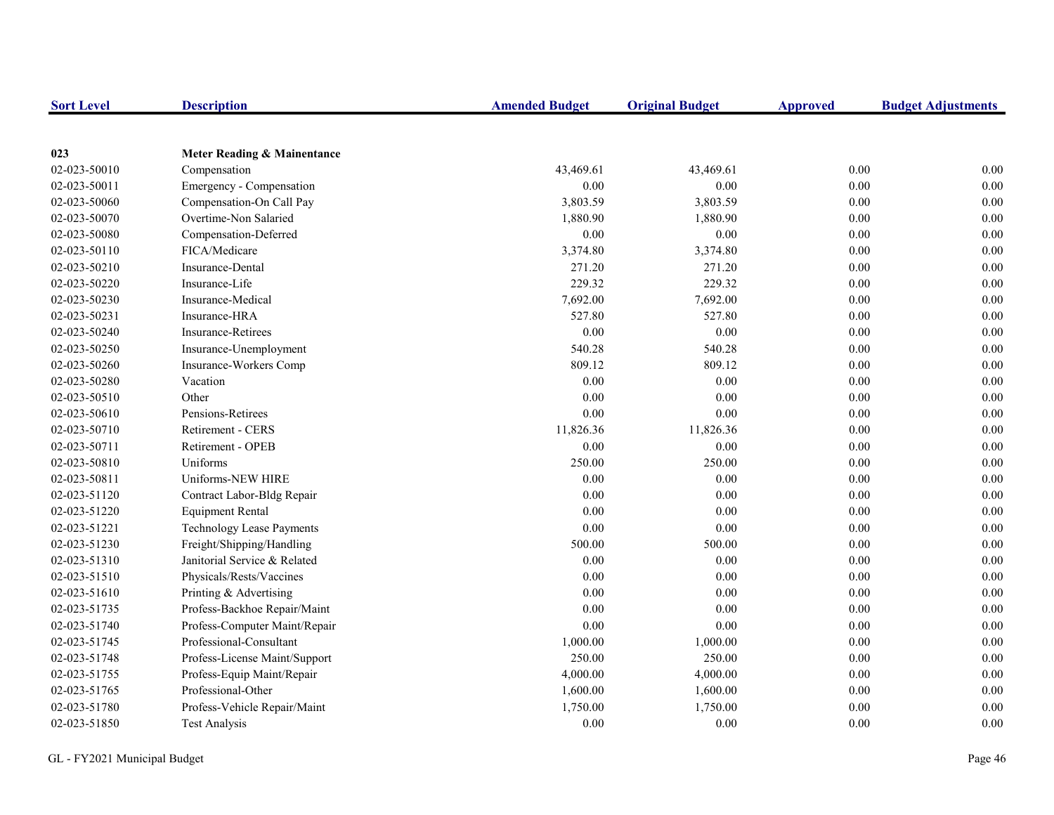| <b>Sort Level</b> | <b>Description</b>               | <b>Amended Budget</b> | <b>Original Budget</b> | <b>Approved</b> | <b>Budget Adjustments</b> |
|-------------------|----------------------------------|-----------------------|------------------------|-----------------|---------------------------|
|                   |                                  |                       |                        |                 |                           |
| 023               | Meter Reading & Mainentance      |                       |                        |                 |                           |
| 02-023-50010      | Compensation                     | 43,469.61             | 43,469.61              | 0.00            | 0.00                      |
| 02-023-50011      | Emergency - Compensation         | 0.00                  | 0.00                   | 0.00            | $0.00\,$                  |
| 02-023-50060      | Compensation-On Call Pay         | 3,803.59              | 3,803.59               | 0.00            | $0.00\,$                  |
| 02-023-50070      | Overtime-Non Salaried            | 1,880.90              | 1,880.90               | 0.00            | 0.00                      |
| 02-023-50080      | Compensation-Deferred            | 0.00                  | 0.00                   | 0.00            | $0.00\,$                  |
| 02-023-50110      | FICA/Medicare                    | 3,374.80              | 3,374.80               | 0.00            | 0.00                      |
| 02-023-50210      | <b>Insurance-Dental</b>          | 271.20                | 271.20                 | 0.00            | 0.00                      |
| 02-023-50220      | Insurance-Life                   | 229.32                | 229.32                 | 0.00            | 0.00                      |
| 02-023-50230      | Insurance-Medical                | 7,692.00              | 7,692.00               | 0.00            | 0.00                      |
| 02-023-50231      | Insurance-HRA                    | 527.80                | 527.80                 | 0.00            | 0.00                      |
| 02-023-50240      | Insurance-Retirees               | 0.00                  | 0.00                   | 0.00            | $0.00\,$                  |
| 02-023-50250      | Insurance-Unemployment           | 540.28                | 540.28                 | 0.00            | 0.00                      |
| 02-023-50260      | Insurance-Workers Comp           | 809.12                | 809.12                 | 0.00            | 0.00                      |
| 02-023-50280      | Vacation                         | 0.00                  | 0.00                   | $0.00\,$        | $0.00\,$                  |
| 02-023-50510      | Other                            | 0.00                  | 0.00                   | 0.00            | $0.00\,$                  |
| 02-023-50610      | Pensions-Retirees                | 0.00                  | 0.00                   | 0.00            | 0.00                      |
| 02-023-50710      | Retirement - CERS                | 11,826.36             | 11,826.36              | 0.00            | $0.00\,$                  |
| 02-023-50711      | Retirement - OPEB                | 0.00                  | 0.00                   | 0.00            | 0.00                      |
| 02-023-50810      | Uniforms                         | 250.00                | 250.00                 | 0.00            | 0.00                      |
| 02-023-50811      | Uniforms-NEW HIRE                | 0.00                  | 0.00                   | 0.00            | 0.00                      |
| 02-023-51120      | Contract Labor-Bldg Repair       | $0.00\,$              | 0.00                   | $0.00\,$        | $0.00\,$                  |
| 02-023-51220      | <b>Equipment Rental</b>          | 0.00                  | 0.00                   | 0.00            | $0.00\,$                  |
| 02-023-51221      | <b>Technology Lease Payments</b> | 0.00                  | 0.00                   | 0.00            | 0.00                      |
| 02-023-51230      | Freight/Shipping/Handling        | 500.00                | 500.00                 | 0.00            | 0.00                      |
| 02-023-51310      | Janitorial Service & Related     | 0.00                  | 0.00                   | 0.00            | 0.00                      |
| 02-023-51510      | Physicals/Rests/Vaccines         | 0.00                  | 0.00                   | 0.00            | 0.00                      |
| 02-023-51610      | Printing & Advertising           | 0.00                  | 0.00                   | 0.00            | $0.00\,$                  |
| 02-023-51735      | Profess-Backhoe Repair/Maint     | 0.00                  | 0.00                   | 0.00            | 0.00                      |
| 02-023-51740      | Profess-Computer Maint/Repair    | 0.00                  | 0.00                   | 0.00            | 0.00                      |
| 02-023-51745      | Professional-Consultant          | 1,000.00              | 1,000.00               | 0.00            | 0.00                      |
| 02-023-51748      | Profess-License Maint/Support    | 250.00                | 250.00                 | 0.00            | 0.00                      |
| 02-023-51755      | Profess-Equip Maint/Repair       | 4,000.00              | 4,000.00               | 0.00            | 0.00                      |
| 02-023-51765      | Professional-Other               | 1,600.00              | 1,600.00               | 0.00            | $0.00\,$                  |
| 02-023-51780      | Profess-Vehicle Repair/Maint     | 1,750.00              | 1,750.00               | 0.00            | 0.00                      |
| 02-023-51850      | <b>Test Analysis</b>             | 0.00                  | 0.00                   | 0.00            | 0.00                      |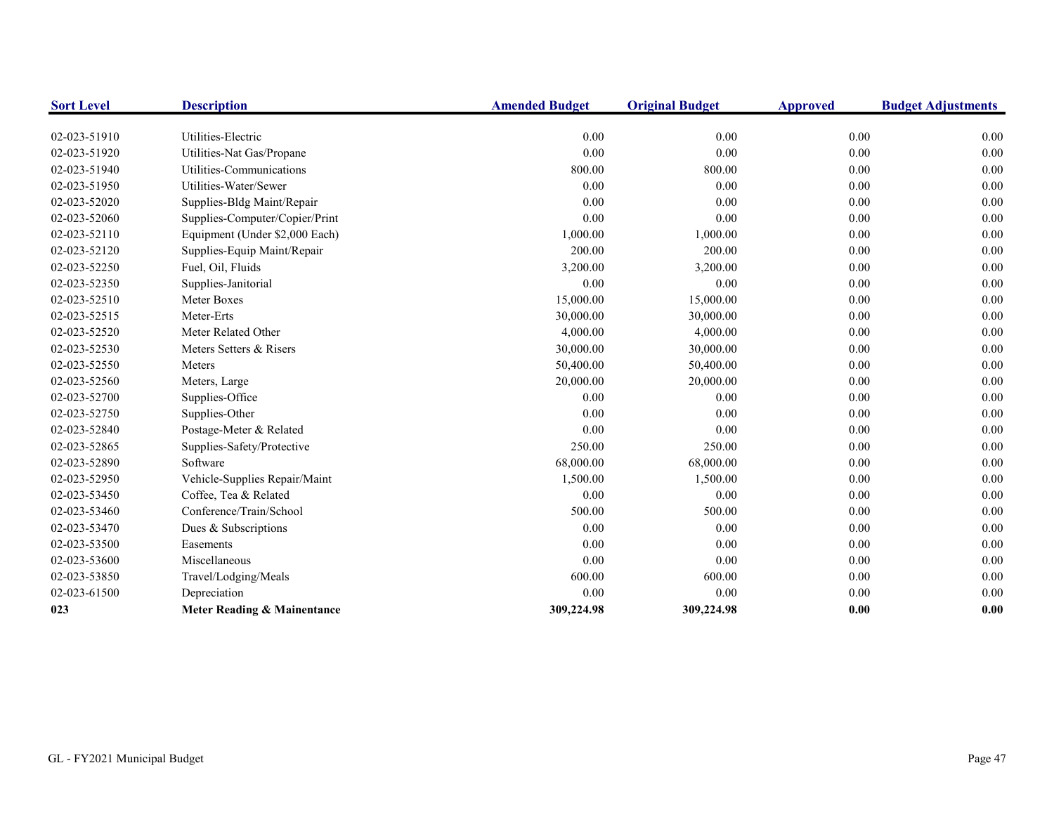| <b>Sort Level</b> | <b>Description</b>             | <b>Amended Budget</b> | <b>Original Budget</b> | <b>Approved</b> | <b>Budget Adjustments</b> |
|-------------------|--------------------------------|-----------------------|------------------------|-----------------|---------------------------|
|                   |                                |                       |                        |                 |                           |
| 02-023-51910      | Utilities-Electric             | 0.00                  | 0.00                   | 0.00            | 0.00                      |
| 02-023-51920      | Utilities-Nat Gas/Propane      | 0.00                  | 0.00                   | 0.00            | 0.00                      |
| 02-023-51940      | Utilities-Communications       | 800.00                | 800.00                 | 0.00            | 0.00                      |
| 02-023-51950      | Utilities-Water/Sewer          | 0.00                  | 0.00                   | 0.00            | 0.00                      |
| 02-023-52020      | Supplies-Bldg Maint/Repair     | 0.00                  | 0.00                   | 0.00            | 0.00                      |
| 02-023-52060      | Supplies-Computer/Copier/Print | 0.00                  | 0.00                   | 0.00            | 0.00                      |
| 02-023-52110      | Equipment (Under \$2,000 Each) | 1,000.00              | 1,000.00               | $0.00\,$        | 0.00                      |
| 02-023-52120      | Supplies-Equip Maint/Repair    | 200.00                | 200.00                 | 0.00            | 0.00                      |
| 02-023-52250      | Fuel, Oil, Fluids              | 3,200.00              | 3,200.00               | 0.00            | 0.00                      |
| 02-023-52350      | Supplies-Janitorial            | 0.00                  | 0.00                   | 0.00            | 0.00                      |
| 02-023-52510      | Meter Boxes                    | 15,000.00             | 15,000.00              | 0.00            | 0.00                      |
| 02-023-52515      | Meter-Erts                     | 30,000.00             | 30,000.00              | 0.00            | 0.00                      |
| 02-023-52520      | Meter Related Other            | 4,000.00              | 4,000.00               | 0.00            | 0.00                      |
| 02-023-52530      | Meters Setters & Risers        | 30,000.00             | 30,000.00              | 0.00            | 0.00                      |
| 02-023-52550      | Meters                         | 50,400.00             | 50,400.00              | 0.00            | 0.00                      |
| 02-023-52560      | Meters, Large                  | 20,000.00             | 20,000.00              | 0.00            | 0.00                      |
| 02-023-52700      | Supplies-Office                | 0.00                  | 0.00                   | 0.00            | 0.00                      |
| 02-023-52750      | Supplies-Other                 | 0.00                  | 0.00                   | 0.00            | 0.00                      |
| 02-023-52840      | Postage-Meter & Related        | 0.00                  | 0.00                   | 0.00            | 0.00                      |
| 02-023-52865      | Supplies-Safety/Protective     | 250.00                | 250.00                 | 0.00            | 0.00                      |
| 02-023-52890      | Software                       | 68,000.00             | 68,000.00              | 0.00            | 0.00                      |
| 02-023-52950      | Vehicle-Supplies Repair/Maint  | 1,500.00              | 1,500.00               | 0.00            | 0.00                      |
| 02-023-53450      | Coffee, Tea & Related          | 0.00                  | 0.00                   | 0.00            | 0.00                      |
| 02-023-53460      | Conference/Train/School        | 500.00                | 500.00                 | 0.00            | 0.00                      |
| 02-023-53470      | Dues & Subscriptions           | 0.00                  | 0.00                   | 0.00            | 0.00                      |
| 02-023-53500      | Easements                      | 0.00                  | 0.00                   | 0.00            | 0.00                      |
| 02-023-53600      | Miscellaneous                  | 0.00                  | 0.00                   | 0.00            | 0.00                      |
| 02-023-53850      | Travel/Lodging/Meals           | 600.00                | 600.00                 | 0.00            | 0.00                      |
| 02-023-61500      | Depreciation                   | 0.00                  | 0.00                   | 0.00            | 0.00                      |
| 023               | Meter Reading & Mainentance    | 309,224.98            | 309,224.98             | 0.00            | 0.00                      |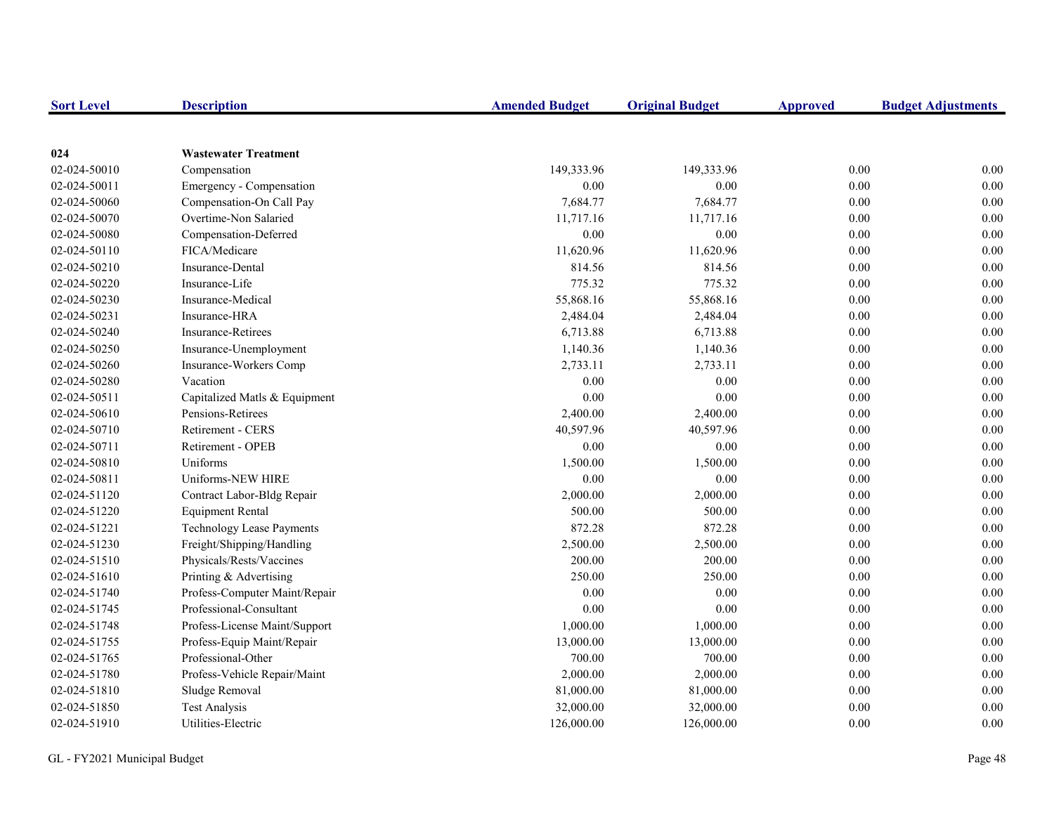| <b>Sort Level</b> | <b>Description</b>               | <b>Amended Budget</b> | <b>Original Budget</b> | <b>Approved</b> | <b>Budget Adjustments</b> |
|-------------------|----------------------------------|-----------------------|------------------------|-----------------|---------------------------|
|                   |                                  |                       |                        |                 |                           |
| 024               | <b>Wastewater Treatment</b>      |                       |                        |                 |                           |
| 02-024-50010      | Compensation                     | 149,333.96            | 149,333.96             | 0.00            | 0.00                      |
| 02-024-50011      | Emergency - Compensation         | 0.00                  | 0.00                   | $0.00\,$        | 0.00                      |
| 02-024-50060      | Compensation-On Call Pay         | 7,684.77              | 7,684.77               | 0.00            | 0.00                      |
| 02-024-50070      | Overtime-Non Salaried            | 11,717.16             | 11,717.16              | $0.00\,$        | 0.00                      |
| 02-024-50080      | Compensation-Deferred            | 0.00                  | 0.00                   | $0.00\,$        | 0.00                      |
| 02-024-50110      | FICA/Medicare                    | 11,620.96             | 11,620.96              | 0.00            | 0.00                      |
| 02-024-50210      | Insurance-Dental                 | 814.56                | 814.56                 | 0.00            | 0.00                      |
| 02-024-50220      | Insurance-Life                   | 775.32                | 775.32                 | 0.00            | 0.00                      |
| 02-024-50230      | Insurance-Medical                | 55,868.16             | 55,868.16              | 0.00            | 0.00                      |
| 02-024-50231      | Insurance-HRA                    | 2,484.04              | 2,484.04               | 0.00            | 0.00                      |
| 02-024-50240      | <b>Insurance-Retirees</b>        | 6,713.88              | 6,713.88               | 0.00            | 0.00                      |
| 02-024-50250      | Insurance-Unemployment           | 1,140.36              | 1,140.36               | 0.00            | 0.00                      |
| 02-024-50260      | Insurance-Workers Comp           | 2,733.11              | 2,733.11               | 0.00            | 0.00                      |
| 02-024-50280      | Vacation                         | 0.00                  | 0.00                   | 0.00            | 0.00                      |
| 02-024-50511      | Capitalized Matls & Equipment    | 0.00                  | 0.00                   | 0.00            | 0.00                      |
| 02-024-50610      | Pensions-Retirees                | 2,400.00              | 2,400.00               | 0.00            | 0.00                      |
| 02-024-50710      | Retirement - CERS                | 40,597.96             | 40,597.96              | 0.00            | 0.00                      |
| 02-024-50711      | Retirement - OPEB                | 0.00                  | 0.00                   | $0.00\,$        | 0.00                      |
| 02-024-50810      | Uniforms                         | 1,500.00              | 1,500.00               | 0.00            | 0.00                      |
| 02-024-50811      | Uniforms-NEW HIRE                | 0.00                  | 0.00                   | 0.00            | 0.00                      |
| 02-024-51120      | Contract Labor-Bldg Repair       | 2,000.00              | 2,000.00               | 0.00            | 0.00                      |
| 02-024-51220      | <b>Equipment Rental</b>          | 500.00                | 500.00                 | 0.00            | 0.00                      |
| 02-024-51221      | <b>Technology Lease Payments</b> | 872.28                | 872.28                 | 0.00            | 0.00                      |
| 02-024-51230      | Freight/Shipping/Handling        | 2,500.00              | 2,500.00               | $0.00\,$        | 0.00                      |
| 02-024-51510      | Physicals/Rests/Vaccines         | 200.00                | 200.00                 | $0.00\,$        | 0.00                      |
| 02-024-51610      | Printing & Advertising           | 250.00                | 250.00                 | $0.00\,$        | 0.00                      |
| 02-024-51740      | Profess-Computer Maint/Repair    | 0.00                  | 0.00                   | $0.00\,$        | 0.00                      |
| 02-024-51745      | Professional-Consultant          | 0.00                  | 0.00                   | 0.00            | 0.00                      |
| 02-024-51748      | Profess-License Maint/Support    | 1,000.00              | 1,000.00               | 0.00            | 0.00                      |
| 02-024-51755      | Profess-Equip Maint/Repair       | 13,000.00             | 13,000.00              | 0.00            | 0.00                      |
| 02-024-51765      | Professional-Other               | 700.00                | 700.00                 | 0.00            | 0.00                      |
| 02-024-51780      | Profess-Vehicle Repair/Maint     | 2,000.00              | 2,000.00               | 0.00            | 0.00                      |
| 02-024-51810      | Sludge Removal                   | 81,000.00             | 81,000.00              | 0.00            | 0.00                      |
| 02-024-51850      | <b>Test Analysis</b>             | 32,000.00             | 32,000.00              | 0.00            | 0.00                      |
| 02-024-51910      | Utilities-Electric               | 126,000.00            | 126,000.00             | 0.00            | 0.00                      |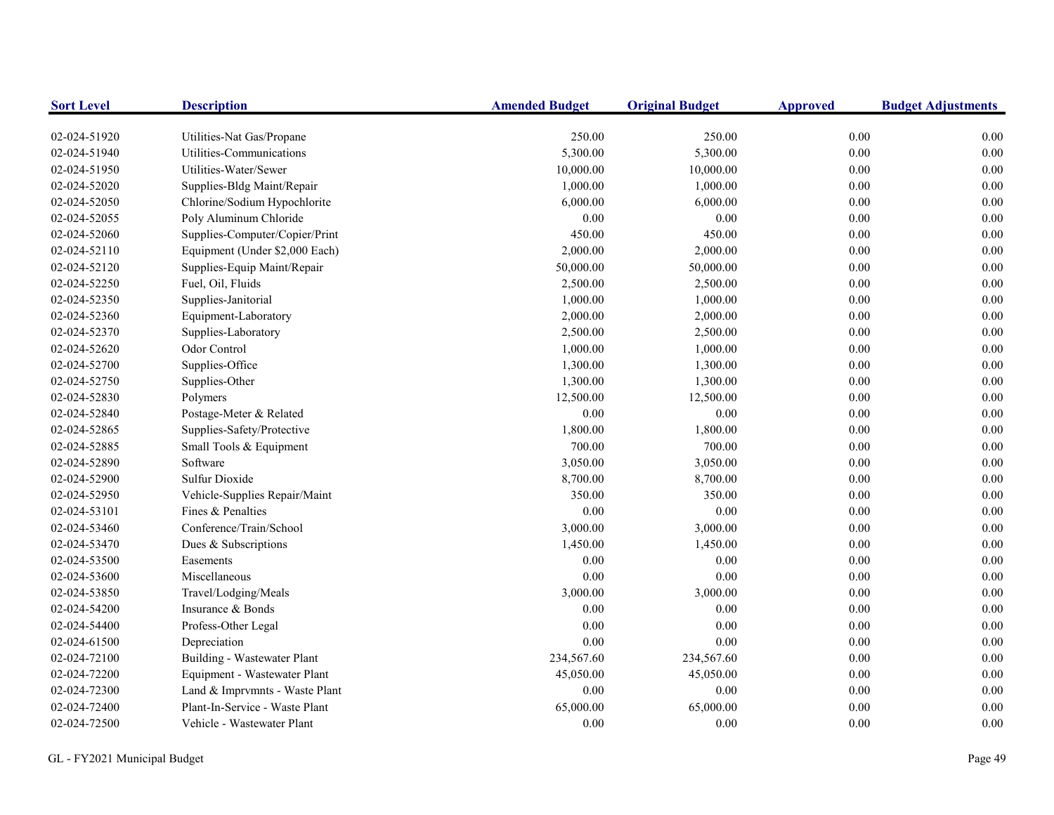| <b>Sort Level</b> | <b>Description</b>             | <b>Amended Budget</b> | <b>Original Budget</b> | <b>Approved</b> | <b>Budget Adjustments</b> |
|-------------------|--------------------------------|-----------------------|------------------------|-----------------|---------------------------|
| 02-024-51920      | Utilities-Nat Gas/Propane      | 250.00                | 250.00                 | 0.00            | 0.00                      |
| 02-024-51940      | Utilities-Communications       | 5,300.00              | 5,300.00               | 0.00            | 0.00                      |
| 02-024-51950      | Utilities-Water/Sewer          | 10,000.00             | 10,000.00              | $0.00\,$        | 0.00                      |
| 02-024-52020      | Supplies-Bldg Maint/Repair     | 1,000.00              | 1,000.00               | $0.00\,$        | 0.00                      |
| 02-024-52050      | Chlorine/Sodium Hypochlorite   | 6,000.00              | 6,000.00               | 0.00            | 0.00                      |
| 02-024-52055      | Poly Aluminum Chloride         | 0.00                  | 0.00                   | 0.00            | 0.00                      |
| 02-024-52060      | Supplies-Computer/Copier/Print | 450.00                | 450.00                 | 0.00            | 0.00                      |
| 02-024-52110      | Equipment (Under \$2,000 Each) | 2,000.00              | 2,000.00               | 0.00            | 0.00                      |
| 02-024-52120      | Supplies-Equip Maint/Repair    | 50,000.00             | 50,000.00              | 0.00            | 0.00                      |
| 02-024-52250      | Fuel, Oil, Fluids              | 2,500.00              | 2,500.00               | 0.00            | 0.00                      |
| 02-024-52350      | Supplies-Janitorial            | 1,000.00              | 1,000.00               | $0.00\,$        | 0.00                      |
| 02-024-52360      | Equipment-Laboratory           | 2,000.00              | 2,000.00               | $0.00\,$        | 0.00                      |
| 02-024-52370      | Supplies-Laboratory            | 2,500.00              | 2,500.00               | 0.00            | 0.00                      |
| 02-024-52620      | Odor Control                   | 1,000.00              | 1,000.00               | 0.00            | 0.00                      |
| 02-024-52700      | Supplies-Office                | 1,300.00              | 1,300.00               | 0.00            | 0.00                      |
| 02-024-52750      | Supplies-Other                 | 1,300.00              | 1,300.00               | 0.00            | 0.00                      |
| 02-024-52830      | Polymers                       | 12,500.00             | 12,500.00              | 0.00            | 0.00                      |
| 02-024-52840      | Postage-Meter & Related        | 0.00                  | 0.00                   | 0.00            | 0.00                      |
| 02-024-52865      | Supplies-Safety/Protective     | 1,800.00              | 1,800.00               | 0.00            | 0.00                      |
| 02-024-52885      | Small Tools & Equipment        | 700.00                | 700.00                 | $0.00\,$        | 0.00                      |
| 02-024-52890      | Software                       | 3,050.00              | 3,050.00               | 0.00            | 0.00                      |
| 02-024-52900      | Sulfur Dioxide                 | 8,700.00              | 8,700.00               | 0.00            | 0.00                      |
| 02-024-52950      | Vehicle-Supplies Repair/Maint  | 350.00                | 350.00                 | 0.00            | 0.00                      |
| 02-024-53101      | Fines & Penalties              | 0.00                  | $0.00\,$               | $0.00\,$        | 0.00                      |
| 02-024-53460      | Conference/Train/School        | 3,000.00              | 3,000.00               | 0.00            | 0.00                      |
| 02-024-53470      | Dues & Subscriptions           | 1,450.00              | 1,450.00               | 0.00            | 0.00                      |
| 02-024-53500      | Easements                      | 0.00                  | 0.00                   | $0.00\,$        | 0.00                      |
| 02-024-53600      | Miscellaneous                  | 0.00                  | 0.00                   | 0.00            | 0.00                      |
| 02-024-53850      | Travel/Lodging/Meals           | 3,000.00              | 3,000.00               | $0.00\,$        | 0.00                      |
| 02-024-54200      | Insurance & Bonds              | 0.00                  | 0.00                   | 0.00            | 0.00                      |
| 02-024-54400      | Profess-Other Legal            | 0.00                  | 0.00                   | 0.00            | 0.00                      |
| 02-024-61500      | Depreciation                   | 0.00                  | 0.00                   | 0.00            | 0.00                      |
| 02-024-72100      | Building - Wastewater Plant    | 234,567.60            | 234,567.60             | 0.00            | 0.00                      |
| 02-024-72200      | Equipment - Wastewater Plant   | 45,050.00             | 45,050.00              | 0.00            | 0.00                      |
| 02-024-72300      | Land & Imprvmnts - Waste Plant | 0.00                  | $0.00\,$               | $0.00\,$        | 0.00                      |
| 02-024-72400      | Plant-In-Service - Waste Plant | 65,000.00             | 65,000.00              | 0.00            | 0.00                      |
| 02-024-72500      | Vehicle - Wastewater Plant     | 0.00                  | 0.00                   | 0.00            | 0.00                      |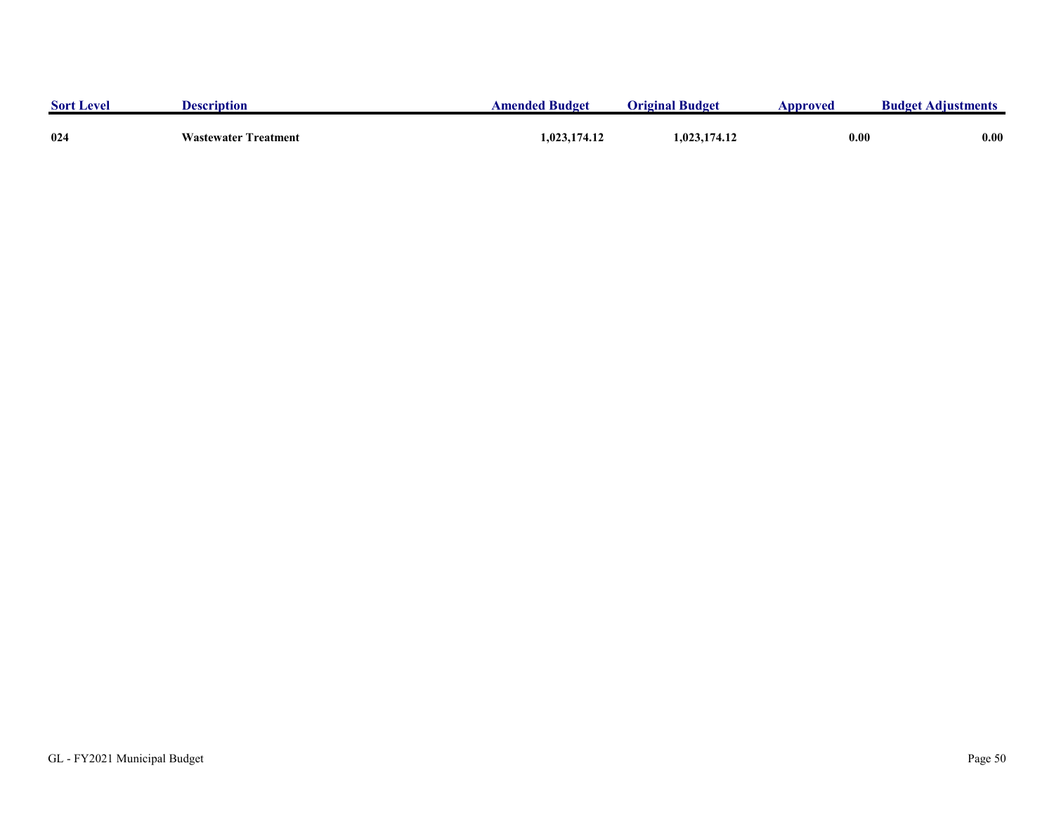| <b>Sort Level</b> | <b>Description</b>          | <b>Amended Budget</b> | <b>Original Budget</b> | Approved | <b>Budget Adjustments</b> |
|-------------------|-----------------------------|-----------------------|------------------------|----------|---------------------------|
| 024               | <b>Wastewater Treatment</b> | 1,023,174.12          | 1,023,174.12           | 0.00     | 0.00                      |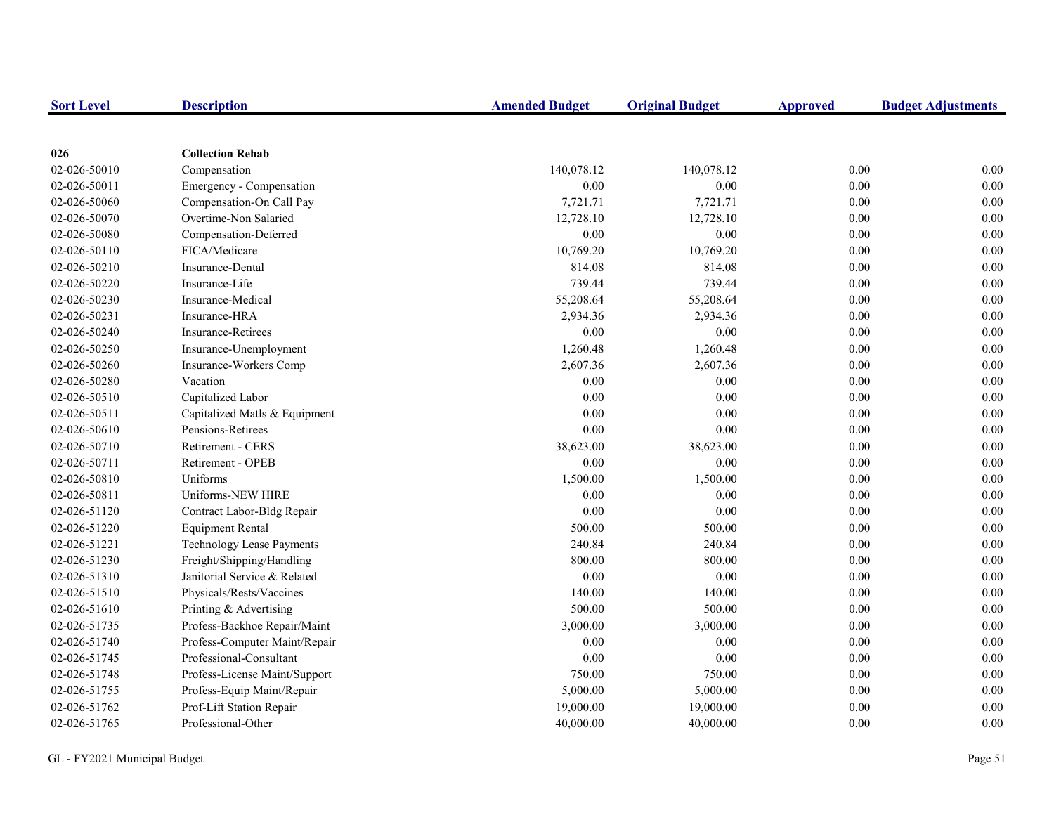| <b>Sort Level</b> | <b>Description</b>               | <b>Amended Budget</b> | <b>Original Budget</b> | <b>Approved</b> | <b>Budget Adjustments</b> |
|-------------------|----------------------------------|-----------------------|------------------------|-----------------|---------------------------|
|                   |                                  |                       |                        |                 |                           |
| 026               | <b>Collection Rehab</b>          |                       |                        |                 |                           |
| 02-026-50010      | Compensation                     | 140,078.12            | 140,078.12             | 0.00            | 0.00                      |
| 02-026-50011      | Emergency - Compensation         | 0.00                  | 0.00                   | $0.00\,$        | 0.00                      |
| 02-026-50060      | Compensation-On Call Pay         | 7,721.71              | 7,721.71               | 0.00            | 0.00                      |
| 02-026-50070      | Overtime-Non Salaried            | 12,728.10             | 12,728.10              | $0.00\,$        | 0.00                      |
| 02-026-50080      | Compensation-Deferred            | 0.00                  | 0.00                   | $0.00\,$        | 0.00                      |
| 02-026-50110      | FICA/Medicare                    | 10,769.20             | 10,769.20              | $0.00\,$        | 0.00                      |
| 02-026-50210      | Insurance-Dental                 | 814.08                | 814.08                 | 0.00            | 0.00                      |
| 02-026-50220      | Insurance-Life                   | 739.44                | 739.44                 | 0.00            | 0.00                      |
| 02-026-50230      | Insurance-Medical                | 55,208.64             | 55,208.64              | 0.00            | 0.00                      |
| 02-026-50231      | Insurance-HRA                    | 2,934.36              | 2,934.36               | 0.00            | 0.00                      |
| 02-026-50240      | <b>Insurance-Retirees</b>        | 0.00                  | 0.00                   | 0.00            | 0.00                      |
| 02-026-50250      | Insurance-Unemployment           | 1,260.48              | 1,260.48               | 0.00            | 0.00                      |
| 02-026-50260      | Insurance-Workers Comp           | 2,607.36              | 2,607.36               | $0.00\,$        | 0.00                      |
| 02-026-50280      | Vacation                         | 0.00                  | 0.00                   | 0.00            | 0.00                      |
| 02-026-50510      | Capitalized Labor                | 0.00                  | 0.00                   | $0.00\,$        | 0.00                      |
| 02-026-50511      | Capitalized Matls & Equipment    | 0.00                  | 0.00                   | 0.00            | 0.00                      |
| 02-026-50610      | Pensions-Retirees                | 0.00                  | 0.00                   | 0.00            | 0.00                      |
| 02-026-50710      | <b>Retirement - CERS</b>         | 38,623.00             | 38,623.00              | 0.00            | 0.00                      |
| 02-026-50711      | Retirement - OPEB                | 0.00                  | 0.00                   | 0.00            | 0.00                      |
| 02-026-50810      | Uniforms                         | 1,500.00              | 1,500.00               | 0.00            | 0.00                      |
| 02-026-50811      | Uniforms-NEW HIRE                | 0.00                  | 0.00                   | 0.00            | 0.00                      |
| 02-026-51120      | Contract Labor-Bldg Repair       | $0.00\,$              | 0.00                   | $0.00\,$        | 0.00                      |
| 02-026-51220      | <b>Equipment Rental</b>          | 500.00                | 500.00                 | 0.00            | 0.00                      |
| 02-026-51221      | <b>Technology Lease Payments</b> | 240.84                | 240.84                 | $0.00\,$        | 0.00                      |
| 02-026-51230      | Freight/Shipping/Handling        | 800.00                | 800.00                 | 0.00            | 0.00                      |
| 02-026-51310      | Janitorial Service & Related     | 0.00                  | 0.00                   | 0.00            | 0.00                      |
| 02-026-51510      | Physicals/Rests/Vaccines         | 140.00                | 140.00                 | 0.00            | 0.00                      |
| 02-026-51610      | Printing & Advertising           | 500.00                | 500.00                 | 0.00            | 0.00                      |
| 02-026-51735      | Profess-Backhoe Repair/Maint     | 3,000.00              | 3,000.00               | 0.00            | 0.00                      |
| 02-026-51740      | Profess-Computer Maint/Repair    | 0.00                  | 0.00                   | 0.00            | 0.00                      |
| 02-026-51745      | Professional-Consultant          | 0.00                  | 0.00                   | 0.00            | 0.00                      |
| 02-026-51748      | Profess-License Maint/Support    | 750.00                | 750.00                 | 0.00            | 0.00                      |
| 02-026-51755      | Profess-Equip Maint/Repair       | 5,000.00              | 5,000.00               | 0.00            | 0.00                      |
| 02-026-51762      | Prof-Lift Station Repair         | 19,000.00             | 19,000.00              | 0.00            | 0.00                      |
| 02-026-51765      | Professional-Other               | 40,000.00             | 40,000.00              | 0.00            | 0.00                      |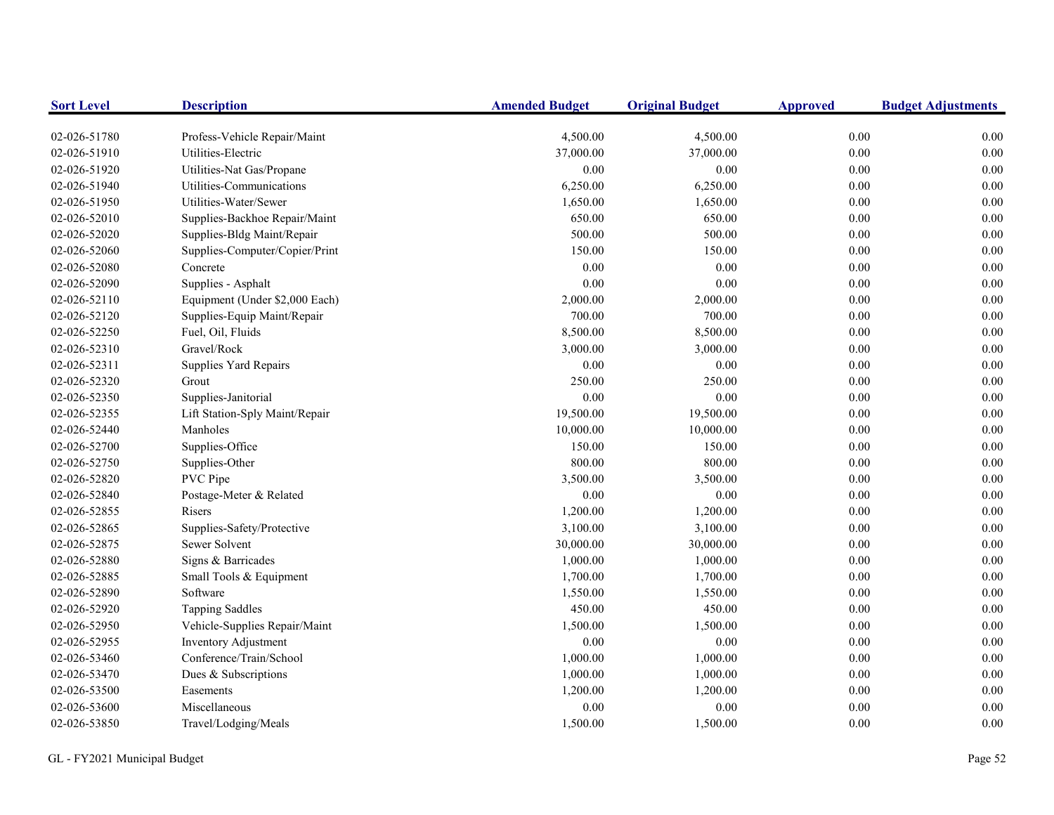| <b>Sort Level</b> | <b>Description</b>             | <b>Amended Budget</b> | <b>Original Budget</b> | <b>Approved</b> | <b>Budget Adjustments</b> |
|-------------------|--------------------------------|-----------------------|------------------------|-----------------|---------------------------|
| 02-026-51780      | Profess-Vehicle Repair/Maint   | 4,500.00              | 4,500.00               | 0.00            | 0.00                      |
| 02-026-51910      | Utilities-Electric             | 37,000.00             | 37,000.00              | $0.00\,$        | 0.00                      |
| 02-026-51920      | Utilities-Nat Gas/Propane      | 0.00                  | 0.00                   | 0.00            | 0.00                      |
| 02-026-51940      | Utilities-Communications       | 6,250.00              | 6,250.00               | 0.00            | 0.00                      |
| 02-026-51950      | Utilities-Water/Sewer          | 1,650.00              | 1,650.00               | $0.00\,$        | 0.00                      |
| 02-026-52010      | Supplies-Backhoe Repair/Maint  | 650.00                | 650.00                 | $0.00\,$        | 0.00                      |
| 02-026-52020      | Supplies-Bldg Maint/Repair     | 500.00                | 500.00                 | 0.00            | 0.00                      |
| 02-026-52060      | Supplies-Computer/Copier/Print | 150.00                | 150.00                 | 0.00            | 0.00                      |
| 02-026-52080      | Concrete                       | 0.00                  | 0.00                   | 0.00            | 0.00                      |
| 02-026-52090      | Supplies - Asphalt             | 0.00                  | 0.00                   | 0.00            | 0.00                      |
| 02-026-52110      | Equipment (Under \$2,000 Each) | 2,000.00              | 2,000.00               | 0.00            | 0.00                      |
| 02-026-52120      | Supplies-Equip Maint/Repair    | 700.00                | 700.00                 | $0.00\,$        | 0.00                      |
| 02-026-52250      | Fuel, Oil, Fluids              | 8,500.00              | 8,500.00               | 0.00            | 0.00                      |
| 02-026-52310      | Gravel/Rock                    | 3,000.00              | 3,000.00               | 0.00            | 0.00                      |
| 02-026-52311      | Supplies Yard Repairs          | 0.00                  | 0.00                   | $0.00\,$        | 0.00                      |
| 02-026-52320      | Grout                          | 250.00                | 250.00                 | 0.00            | 0.00                      |
| 02-026-52350      | Supplies-Janitorial            | 0.00                  | 0.00                   | $0.00\,$        | 0.00                      |
| 02-026-52355      | Lift Station-Sply Maint/Repair | 19,500.00             | 19,500.00              | 0.00            | 0.00                      |
| 02-026-52440      | Manholes                       | 10,000.00             | 10,000.00              | 0.00            | 0.00                      |
| 02-026-52700      | Supplies-Office                | 150.00                | 150.00                 | 0.00            | 0.00                      |
| 02-026-52750      | Supplies-Other                 | 800.00                | 800.00                 | 0.00            | 0.00                      |
| 02-026-52820      | PVC Pipe                       | 3,500.00              | 3,500.00               | 0.00            | 0.00                      |
| 02-026-52840      | Postage-Meter & Related        | 0.00                  | 0.00                   | 0.00            | 0.00                      |
| 02-026-52855      | Risers                         | 1,200.00              | 1,200.00               | 0.00            | 0.00                      |
| 02-026-52865      | Supplies-Safety/Protective     | 3,100.00              | 3,100.00               | 0.00            | 0.00                      |
| 02-026-52875      | Sewer Solvent                  | 30,000.00             | 30,000.00              | 0.00            | 0.00                      |
| 02-026-52880      | Signs & Barricades             | 1,000.00              | 1,000.00               | 0.00            | 0.00                      |
| 02-026-52885      | Small Tools & Equipment        | 1,700.00              | 1,700.00               | 0.00            | 0.00                      |
| 02-026-52890      | Software                       | 1,550.00              | 1,550.00               | 0.00            | 0.00                      |
| 02-026-52920      | <b>Tapping Saddles</b>         | 450.00                | 450.00                 | 0.00            | 0.00                      |
| 02-026-52950      | Vehicle-Supplies Repair/Maint  | 1,500.00              | 1,500.00               | 0.00            | 0.00                      |
| 02-026-52955      | Inventory Adjustment           | 0.00                  | $0.00\,$               | 0.00            | 0.00                      |
| 02-026-53460      | Conference/Train/School        | 1,000.00              | 1,000.00               | 0.00            | 0.00                      |
| 02-026-53470      | Dues & Subscriptions           | 1,000.00              | 1,000.00               | 0.00            | 0.00                      |
| 02-026-53500      | Easements                      | 1,200.00              | 1,200.00               | 0.00            | 0.00                      |
| 02-026-53600      | Miscellaneous                  | 0.00                  | 0.00                   | 0.00            | 0.00                      |
| 02-026-53850      | Travel/Lodging/Meals           | 1,500.00              | 1,500.00               | 0.00            | 0.00                      |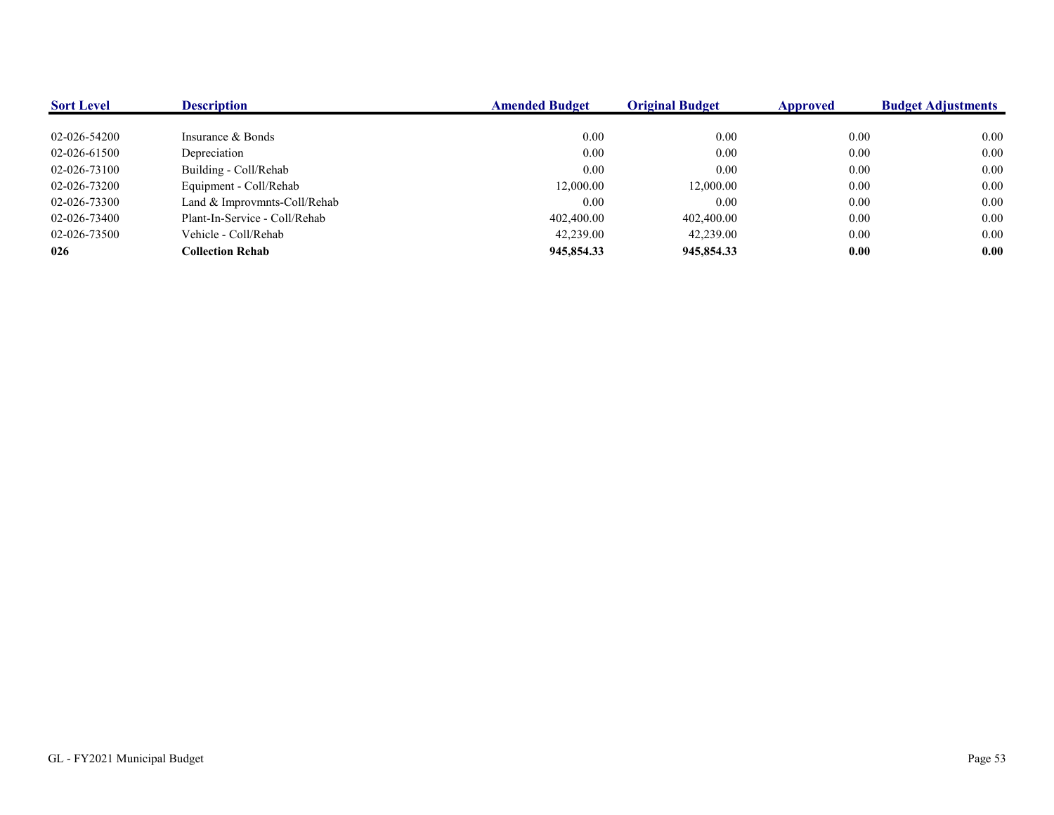| <b>Sort Level</b> | <b>Description</b>            | <b>Amended Budget</b> | <b>Original Budget</b> | Approved | <b>Budget Adjustments</b> |
|-------------------|-------------------------------|-----------------------|------------------------|----------|---------------------------|
|                   |                               |                       |                        |          |                           |
| 02-026-54200      | Insurance & Bonds             | 0.00                  | 0.00                   | 0.00     | 0.00                      |
| 02-026-61500      | Depreciation                  | 0.00                  | 0.00                   | 0.00     | 0.00                      |
| 02-026-73100      | Building - Coll/Rehab         | 0.00                  | 0.00                   | 0.00     | 0.00                      |
| 02-026-73200      | Equipment - Coll/Rehab        | 12,000.00             | 12,000.00              | 0.00     | 0.00                      |
| 02-026-73300      | Land & Improvmnts-Coll/Rehab  | 0.00                  | 0.00                   | 0.00     | 0.00                      |
| 02-026-73400      | Plant-In-Service - Coll/Rehab | 402,400.00            | 402,400.00             | 0.00     | 0.00                      |
| 02-026-73500      | Vehicle - Coll/Rehab          | 42,239.00             | 42,239.00              | 0.00     | 0.00                      |
| 026               | <b>Collection Rehab</b>       | 945,854.33            | 945,854.33             | 0.00     | 0.00                      |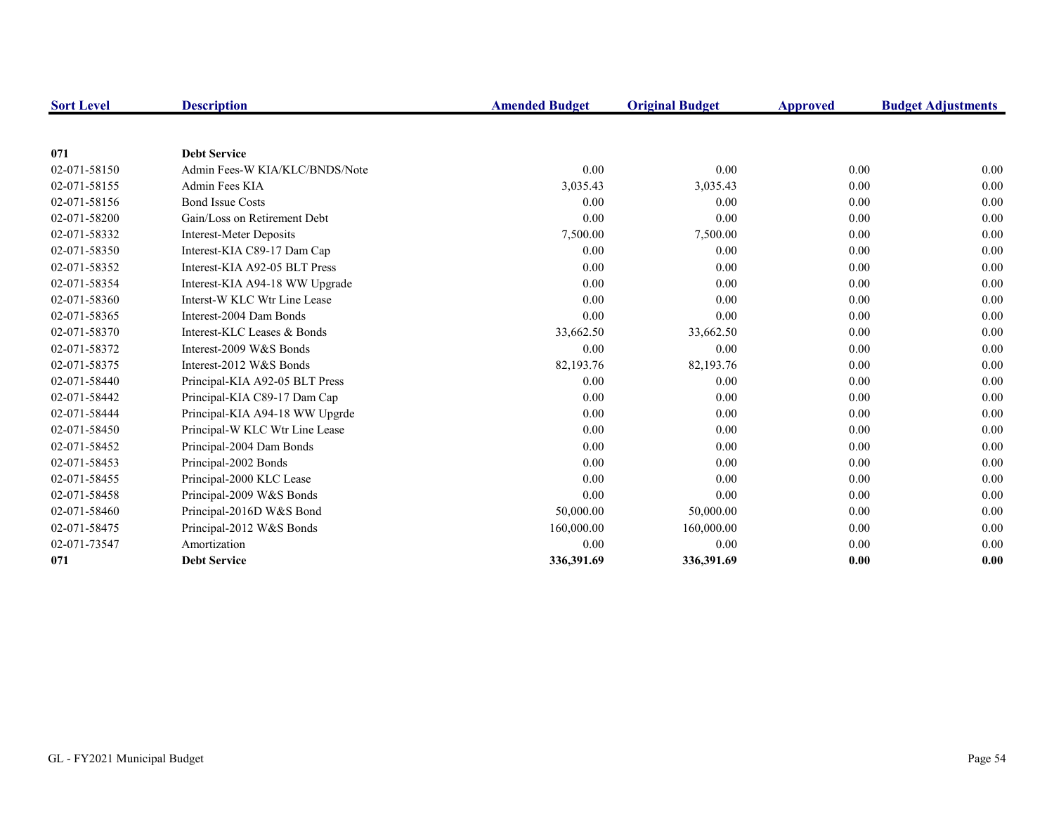| <b>Sort Level</b> | <b>Description</b>             | <b>Amended Budget</b> | <b>Original Budget</b> | Approved | <b>Budget Adjustments</b> |
|-------------------|--------------------------------|-----------------------|------------------------|----------|---------------------------|
|                   |                                |                       |                        |          |                           |
| 071               | <b>Debt Service</b>            |                       |                        |          |                           |
| 02-071-58150      | Admin Fees-W KIA/KLC/BNDS/Note | 0.00                  | 0.00                   | 0.00     | 0.00                      |
| 02-071-58155      | Admin Fees KIA                 | 3,035.43              | 3,035.43               | 0.00     | 0.00                      |
| 02-071-58156      | <b>Bond Issue Costs</b>        | 0.00                  | 0.00                   | 0.00     | 0.00                      |
| 02-071-58200      | Gain/Loss on Retirement Debt   | 0.00                  | 0.00                   | 0.00     | 0.00                      |
| 02-071-58332      | Interest-Meter Deposits        | 7,500.00              | 7,500.00               | 0.00     | 0.00                      |
| 02-071-58350      | Interest-KIA C89-17 Dam Cap    | 0.00                  | 0.00                   | 0.00     | 0.00                      |
| 02-071-58352      | Interest-KIA A92-05 BLT Press  | 0.00                  | 0.00                   | 0.00     | 0.00                      |
| 02-071-58354      | Interest-KIA A94-18 WW Upgrade | 0.00                  | 0.00                   | 0.00     | 0.00                      |
| 02-071-58360      | Interst-W KLC Wtr Line Lease   | 0.00                  | 0.00                   | 0.00     | 0.00                      |
| 02-071-58365      | Interest-2004 Dam Bonds        | 0.00                  | 0.00                   | 0.00     | 0.00                      |
| 02-071-58370      | Interest-KLC Leases & Bonds    | 33,662.50             | 33,662.50              | 0.00     | 0.00                      |
| 02-071-58372      | Interest-2009 W&S Bonds        | 0.00                  | 0.00                   | 0.00     | 0.00                      |
| 02-071-58375      | Interest-2012 W&S Bonds        | 82,193.76             | 82,193.76              | 0.00     | 0.00                      |
| 02-071-58440      | Principal-KIA A92-05 BLT Press | 0.00                  | 0.00                   | 0.00     | 0.00                      |
| 02-071-58442      | Principal-KIA C89-17 Dam Cap   | 0.00                  | 0.00                   | 0.00     | 0.00                      |
| 02-071-58444      | Principal-KIA A94-18 WW Upgrde | 0.00                  | 0.00                   | 0.00     | 0.00                      |
| 02-071-58450      | Principal-W KLC Wtr Line Lease | 0.00                  | 0.00                   | 0.00     | 0.00                      |
| 02-071-58452      | Principal-2004 Dam Bonds       | 0.00                  | 0.00                   | 0.00     | 0.00                      |
| 02-071-58453      | Principal-2002 Bonds           | 0.00                  | 0.00                   | 0.00     | 0.00                      |
| 02-071-58455      | Principal-2000 KLC Lease       | 0.00                  | 0.00                   | 0.00     | 0.00                      |
| 02-071-58458      | Principal-2009 W&S Bonds       | 0.00                  | 0.00                   | 0.00     | 0.00                      |
| 02-071-58460      | Principal-2016D W&S Bond       | 50,000.00             | 50,000.00              | 0.00     | 0.00                      |
| 02-071-58475      | Principal-2012 W&S Bonds       | 160,000.00            | 160,000.00             | 0.00     | 0.00                      |
| 02-071-73547      | Amortization                   | 0.00                  | 0.00                   | 0.00     | 0.00                      |
| 071               | <b>Debt Service</b>            | 336,391.69            | 336,391.69             | 0.00     | 0.00                      |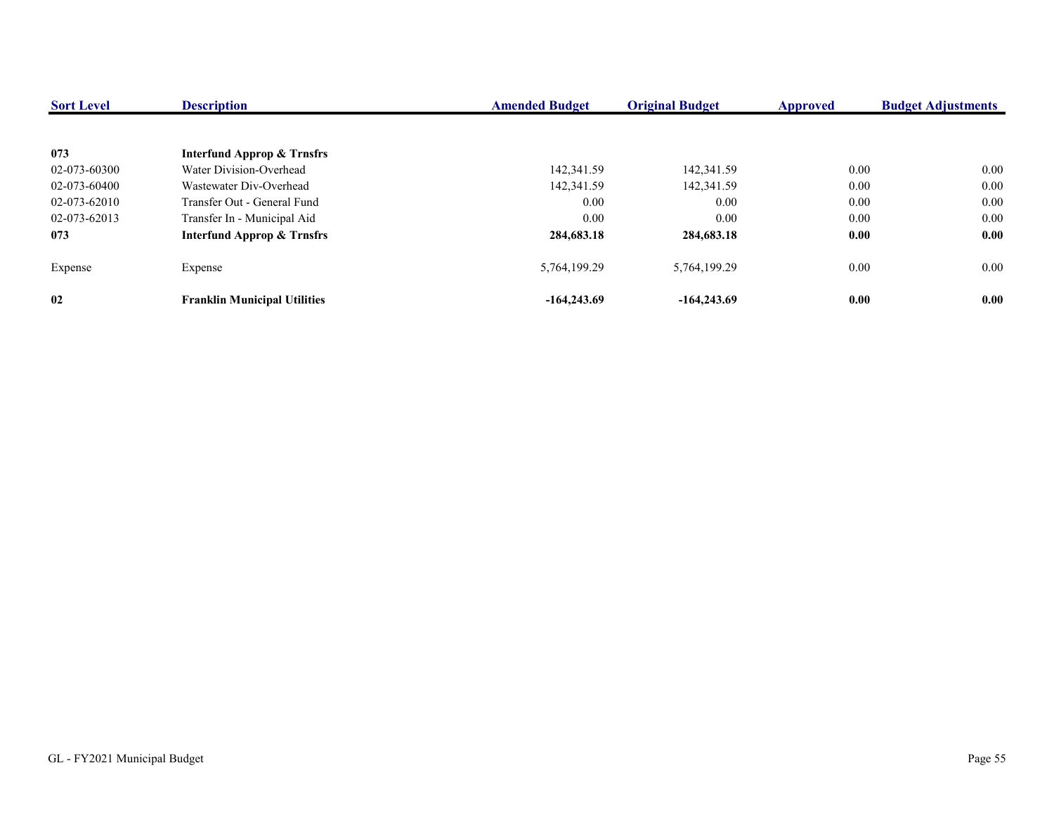| <b>Sort Level</b> | <b>Description</b>                    | <b>Amended Budget</b> | <b>Original Budget</b> | <b>Approved</b> | <b>Budget Adjustments</b> |
|-------------------|---------------------------------------|-----------------------|------------------------|-----------------|---------------------------|
|                   |                                       |                       |                        |                 |                           |
| 073               | <b>Interfund Approp &amp; Trnsfrs</b> |                       |                        |                 |                           |
| 02-073-60300      | Water Division-Overhead               | 142,341.59            | 142,341.59             | 0.00            | 0.00                      |
| 02-073-60400      | Wastewater Div-Overhead               | 142,341.59            | 142,341.59             | 0.00            | $0.00\,$                  |
| 02-073-62010      | Transfer Out - General Fund           | 0.00                  | 0.00                   | 0.00            | 0.00                      |
| 02-073-62013      | Transfer In - Municipal Aid           | 0.00                  | 0.00                   | 0.00            | $0.00\,$                  |
| 073               | <b>Interfund Approp &amp; Trnsfrs</b> | 284,683.18            | 284,683.18             | 0.00            | 0.00                      |
| Expense           | Expense                               | 5,764,199.29          | 5,764,199.29           | 0.00            | $0.00\,$                  |
| 02                | <b>Franklin Municipal Utilities</b>   | $-164,243.69$         | $-164,243.69$          | 0.00            | 0.00                      |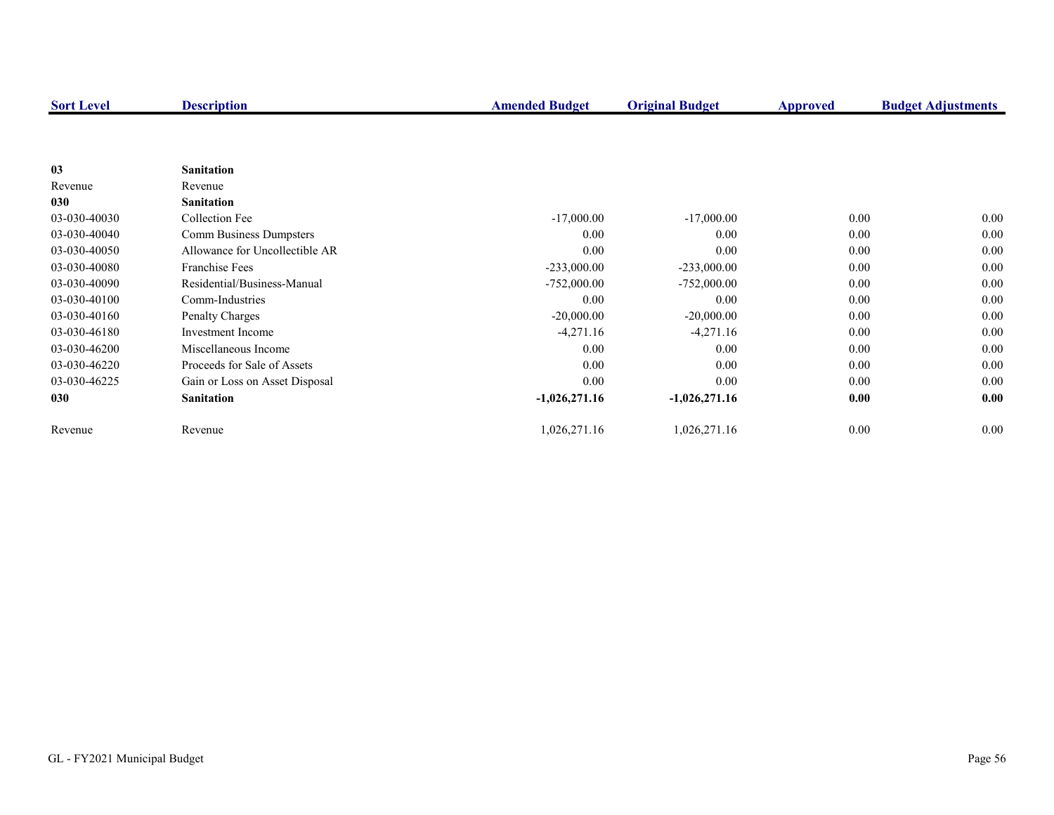| <b>Sort Level</b> | <b>Description</b>             | <b>Amended Budget</b> | <b>Original Budget</b> | <b>Approved</b> | <b>Budget Adjustments</b> |
|-------------------|--------------------------------|-----------------------|------------------------|-----------------|---------------------------|
|                   |                                |                       |                        |                 |                           |
|                   |                                |                       |                        |                 |                           |
| 03                | <b>Sanitation</b>              |                       |                        |                 |                           |
| Revenue           | Revenue                        |                       |                        |                 |                           |
| 030               | <b>Sanitation</b>              |                       |                        |                 |                           |
| 03-030-40030      | Collection Fee                 | $-17,000.00$          | $-17,000.00$           | 0.00            | $0.00\,$                  |
| 03-030-40040      | Comm Business Dumpsters        | 0.00                  | 0.00                   | 0.00            | $0.00\,$                  |
| 03-030-40050      | Allowance for Uncollectible AR | 0.00                  | 0.00                   | 0.00            | 0.00                      |
| 03-030-40080      | <b>Franchise Fees</b>          | $-233,000.00$         | $-233,000.00$          | 0.00            | 0.00                      |
| 03-030-40090      | Residential/Business-Manual    | $-752,000.00$         | $-752,000.00$          | 0.00            | 0.00                      |
| 03-030-40100      | Comm-Industries                | 0.00                  | 0.00                   | 0.00            | 0.00                      |
| 03-030-40160      | Penalty Charges                | $-20,000.00$          | $-20,000.00$           | 0.00            | 0.00                      |
| 03-030-46180      | Investment Income              | $-4,271.16$           | $-4,271.16$            | 0.00            | 0.00                      |
| 03-030-46200      | Miscellaneous Income           | 0.00                  | 0.00                   | 0.00            | 0.00                      |
| 03-030-46220      | Proceeds for Sale of Assets    | 0.00                  | 0.00                   | 0.00            | 0.00                      |
| 03-030-46225      | Gain or Loss on Asset Disposal | 0.00                  | 0.00                   | 0.00            | 0.00                      |
| 030               | <b>Sanitation</b>              | $-1,026,271.16$       | $-1,026,271.16$        | 0.00            | 0.00                      |
|                   |                                |                       |                        |                 |                           |
| Revenue           | Revenue                        | 1,026,271.16          | 1,026,271.16           | 0.00            | 0.00                      |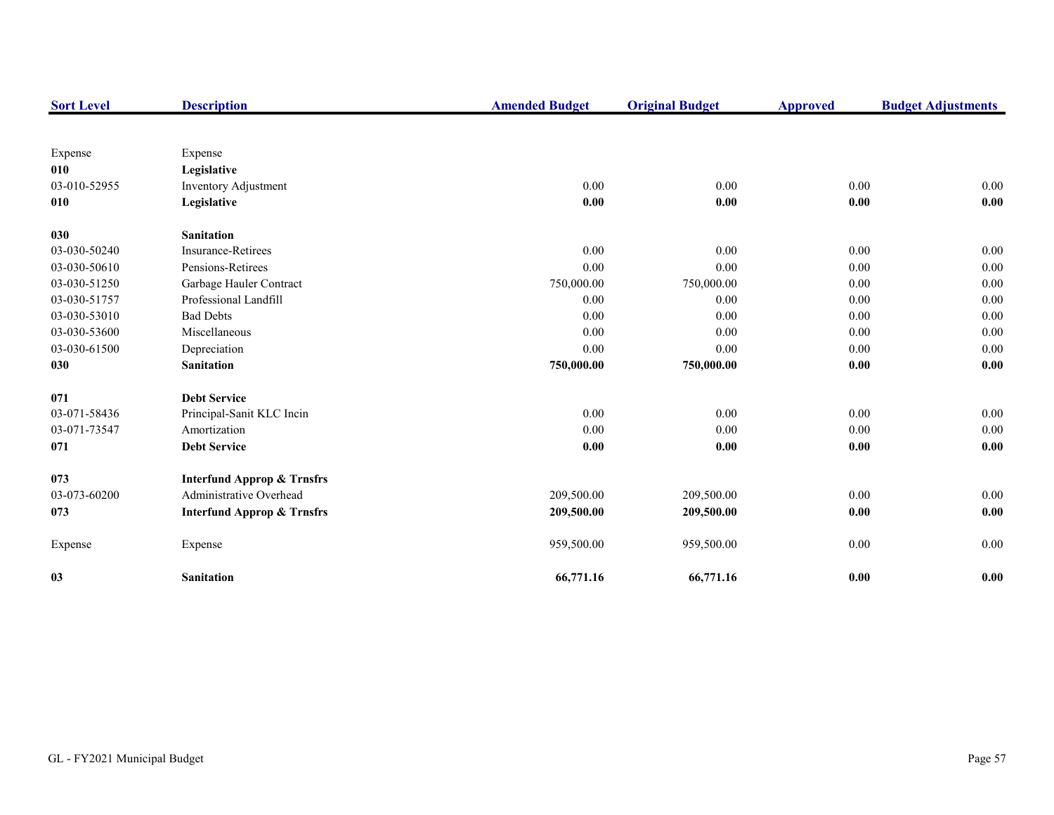| <b>Sort Level</b> | <b>Description</b>                    | <b>Amended Budget</b> | <b>Original Budget</b> | <b>Approved</b> | <b>Budget Adjustments</b> |
|-------------------|---------------------------------------|-----------------------|------------------------|-----------------|---------------------------|
|                   |                                       |                       |                        |                 |                           |
| Expense           | Expense                               |                       |                        |                 |                           |
| 010               | Legislative                           |                       |                        |                 |                           |
| 03-010-52955      | Inventory Adjustment                  | 0.00                  | 0.00                   | 0.00            | 0.00                      |
| 010               | Legislative                           | 0.00                  | 0.00                   | $0.00\,$        | 0.00                      |
| 030               | <b>Sanitation</b>                     |                       |                        |                 |                           |
| 03-030-50240      | Insurance-Retirees                    | 0.00                  | 0.00                   | 0.00            | 0.00                      |
| 03-030-50610      | Pensions-Retirees                     | 0.00                  | 0.00                   | 0.00            | 0.00                      |
| 03-030-51250      | Garbage Hauler Contract               | 750,000.00            | 750,000.00             | 0.00            | 0.00                      |
| 03-030-51757      | Professional Landfill                 | 0.00                  | 0.00                   | 0.00            | 0.00                      |
| 03-030-53010      | <b>Bad Debts</b>                      | 0.00                  | 0.00                   | 0.00            | 0.00                      |
| 03-030-53600      | Miscellaneous                         | 0.00                  | 0.00                   | 0.00            | 0.00                      |
| 03-030-61500      | Depreciation                          | 0.00                  | 0.00                   | 0.00            | 0.00                      |
| 030               | <b>Sanitation</b>                     | 750,000.00            | 750,000.00             | 0.00            | 0.00                      |
| 071               | <b>Debt Service</b>                   |                       |                        |                 |                           |
| 03-071-58436      | Principal-Sanit KLC Incin             | 0.00                  | 0.00                   | 0.00            | $0.00\,$                  |
| 03-071-73547      | Amortization                          | 0.00                  | 0.00                   | 0.00            | 0.00                      |
| 071               | <b>Debt Service</b>                   | 0.00                  | 0.00                   | 0.00            | 0.00                      |
| 073               | <b>Interfund Approp &amp; Trnsfrs</b> |                       |                        |                 |                           |
| 03-073-60200      | Administrative Overhead               | 209,500.00            | 209,500.00             | 0.00            | 0.00                      |
| 073               | <b>Interfund Approp &amp; Trnsfrs</b> | 209,500.00            | 209,500.00             | 0.00            | 0.00                      |
| Expense           | Expense                               | 959,500.00            | 959,500.00             | 0.00            | $0.00\,$                  |
| 03                | <b>Sanitation</b>                     | 66,771.16             | 66,771.16              | 0.00            | 0.00                      |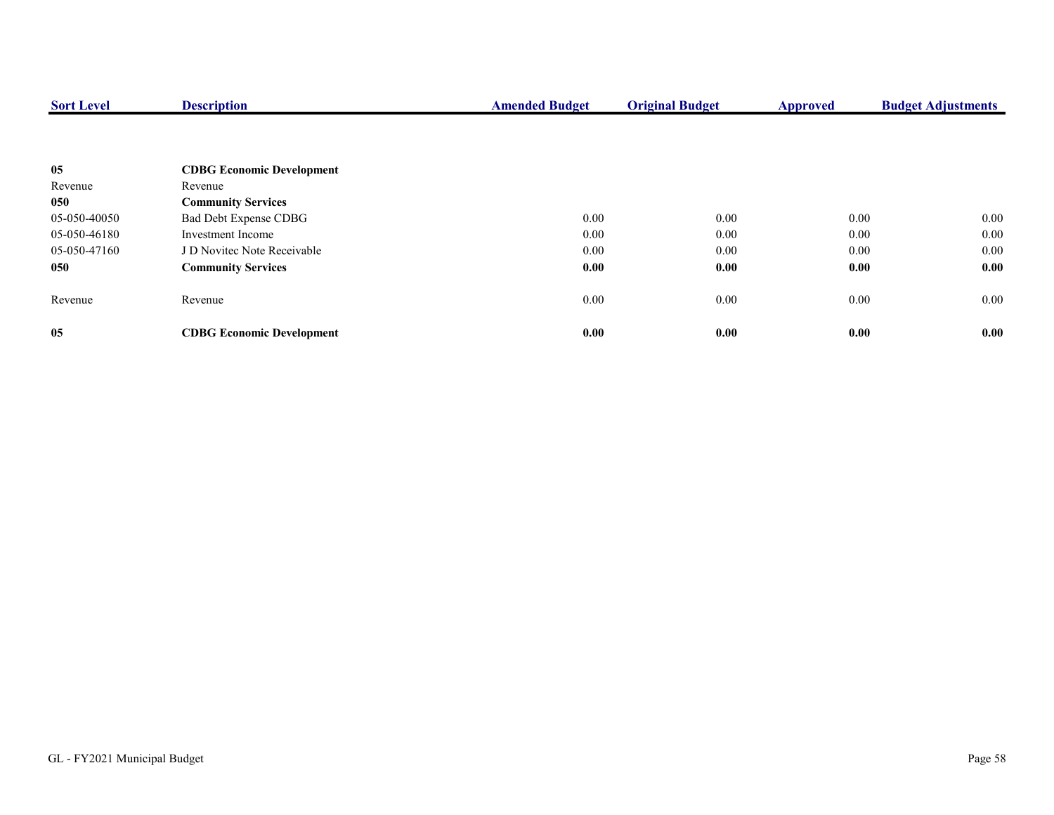| <b>Sort Level</b> | <b>Description</b>               | <b>Amended Budget</b> | <b>Original Budget</b> | <b>Approved</b> | <b>Budget Adjustments</b> |
|-------------------|----------------------------------|-----------------------|------------------------|-----------------|---------------------------|
|                   |                                  |                       |                        |                 |                           |
| 05                | <b>CDBG Economic Development</b> |                       |                        |                 |                           |
| Revenue           | Revenue                          |                       |                        |                 |                           |
| 050               | <b>Community Services</b>        |                       |                        |                 |                           |
| 05-050-40050      | Bad Debt Expense CDBG            | 0.00                  | 0.00                   | 0.00            | $0.00\,$                  |
| 05-050-46180      | Investment Income                | 0.00                  | 0.00                   | 0.00            | $0.00\,$                  |
| 05-050-47160      | J D Novitec Note Receivable      | 0.00                  | 0.00                   | 0.00            | $0.00\,$                  |
| 050               | <b>Community Services</b>        | 0.00                  | 0.00                   | 0.00            | 0.00                      |
| Revenue           | Revenue                          | 0.00                  | 0.00                   | $0.00\,$        | $0.00\,$                  |
| 05                | <b>CDBG Economic Development</b> | 0.00                  | 0.00                   | 0.00            | 0.00                      |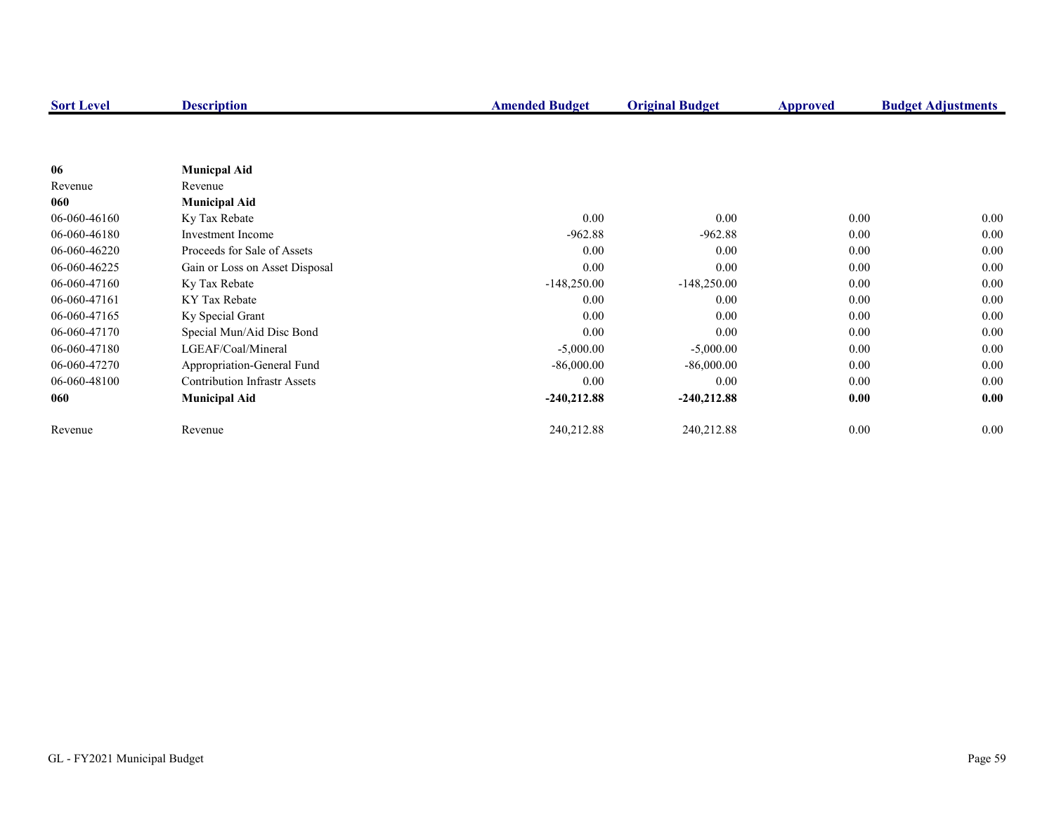| <b>Sort Level</b> | <b>Description</b>                  | <b>Amended Budget</b> | <b>Original Budget</b> | <b>Approved</b> | <b>Budget Adjustments</b> |
|-------------------|-------------------------------------|-----------------------|------------------------|-----------------|---------------------------|
|                   |                                     |                       |                        |                 |                           |
|                   |                                     |                       |                        |                 |                           |
| 06                | <b>Municpal Aid</b>                 |                       |                        |                 |                           |
| Revenue           | Revenue                             |                       |                        |                 |                           |
| 060               | <b>Municipal Aid</b>                |                       |                        |                 |                           |
| 06-060-46160      | Ky Tax Rebate                       | 0.00                  | 0.00                   | 0.00            | $0.00\,$                  |
| 06-060-46180      | Investment Income                   | $-962.88$             | $-962.88$              | 0.00            | $0.00\,$                  |
| 06-060-46220      | Proceeds for Sale of Assets         | 0.00                  | 0.00                   | 0.00            | 0.00                      |
| 06-060-46225      | Gain or Loss on Asset Disposal      | 0.00                  | 0.00                   | 0.00            | 0.00                      |
| 06-060-47160      | Ky Tax Rebate                       | $-148,250.00$         | $-148,250.00$          | 0.00            | 0.00                      |
| 06-060-47161      | KY Tax Rebate                       | 0.00                  | 0.00                   | 0.00            | 0.00                      |
| 06-060-47165      | Ky Special Grant                    | 0.00                  | 0.00                   | 0.00            | 0.00                      |
| 06-060-47170      | Special Mun/Aid Disc Bond           | 0.00                  | 0.00                   | 0.00            | 0.00                      |
| 06-060-47180      | LGEAF/Coal/Mineral                  | $-5,000.00$           | $-5,000.00$            | 0.00            | 0.00                      |
| 06-060-47270      | Appropriation-General Fund          | $-86,000.00$          | $-86,000.00$           | 0.00            | 0.00                      |
| 06-060-48100      | <b>Contribution Infrastr Assets</b> | 0.00                  | 0.00                   | 0.00            | 0.00                      |
| 060               | <b>Municipal Aid</b>                | $-240,212.88$         | $-240,212.88$          | 0.00            | 0.00                      |
|                   |                                     |                       |                        |                 |                           |
| Revenue           | Revenue                             | 240,212.88            | 240,212.88             | 0.00            | $0.00\,$                  |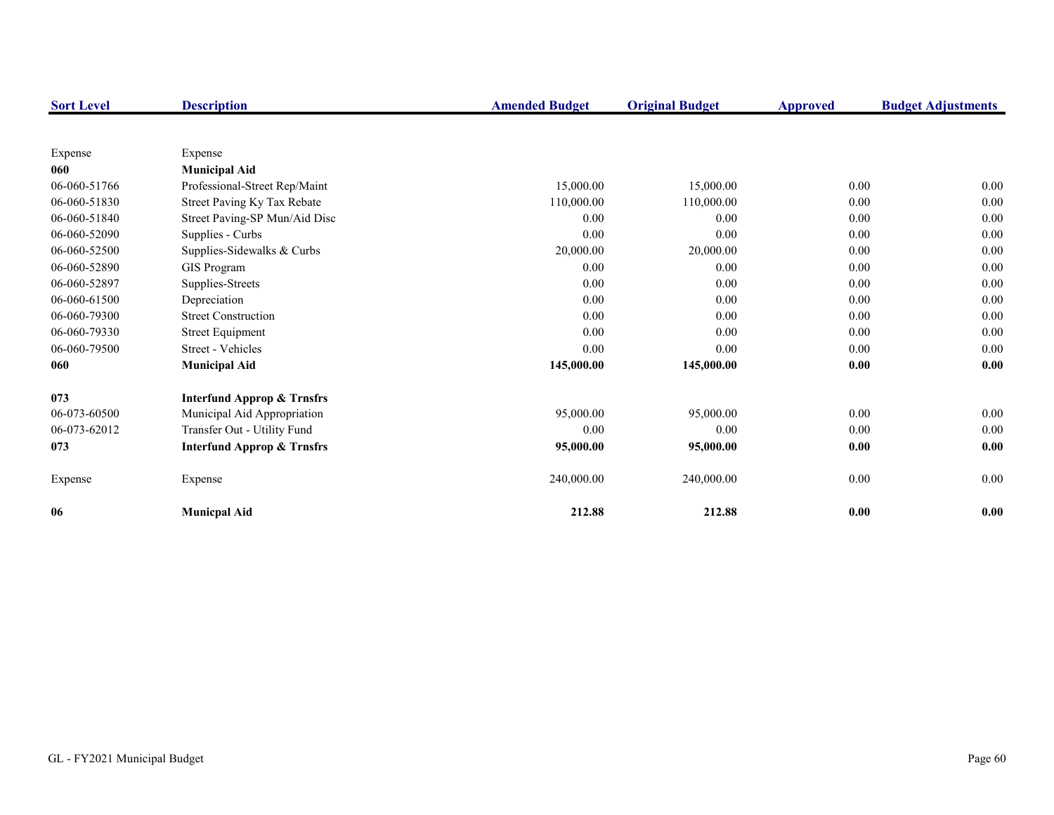| <b>Sort Level</b> | <b>Description</b>                    | <b>Amended Budget</b> | <b>Original Budget</b> | <b>Approved</b> | <b>Budget Adjustments</b> |
|-------------------|---------------------------------------|-----------------------|------------------------|-----------------|---------------------------|
|                   |                                       |                       |                        |                 |                           |
| Expense           | Expense                               |                       |                        |                 |                           |
| 060               | <b>Municipal Aid</b>                  |                       |                        |                 |                           |
| 06-060-51766      | Professional-Street Rep/Maint         | 15,000.00             | 15,000.00              | 0.00            | 0.00                      |
| 06-060-51830      | Street Paving Ky Tax Rebate           | 110,000.00            | 110,000.00             | 0.00            | $0.00\,$                  |
| 06-060-51840      | Street Paving-SP Mun/Aid Disc         | 0.00                  | 0.00                   | 0.00            | $0.00\,$                  |
| 06-060-52090      | Supplies - Curbs                      | 0.00                  | 0.00                   | 0.00            | 0.00                      |
| 06-060-52500      | Supplies-Sidewalks & Curbs            | 20,000.00             | 20,000.00              | 0.00            | 0.00                      |
| 06-060-52890      | GIS Program                           | 0.00                  | 0.00                   | 0.00            | 0.00                      |
| 06-060-52897      | Supplies-Streets                      | 0.00                  | 0.00                   | 0.00            | 0.00                      |
| 06-060-61500      | Depreciation                          | 0.00                  | 0.00                   | 0.00            | $0.00\,$                  |
| 06-060-79300      | <b>Street Construction</b>            | 0.00                  | 0.00                   | 0.00            | $0.00\,$                  |
| 06-060-79330      | <b>Street Equipment</b>               | 0.00                  | 0.00                   | 0.00            | $0.00\,$                  |
| 06-060-79500      | Street - Vehicles                     | 0.00                  | 0.00                   | 0.00            | 0.00                      |
| 060               | <b>Municipal Aid</b>                  | 145,000.00            | 145,000.00             | 0.00            | 0.00                      |
| 073               | <b>Interfund Approp &amp; Trnsfrs</b> |                       |                        |                 |                           |
| 06-073-60500      | Municipal Aid Appropriation           | 95,000.00             | 95,000.00              | 0.00            | 0.00                      |
| 06-073-62012      | Transfer Out - Utility Fund           | 0.00                  | 0.00                   | 0.00            | 0.00                      |
| 073               | <b>Interfund Approp &amp; Trnsfrs</b> | 95,000.00             | 95,000.00              | 0.00            | 0.00                      |
| Expense           | Expense                               | 240,000.00            | 240,000.00             | $0.00\,$        | 0.00                      |
| 06                | <b>Municpal Aid</b>                   | 212.88                | 212.88                 | 0.00            | 0.00                      |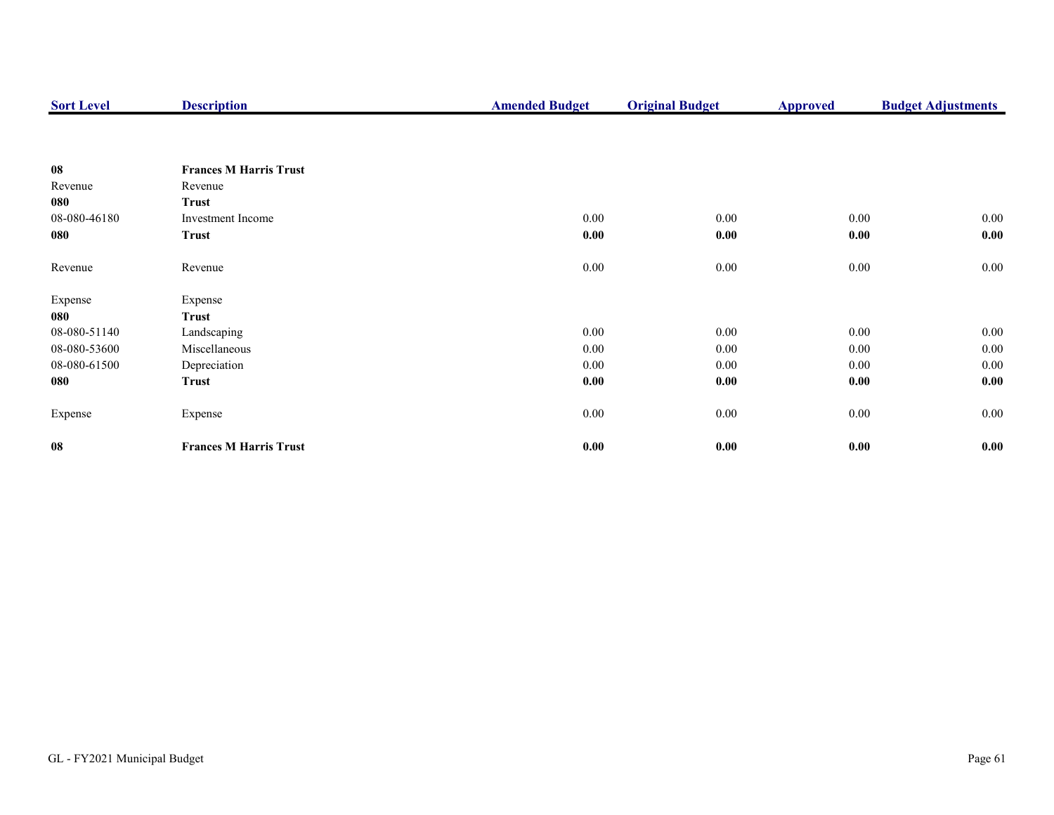| <b>Sort Level</b> | <b>Description</b>            | <b>Amended Budget</b> | <b>Original Budget</b> | <b>Approved</b> | <b>Budget Adjustments</b> |
|-------------------|-------------------------------|-----------------------|------------------------|-----------------|---------------------------|
|                   |                               |                       |                        |                 |                           |
| 08                | <b>Frances M Harris Trust</b> |                       |                        |                 |                           |
| Revenue           | Revenue                       |                       |                        |                 |                           |
| 080               | <b>Trust</b>                  |                       |                        |                 |                           |
| 08-080-46180      | Investment Income             | 0.00                  | 0.00                   | 0.00            | $0.00\,$                  |
| 080               | <b>Trust</b>                  | 0.00                  | 0.00                   | 0.00            | 0.00                      |
| Revenue           | Revenue                       | 0.00                  | $0.00\,$               | 0.00            | 0.00                      |
| Expense           | Expense                       |                       |                        |                 |                           |
| 080               | Trust                         |                       |                        |                 |                           |
| 08-080-51140      | Landscaping                   | 0.00                  | 0.00                   | 0.00            | $0.00\,$                  |
| 08-080-53600      | Miscellaneous                 | 0.00                  | 0.00                   | $0.00\,$        | $0.00\,$                  |
| 08-080-61500      | Depreciation                  | 0.00                  | $0.00\,$               | $0.00\,$        | $0.00\,$                  |
| 080               | Trust                         | 0.00                  | 0.00                   | 0.00            | 0.00                      |
| Expense           | Expense                       | 0.00                  | 0.00                   | 0.00            | $0.00\,$                  |
| 08                | <b>Frances M Harris Trust</b> | 0.00                  | $0.00\,$               | 0.00            | 0.00                      |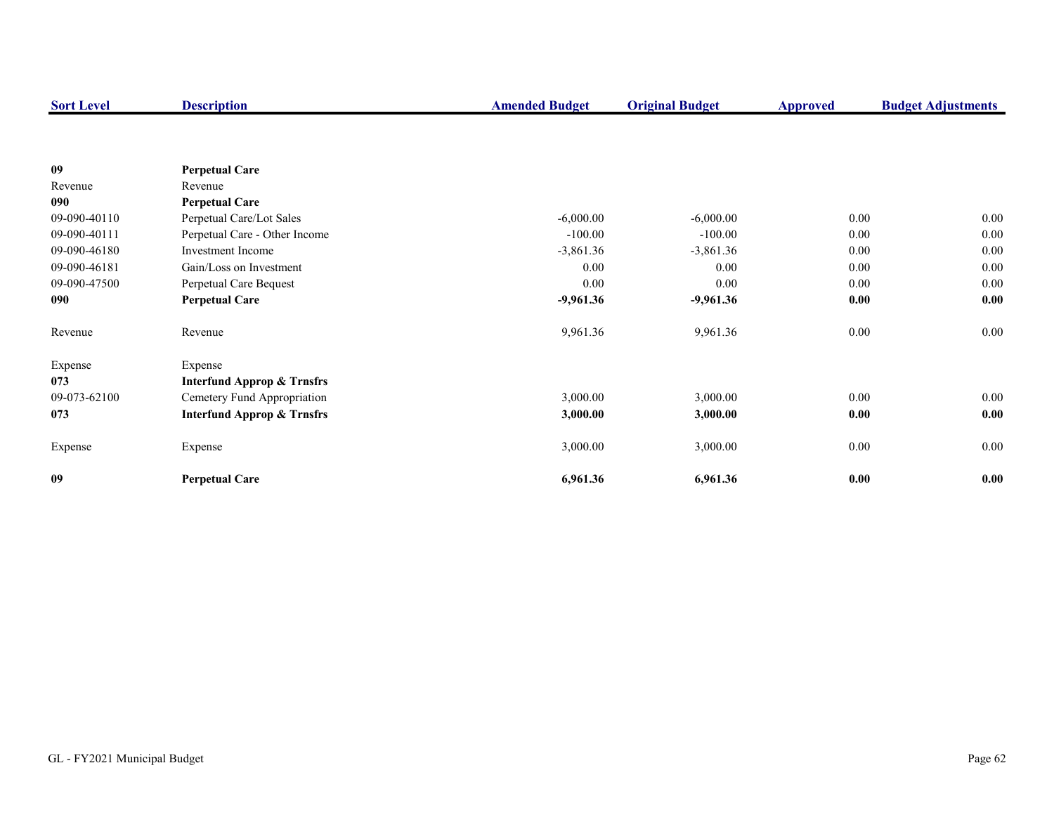| <b>Sort Level</b> | <b>Description</b>                    | <b>Amended Budget</b> | <b>Original Budget</b> | <b>Approved</b> | <b>Budget Adjustments</b> |
|-------------------|---------------------------------------|-----------------------|------------------------|-----------------|---------------------------|
|                   |                                       |                       |                        |                 |                           |
| 09                | <b>Perpetual Care</b>                 |                       |                        |                 |                           |
| Revenue           | Revenue                               |                       |                        |                 |                           |
| 090               | <b>Perpetual Care</b>                 |                       |                        |                 |                           |
| 09-090-40110      | Perpetual Care/Lot Sales              | $-6,000.00$           | $-6,000.00$            | 0.00            | 0.00                      |
| 09-090-40111      | Perpetual Care - Other Income         | $-100.00$             | $-100.00$              | $0.00\,$        | $0.00\,$                  |
| 09-090-46180      | <b>Investment Income</b>              | $-3,861.36$           | $-3,861.36$            | 0.00            | 0.00                      |
| 09-090-46181      | Gain/Loss on Investment               | 0.00                  | 0.00                   | 0.00            | 0.00                      |
| 09-090-47500      | Perpetual Care Bequest                | 0.00                  | 0.00                   | 0.00            | $0.00\,$                  |
| 090               | <b>Perpetual Care</b>                 | $-9,961.36$           | $-9,961.36$            | 0.00            | 0.00                      |
| Revenue           | Revenue                               | 9,961.36              | 9,961.36               | 0.00            | $0.00\,$                  |
| Expense           | Expense                               |                       |                        |                 |                           |
| 073               | <b>Interfund Approp &amp; Trnsfrs</b> |                       |                        |                 |                           |
| 09-073-62100      | Cemetery Fund Appropriation           | 3,000.00              | 3,000.00               | $0.00\,$        | $0.00\,$                  |
| 073               | <b>Interfund Approp &amp; Trnsfrs</b> | 3,000.00              | 3,000.00               | 0.00            | 0.00                      |
| Expense           | Expense                               | 3,000.00              | 3,000.00               | $0.00\,$        | $0.00\,$                  |
| 09                | <b>Perpetual Care</b>                 | 6,961.36              | 6,961.36               | 0.00            | 0.00                      |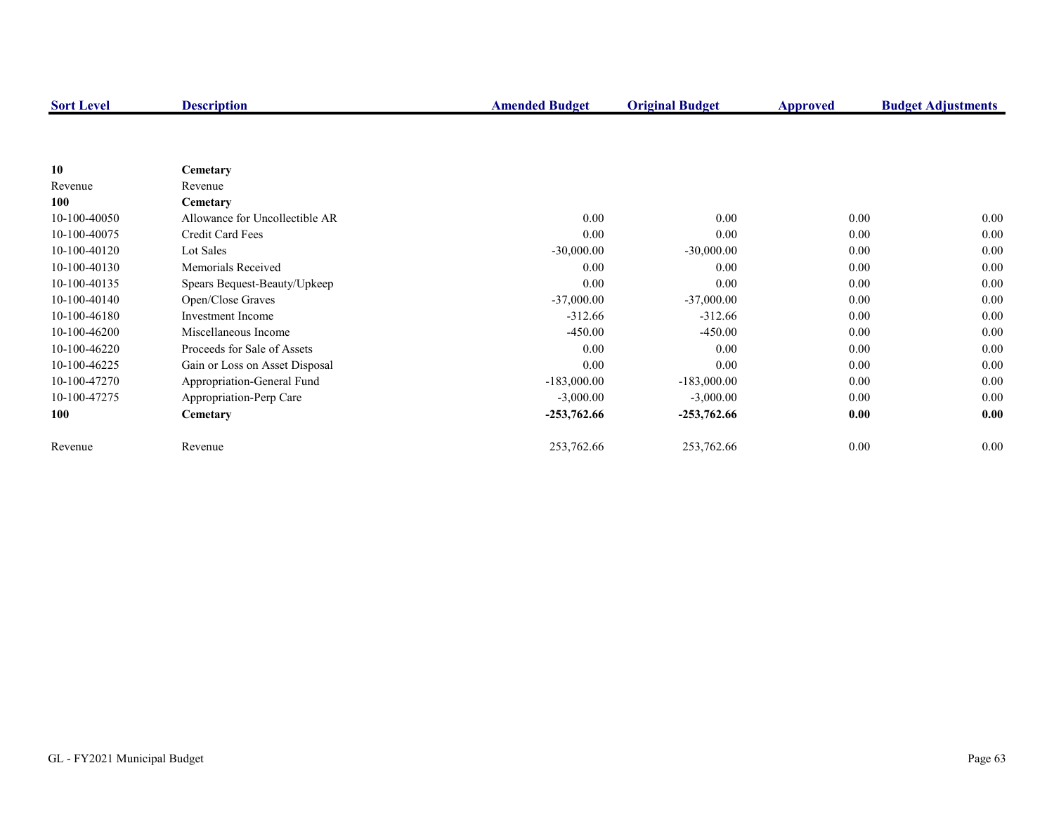| <b>Sort Level</b> | <b>Description</b>             | <b>Amended Budget</b> | <b>Original Budget</b> | <b>Approved</b> | <b>Budget Adjustments</b> |
|-------------------|--------------------------------|-----------------------|------------------------|-----------------|---------------------------|
|                   |                                |                       |                        |                 |                           |
|                   |                                |                       |                        |                 |                           |
| 10                | Cemetary                       |                       |                        |                 |                           |
| Revenue           | Revenue                        |                       |                        |                 |                           |
| 100               | Cemetary                       |                       |                        |                 |                           |
| 10-100-40050      | Allowance for Uncollectible AR | 0.00                  | 0.00                   | 0.00            | $0.00\,$                  |
| 10-100-40075      | Credit Card Fees               | 0.00                  | 0.00                   | 0.00            | 0.00                      |
| 10-100-40120      | Lot Sales                      | $-30,000.00$          | $-30,000.00$           | 0.00            | 0.00                      |
| 10-100-40130      | Memorials Received             | 0.00                  | 0.00                   | 0.00            | 0.00                      |
| 10-100-40135      | Spears Bequest-Beauty/Upkeep   | 0.00                  | 0.00                   | 0.00            | 0.00                      |
| 10-100-40140      | Open/Close Graves              | $-37,000.00$          | $-37,000.00$           | 0.00            | 0.00                      |
| 10-100-46180      | Investment Income              | $-312.66$             | $-312.66$              | 0.00            | 0.00                      |
| 10-100-46200      | Miscellaneous Income           | $-450.00$             | $-450.00$              | 0.00            | 0.00                      |
| 10-100-46220      | Proceeds for Sale of Assets    | 0.00                  | 0.00                   | 0.00            | 0.00                      |
| 10-100-46225      | Gain or Loss on Asset Disposal | 0.00                  | 0.00                   | 0.00            | 0.00                      |
| 10-100-47270      | Appropriation-General Fund     | $-183,000.00$         | $-183,000.00$          | 0.00            | 0.00                      |
| 10-100-47275      | Appropriation-Perp Care        | $-3,000.00$           | $-3,000.00$            | 0.00            | 0.00                      |
| 100               | Cemetary                       | $-253,762.66$         | $-253,762.66$          | 0.00            | 0.00                      |
| Revenue           | Revenue                        | 253,762.66            | 253,762.66             | 0.00            | $0.00\,$                  |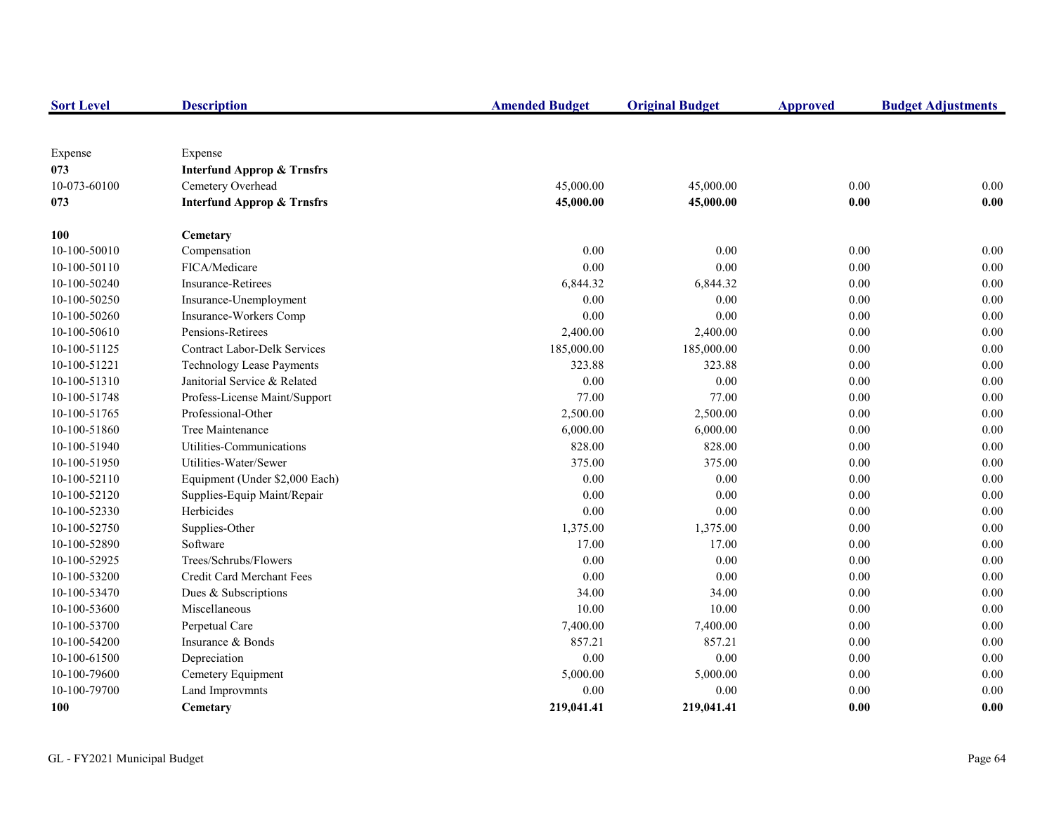| <b>Sort Level</b> | <b>Description</b>                    | <b>Amended Budget</b> | <b>Original Budget</b> | <b>Approved</b> | <b>Budget Adjustments</b> |
|-------------------|---------------------------------------|-----------------------|------------------------|-----------------|---------------------------|
|                   |                                       |                       |                        |                 |                           |
| Expense           | Expense                               |                       |                        |                 |                           |
| 073               | <b>Interfund Approp &amp; Trnsfrs</b> |                       |                        |                 |                           |
| 10-073-60100      | Cemetery Overhead                     | 45,000.00             | 45,000.00              | 0.00            | 0.00                      |
| 073               | <b>Interfund Approp &amp; Trnsfrs</b> | 45,000.00             | 45,000.00              | 0.00            | 0.00                      |
| 100               | Cemetary                              |                       |                        |                 |                           |
| 10-100-50010      | Compensation                          | 0.00                  | 0.00                   | 0.00            | 0.00                      |
| 10-100-50110      | FICA/Medicare                         | 0.00                  | 0.00                   | $0.00\,$        | 0.00                      |
| 10-100-50240      | Insurance-Retirees                    | 6,844.32              | 6,844.32               | 0.00            | $0.00\,$                  |
| 10-100-50250      | Insurance-Unemployment                | 0.00                  | 0.00                   | 0.00            | $0.00\,$                  |
| 10-100-50260      | Insurance-Workers Comp                | 0.00                  | 0.00                   | 0.00            | 0.00                      |
| 10-100-50610      | Pensions-Retirees                     | 2,400.00              | 2,400.00               | $0.00\,$        | $0.00\,$                  |
| 10-100-51125      | <b>Contract Labor-Delk Services</b>   | 185,000.00            | 185,000.00             | $0.00\,$        | 0.00                      |
| 10-100-51221      | <b>Technology Lease Payments</b>      | 323.88                | 323.88                 | $0.00\,$        | 0.00                      |
| 10-100-51310      | Janitorial Service & Related          | 0.00                  | 0.00                   | 0.00            | $0.00\,$                  |
| 10-100-51748      | Profess-License Maint/Support         | 77.00                 | 77.00                  | 0.00            | $0.00\,$                  |
| 10-100-51765      | Professional-Other                    | 2,500.00              | 2,500.00               | 0.00            | 0.00                      |
| 10-100-51860      | Tree Maintenance                      | 6,000.00              | 6,000.00               | 0.00            | $0.00\,$                  |
| 10-100-51940      | Utilities-Communications              | 828.00                | 828.00                 | 0.00            | $0.00\,$                  |
| 10-100-51950      | Utilities-Water/Sewer                 | 375.00                | 375.00                 | 0.00            | 0.00                      |
| 10-100-52110      | Equipment (Under \$2,000 Each)        | 0.00                  | 0.00                   | 0.00            | 0.00                      |
| 10-100-52120      | Supplies-Equip Maint/Repair           | 0.00                  | 0.00                   | 0.00            | 0.00                      |
| 10-100-52330      | Herbicides                            | 0.00                  | 0.00                   | 0.00            | 0.00                      |
| 10-100-52750      | Supplies-Other                        | 1,375.00              | 1,375.00               | 0.00            | 0.00                      |
| 10-100-52890      | Software                              | 17.00                 | 17.00                  | 0.00            | 0.00                      |
| 10-100-52925      | Trees/Schrubs/Flowers                 | 0.00                  | 0.00                   | 0.00            | 0.00                      |
| 10-100-53200      | Credit Card Merchant Fees             | 0.00                  | 0.00                   | 0.00            | 0.00                      |
| 10-100-53470      | Dues & Subscriptions                  | 34.00                 | 34.00                  | 0.00            | $0.00\,$                  |
| 10-100-53600      | Miscellaneous                         | 10.00                 | 10.00                  | 0.00            | $0.00\,$                  |
| 10-100-53700      | Perpetual Care                        | 7,400.00              | 7,400.00               | 0.00            | $0.00\,$                  |
| 10-100-54200      | Insurance & Bonds                     | 857.21                | 857.21                 | 0.00            | $0.00\,$                  |
| 10-100-61500      | Depreciation                          | 0.00                  | 0.00                   | 0.00            | 0.00                      |
| 10-100-79600      | Cemetery Equipment                    | 5,000.00              | 5,000.00               | 0.00            | $0.00\,$                  |
| 10-100-79700      | Land Improvmnts                       | 0.00                  | 0.00                   | 0.00            | 0.00                      |
| 100               | Cemetary                              | 219,041.41            | 219,041.41             | 0.00            | 0.00                      |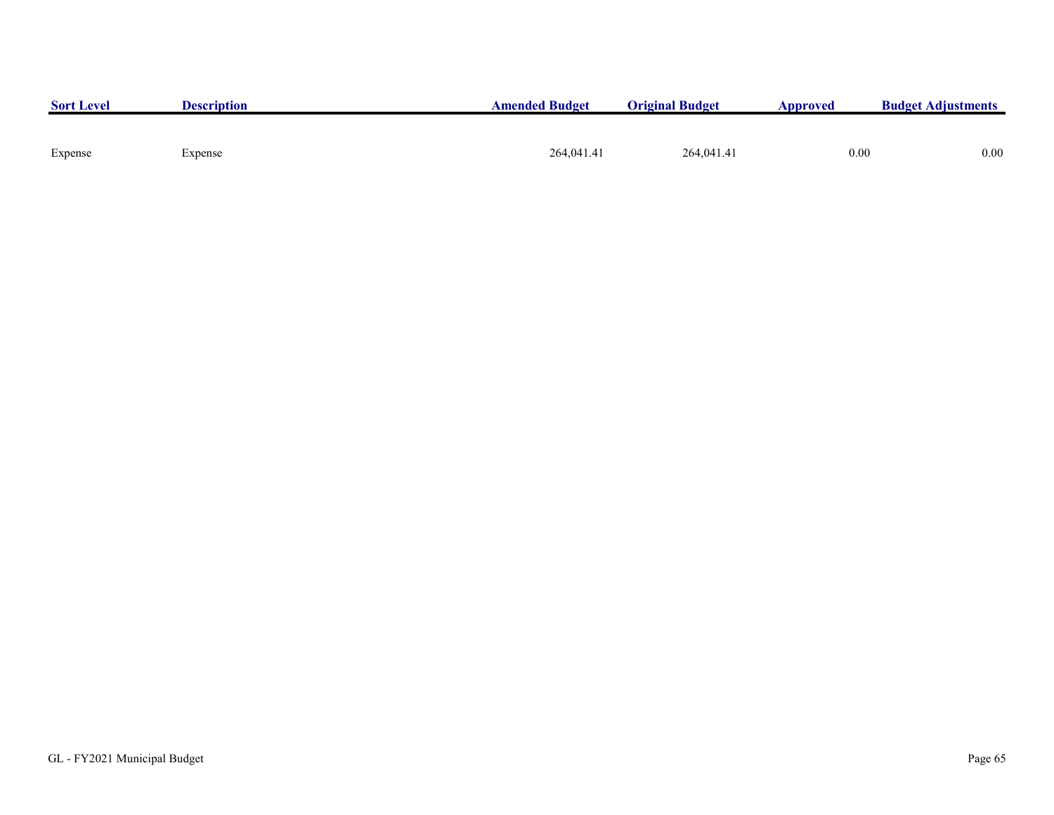|            |            | $0.00\,$ |
|------------|------------|----------|
| 264,041.41 | 264,041.41 | 0.00     |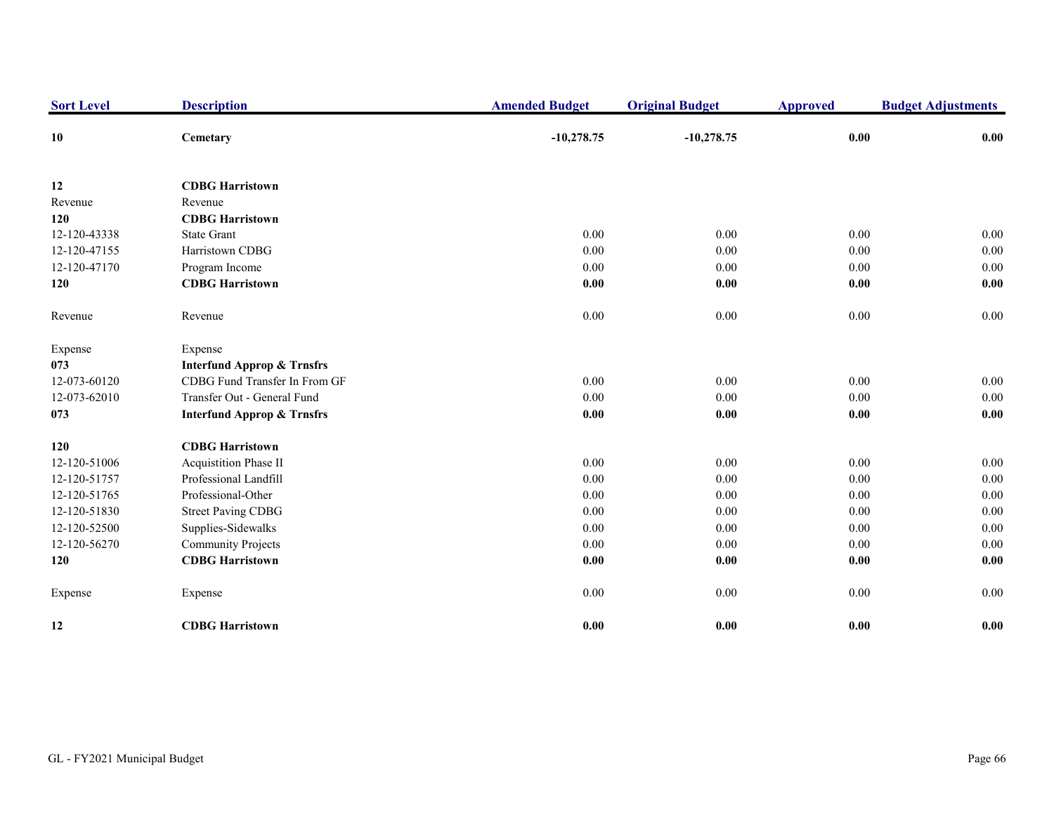| <b>Sort Level</b> | <b>Description</b>                    | <b>Amended Budget</b> | <b>Original Budget</b> | <b>Approved</b> | <b>Budget Adjustments</b> |
|-------------------|---------------------------------------|-----------------------|------------------------|-----------------|---------------------------|
| 10                | Cemetary                              | $-10,278.75$          | $-10,278.75$           | 0.00            | 0.00                      |
| 12                | <b>CDBG Harristown</b>                |                       |                        |                 |                           |
| Revenue           | Revenue                               |                       |                        |                 |                           |
| 120               | <b>CDBG Harristown</b>                |                       |                        |                 |                           |
| 12-120-43338      | <b>State Grant</b>                    | 0.00                  | 0.00                   | 0.00            | 0.00                      |
| 12-120-47155      | Harristown CDBG                       | 0.00                  | 0.00                   | 0.00            | 0.00                      |
| 12-120-47170      | Program Income                        | 0.00                  | 0.00                   | 0.00            | 0.00                      |
| 120               | <b>CDBG</b> Harristown                | 0.00                  | $0.00\,$               | $0.00\,$        | 0.00                      |
| Revenue           | Revenue                               | 0.00                  | 0.00                   | $0.00\,$        | $0.00\,$                  |
| Expense           | Expense                               |                       |                        |                 |                           |
| 073               | <b>Interfund Approp &amp; Trnsfrs</b> |                       |                        |                 |                           |
| 12-073-60120      | CDBG Fund Transfer In From GF         | 0.00                  | 0.00                   | 0.00            | 0.00                      |
| 12-073-62010      | Transfer Out - General Fund           | 0.00                  | 0.00                   | 0.00            | 0.00                      |
| 073               | <b>Interfund Approp &amp; Trnsfrs</b> | 0.00                  | 0.00                   | $0.00\,$        | 0.00                      |
| 120               | <b>CDBG Harristown</b>                |                       |                        |                 |                           |
| 12-120-51006      | Acquistition Phase II                 | 0.00                  | 0.00                   | 0.00            | 0.00                      |
| 12-120-51757      | Professional Landfill                 | 0.00                  | $0.00\,$               | 0.00            | 0.00                      |
| 12-120-51765      | Professional-Other                    | 0.00                  | 0.00                   | 0.00            | 0.00                      |
| 12-120-51830      | <b>Street Paving CDBG</b>             | 0.00                  | $0.00\,$               | 0.00            | $0.00\,$                  |
| 12-120-52500      | Supplies-Sidewalks                    | 0.00                  | 0.00                   | 0.00            | 0.00                      |
| 12-120-56270      | <b>Community Projects</b>             | 0.00                  | 0.00                   | 0.00            | $0.00\,$                  |
| 120               | <b>CDBG Harristown</b>                | 0.00                  | 0.00                   | 0.00            | 0.00                      |
| Expense           | Expense                               | 0.00                  | 0.00                   | 0.00            | 0.00                      |
| 12                | <b>CDBG Harristown</b>                | 0.00                  | 0.00                   | 0.00            | 0.00                      |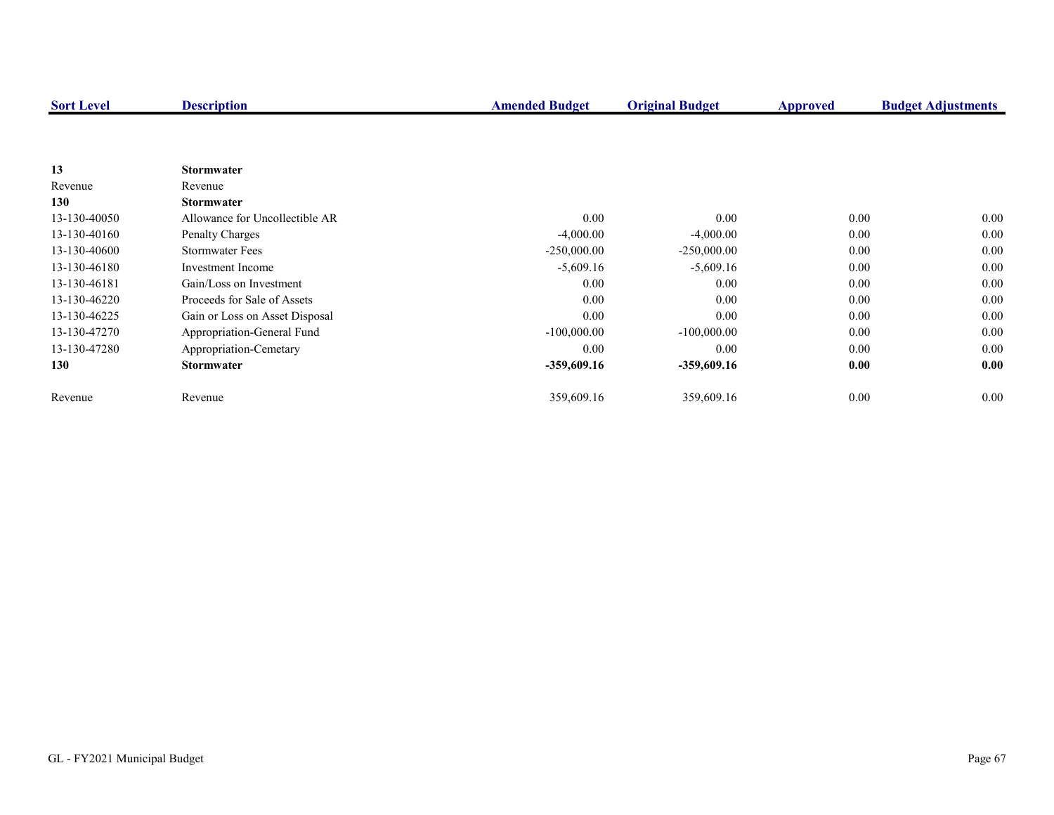| <b>Sort Level</b> | <b>Description</b>             | <b>Amended Budget</b> | <b>Original Budget</b> | <b>Approved</b> | <b>Budget Adjustments</b> |
|-------------------|--------------------------------|-----------------------|------------------------|-----------------|---------------------------|
|                   |                                |                       |                        |                 |                           |
|                   |                                |                       |                        |                 |                           |
| 13                | <b>Stormwater</b>              |                       |                        |                 |                           |
| Revenue           | Revenue                        |                       |                        |                 |                           |
| 130               | <b>Stormwater</b>              |                       |                        |                 |                           |
| 13-130-40050      | Allowance for Uncollectible AR | 0.00                  | $0.00\,$               | 0.00            | $0.00\,$                  |
| 13-130-40160      | <b>Penalty Charges</b>         | $-4,000.00$           | $-4,000.00$            | 0.00            | $0.00\,$                  |
| 13-130-40600      | <b>Stormwater Fees</b>         | $-250,000.00$         | $-250,000.00$          | 0.00            | 0.00                      |
| 13-130-46180      | Investment Income              | $-5,609.16$           | $-5,609.16$            | 0.00            | 0.00                      |
| 13-130-46181      | Gain/Loss on Investment        | 0.00                  | 0.00                   | 0.00            | $0.00\,$                  |
| 13-130-46220      | Proceeds for Sale of Assets    | 0.00                  | 0.00                   | 0.00            | $0.00\,$                  |
| 13-130-46225      | Gain or Loss on Asset Disposal | 0.00                  | 0.00                   | 0.00            | 0.00                      |
| 13-130-47270      | Appropriation-General Fund     | $-100,000.00$         | $-100,000.00$          | 0.00            | 0.00                      |
| 13-130-47280      | Appropriation-Cemetary         | 0.00                  | 0.00                   | 0.00            | 0.00                      |
| 130               | <b>Stormwater</b>              | -359,609.16           | -359,609.16            | 0.00            | 0.00                      |
| Revenue           | Revenue                        | 359,609.16            | 359,609.16             | 0.00            | $0.00\,$                  |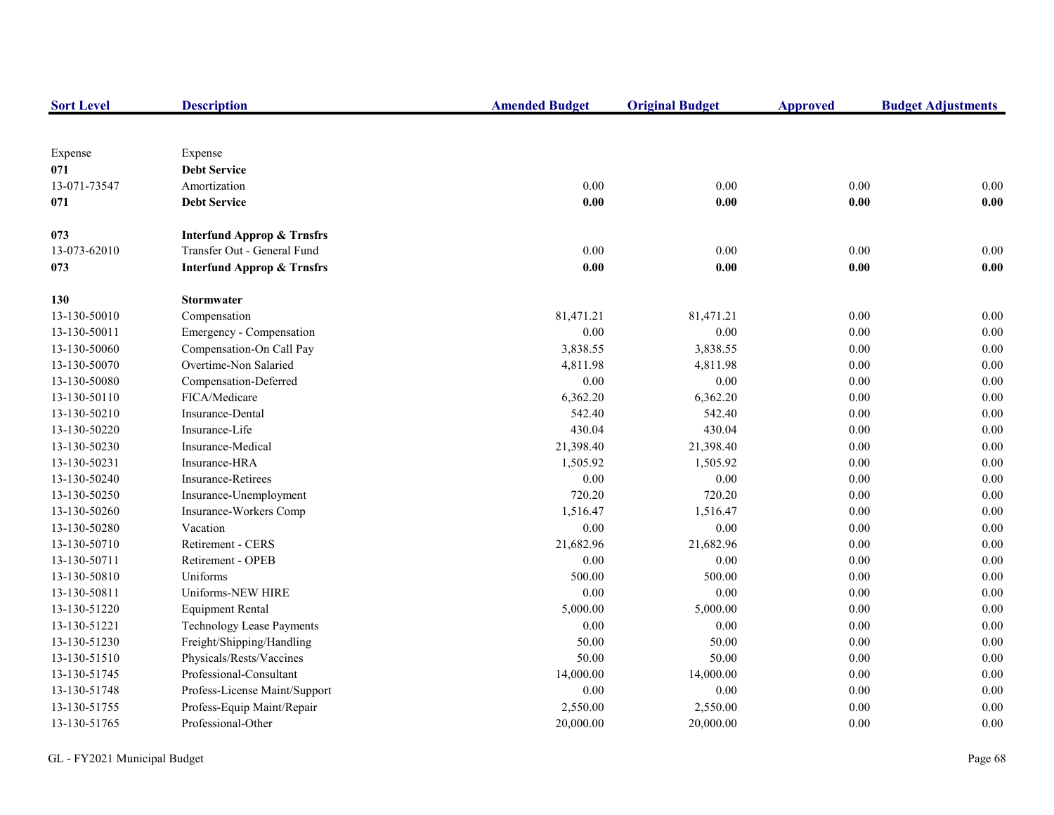| <b>Sort Level</b> | <b>Description</b>                    | <b>Amended Budget</b> | <b>Original Budget</b> | <b>Approved</b> | <b>Budget Adjustments</b> |
|-------------------|---------------------------------------|-----------------------|------------------------|-----------------|---------------------------|
|                   |                                       |                       |                        |                 |                           |
| Expense           | Expense                               |                       |                        |                 |                           |
| 071               | <b>Debt Service</b>                   |                       |                        |                 |                           |
| 13-071-73547      | Amortization                          | 0.00                  | 0.00                   | 0.00            | 0.00                      |
| 071               | <b>Debt Service</b>                   | 0.00                  | 0.00                   | 0.00            | 0.00                      |
| 073               | <b>Interfund Approp &amp; Trnsfrs</b> |                       |                        |                 |                           |
| 13-073-62010      | Transfer Out - General Fund           | 0.00                  | $0.00\,$               | $0.00\,$        | $0.00\,$                  |
| 073               | <b>Interfund Approp &amp; Trnsfrs</b> | 0.00                  | 0.00                   | 0.00            | 0.00                      |
| 130               | <b>Stormwater</b>                     |                       |                        |                 |                           |
| 13-130-50010      | Compensation                          | 81,471.21             | 81,471.21              | 0.00            | 0.00                      |
| 13-130-50011      | Emergency - Compensation              | 0.00                  | 0.00                   | 0.00            | $0.00\,$                  |
| 13-130-50060      | Compensation-On Call Pay              | 3,838.55              | 3,838.55               | 0.00            | $0.00\,$                  |
| 13-130-50070      | Overtime-Non Salaried                 | 4,811.98              | 4,811.98               | 0.00            | 0.00                      |
| 13-130-50080      | Compensation-Deferred                 | 0.00                  | $0.00\,$               | 0.00            | 0.00                      |
| 13-130-50110      | FICA/Medicare                         | 6,362.20              | 6,362.20               | 0.00            | 0.00                      |
| 13-130-50210      | Insurance-Dental                      | 542.40                | 542.40                 | 0.00            | 0.00                      |
| 13-130-50220      | Insurance-Life                        | 430.04                | 430.04                 | $0.00\,$        | $0.00\,$                  |
| 13-130-50230      | Insurance-Medical                     | 21,398.40             | 21,398.40              | 0.00            | $0.00\,$                  |
| 13-130-50231      | Insurance-HRA                         | 1,505.92              | 1,505.92               | 0.00            | $0.00\,$                  |
| 13-130-50240      | <b>Insurance-Retirees</b>             | 0.00                  | 0.00                   | 0.00            | $0.00\,$                  |
| 13-130-50250      | Insurance-Unemployment                | 720.20                | 720.20                 | 0.00            | $0.00\,$                  |
| 13-130-50260      | Insurance-Workers Comp                | 1,516.47              | 1,516.47               | 0.00            | $0.00\,$                  |
| 13-130-50280      | Vacation                              | 0.00                  | $0.00\,$               | 0.00            | $0.00\,$                  |
| 13-130-50710      | Retirement - CERS                     | 21,682.96             | 21,682.96              | 0.00            | 0.00                      |
| 13-130-50711      | Retirement - OPEB                     | 0.00                  | 0.00                   | 0.00            | 0.00                      |
| 13-130-50810      | Uniforms                              | 500.00                | 500.00                 | 0.00            | 0.00                      |
| 13-130-50811      | Uniforms-NEW HIRE                     | 0.00                  | $0.00\,$               | 0.00            | 0.00                      |
| 13-130-51220      | <b>Equipment Rental</b>               | 5,000.00              | 5,000.00               | $0.00\,$        | 0.00                      |
| 13-130-51221      | <b>Technology Lease Payments</b>      | 0.00                  | $0.00\,$               | 0.00            | $0.00\,$                  |
| 13-130-51230      | Freight/Shipping/Handling             | 50.00                 | 50.00                  | 0.00            | 0.00                      |
| 13-130-51510      | Physicals/Rests/Vaccines              | 50.00                 | 50.00                  | 0.00            | $0.00\,$                  |
| 13-130-51745      | Professional-Consultant               | 14,000.00             | 14,000.00              | 0.00            | 0.00                      |
| 13-130-51748      | Profess-License Maint/Support         | 0.00                  | 0.00                   | 0.00            | $0.00\,$                  |
| 13-130-51755      | Profess-Equip Maint/Repair            | 2,550.00              | 2,550.00               | 0.00            | 0.00                      |
| 13-130-51765      | Professional-Other                    | 20,000.00             | 20,000.00              | 0.00            | 0.00                      |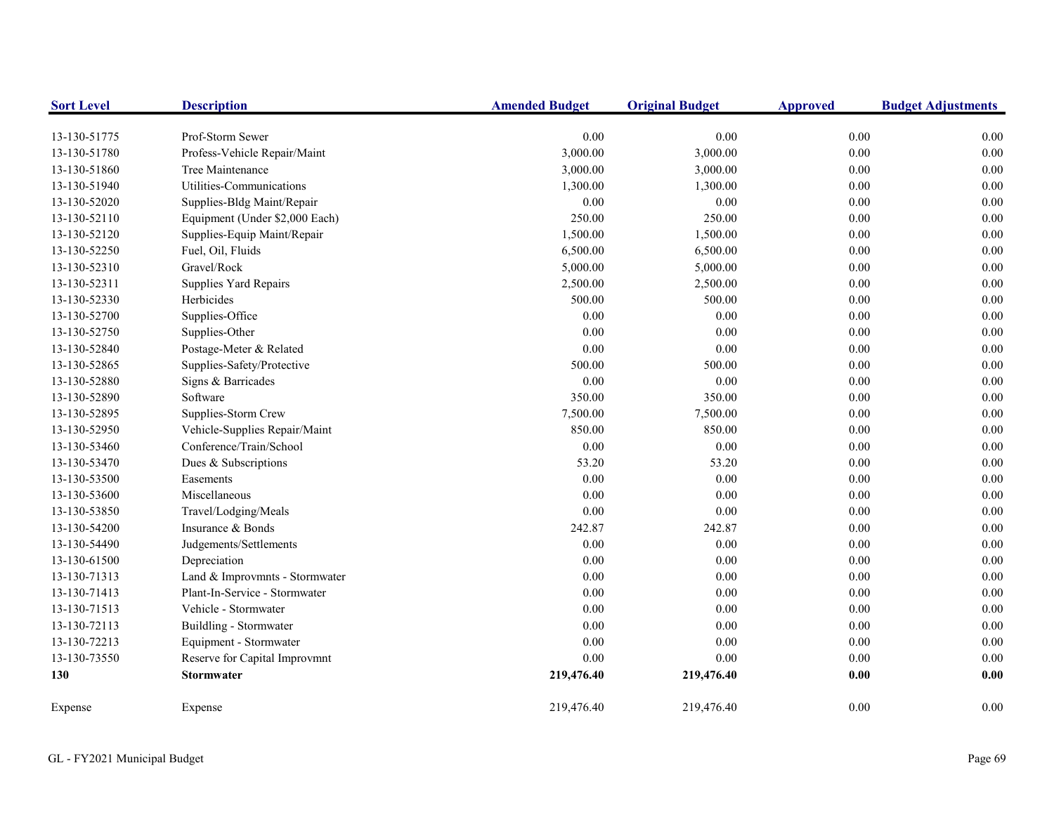| <b>Sort Level</b> | <b>Description</b>             | <b>Amended Budget</b> | <b>Original Budget</b> | <b>Approved</b> | <b>Budget Adjustments</b> |
|-------------------|--------------------------------|-----------------------|------------------------|-----------------|---------------------------|
| 13-130-51775      | Prof-Storm Sewer               | 0.00                  | 0.00                   | 0.00            | 0.00                      |
| 13-130-51780      | Profess-Vehicle Repair/Maint   | 3,000.00              | 3,000.00               | $0.00\,$        | 0.00                      |
| 13-130-51860      | Tree Maintenance               | 3,000.00              | 3,000.00               | 0.00            | 0.00                      |
| 13-130-51940      | Utilities-Communications       | 1,300.00              | 1,300.00               | $0.00\,$        | 0.00                      |
| 13-130-52020      | Supplies-Bldg Maint/Repair     | 0.00                  | 0.00                   | 0.00            | 0.00                      |
| 13-130-52110      | Equipment (Under \$2,000 Each) | 250.00                | 250.00                 | 0.00            | 0.00                      |
| 13-130-52120      | Supplies-Equip Maint/Repair    | 1,500.00              | 1,500.00               | 0.00            | 0.00                      |
| 13-130-52250      | Fuel, Oil, Fluids              | 6,500.00              | 6,500.00               | $0.00\,$        | 0.00                      |
| 13-130-52310      | Gravel/Rock                    | 5,000.00              | 5,000.00               | $0.00\,$        | 0.00                      |
| 13-130-52311      | Supplies Yard Repairs          | 2,500.00              | 2,500.00               | 0.00            | 0.00                      |
| 13-130-52330      | Herbicides                     | 500.00                | 500.00                 | $0.00\,$        | 0.00                      |
| 13-130-52700      | Supplies-Office                | 0.00                  | 0.00                   | $0.00\,$        | 0.00                      |
| 13-130-52750      | Supplies-Other                 | 0.00                  | 0.00                   | 0.00            | 0.00                      |
| 13-130-52840      | Postage-Meter & Related        | 0.00                  | 0.00                   | 0.00            | 0.00                      |
| 13-130-52865      | Supplies-Safety/Protective     | 500.00                | 500.00                 | 0.00            | 0.00                      |
| 13-130-52880      | Signs & Barricades             | 0.00                  | 0.00                   | 0.00            | 0.00                      |
| 13-130-52890      | Software                       | 350.00                | 350.00                 | $0.00\,$        | 0.00                      |
| 13-130-52895      | Supplies-Storm Crew            | 7,500.00              | 7,500.00               | $0.00\,$        | 0.00                      |
| 13-130-52950      | Vehicle-Supplies Repair/Maint  | 850.00                | 850.00                 | 0.00            | 0.00                      |
| 13-130-53460      | Conference/Train/School        | 0.00                  | 0.00                   | 0.00            | 0.00                      |
| 13-130-53470      | Dues & Subscriptions           | 53.20                 | 53.20                  | 0.00            | 0.00                      |
| 13-130-53500      | Easements                      | 0.00                  | 0.00                   | 0.00            | 0.00                      |
| 13-130-53600      | Miscellaneous                  | 0.00                  | 0.00                   | 0.00            | 0.00                      |
| 13-130-53850      | Travel/Lodging/Meals           | 0.00                  | 0.00                   | $0.00\,$        | 0.00                      |
| 13-130-54200      | Insurance & Bonds              | 242.87                | 242.87                 | 0.00            | 0.00                      |
| 13-130-54490      | Judgements/Settlements         | 0.00                  | 0.00                   | 0.00            | 0.00                      |
| 13-130-61500      | Depreciation                   | 0.00                  | 0.00                   | 0.00            | 0.00                      |
| 13-130-71313      | Land & Improvmnts - Stormwater | 0.00                  | 0.00                   | 0.00            | 0.00                      |
| 13-130-71413      | Plant-In-Service - Stormwater  | 0.00                  | 0.00                   | 0.00            | 0.00                      |
| 13-130-71513      | Vehicle - Stormwater           | 0.00                  | 0.00                   | 0.00            | 0.00                      |
| 13-130-72113      | Buildling - Stormwater         | 0.00                  | 0.00                   | 0.00            | 0.00                      |
| 13-130-72213      | Equipment - Stormwater         | 0.00                  | 0.00                   | $0.00\,$        | 0.00                      |
| 13-130-73550      | Reserve for Capital Improvmnt  | 0.00                  | 0.00                   | 0.00            | 0.00                      |
| 130               | <b>Stormwater</b>              | 219,476.40            | 219,476.40             | 0.00            | 0.00                      |
| Expense           | Expense                        | 219,476.40            | 219,476.40             | 0.00            | 0.00                      |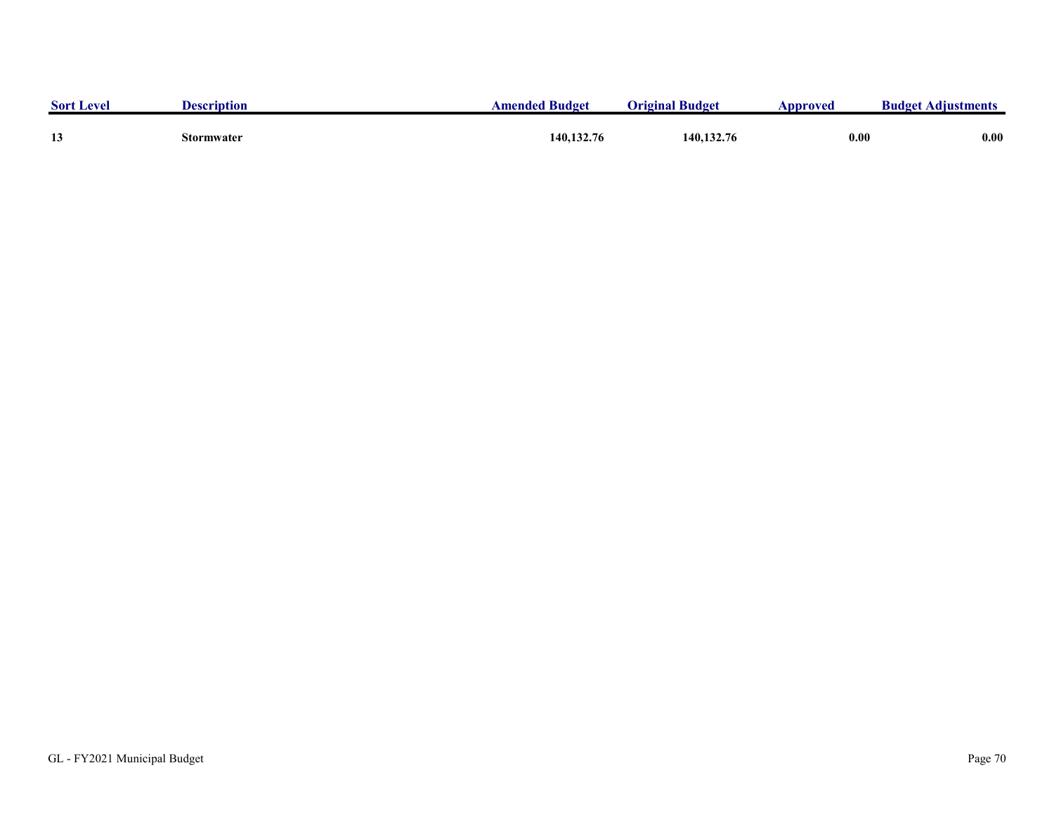| <b>Sort Level</b> | <b>Description</b> | <b>Amended Budget</b> | <b>Original Budget</b> | Approved | <b>Budget Adjustments</b> |
|-------------------|--------------------|-----------------------|------------------------|----------|---------------------------|
| 13                | Stormwater         | 140, 132, 76          | 140,132.76             | 0.00     | 0.00                      |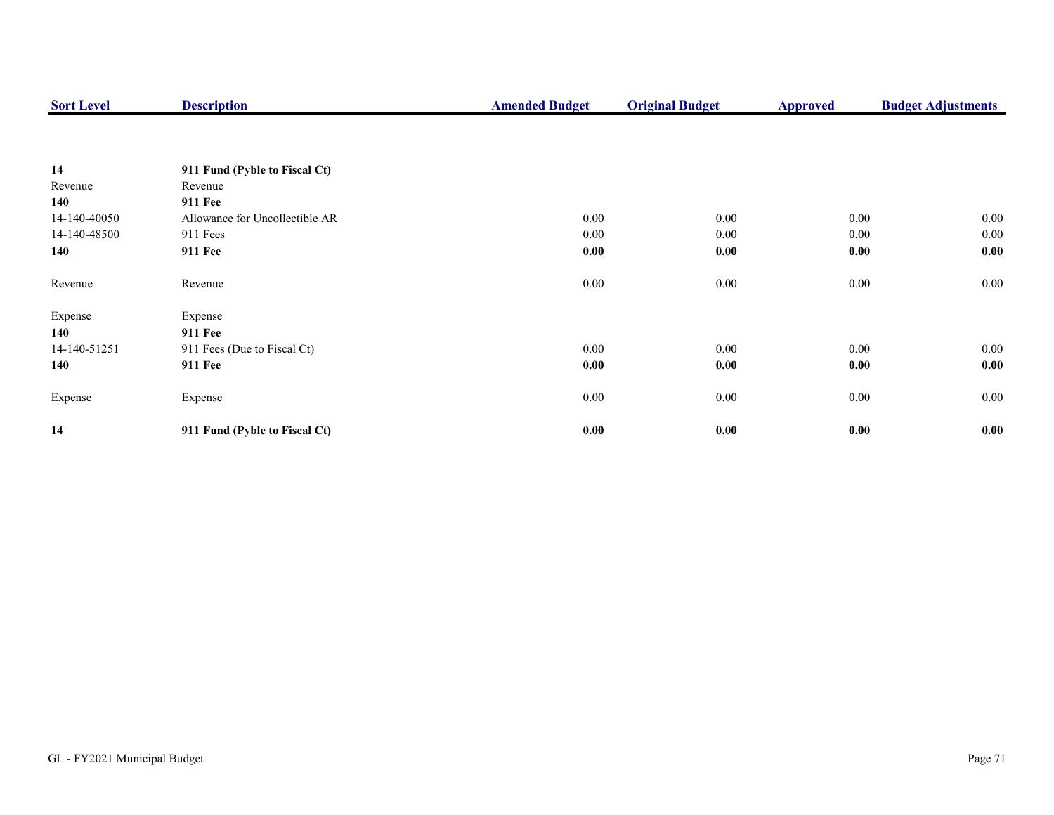| <b>Sort Level</b> | <b>Description</b>             | <b>Amended Budget</b> | <b>Original Budget</b> | <b>Approved</b> | <b>Budget Adjustments</b> |
|-------------------|--------------------------------|-----------------------|------------------------|-----------------|---------------------------|
|                   |                                |                       |                        |                 |                           |
| 14                | 911 Fund (Pyble to Fiscal Ct)  |                       |                        |                 |                           |
| Revenue           | Revenue                        |                       |                        |                 |                           |
| 140               | <b>911 Fee</b>                 |                       |                        |                 |                           |
| 14-140-40050      | Allowance for Uncollectible AR | 0.00                  | 0.00                   | $0.00\,$        | $0.00\,$                  |
| 14-140-48500      | 911 Fees                       | 0.00                  | 0.00                   | $0.00\,$        | $0.00\,$                  |
| 140               | <b>911 Fee</b>                 | 0.00                  | 0.00                   | 0.00            | 0.00                      |
| Revenue           | Revenue                        | 0.00                  | $0.00\,$               | $0.00\,$        | $0.00\,$                  |
| Expense           | Expense                        |                       |                        |                 |                           |
| 140               | <b>911 Fee</b>                 |                       |                        |                 |                           |
| 14-140-51251      | 911 Fees (Due to Fiscal Ct)    | 0.00                  | 0.00                   | $0.00\,$        | $0.00\,$                  |
| 140               | 911 Fee                        | 0.00                  | 0.00                   | 0.00            | 0.00                      |
| Expense           | Expense                        | 0.00                  | $0.00\,$               | $0.00\,$        | $0.00\,$                  |
| 14                | 911 Fund (Pyble to Fiscal Ct)  | 0.00                  | 0.00                   | 0.00            | 0.00                      |